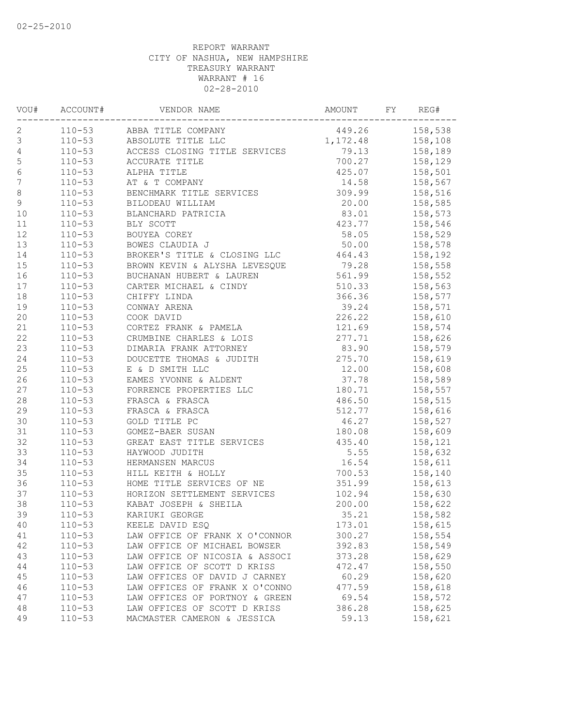| VOU#             | ACCOUNT#   | VENDOR NAME                                                                                                                                          | AMOUNT | FY | REG#    |
|------------------|------------|------------------------------------------------------------------------------------------------------------------------------------------------------|--------|----|---------|
| 2                |            | ABBA TITLE COMPANY 449.26 158,538<br>ABSOLUTE TITLE LLC 1,172.48 158,108<br>ACCESS CLOSING TITLE SERVICES 79.13 158,189<br>110-53 ABBA TITLE COMPANY |        |    |         |
| $\mathsf 3$      | $110 - 53$ |                                                                                                                                                      |        |    |         |
| $\sqrt{4}$       | $110 - 53$ |                                                                                                                                                      |        |    |         |
| 5                | $110 - 53$ | ACCURATE TITLE                                                                                                                                       | 700.27 |    | 158,129 |
| $\sqrt{6}$       | $110 - 53$ | ALPHA TITLE                                                                                                                                          | 425.07 |    | 158,501 |
| $\boldsymbol{7}$ | $110 - 53$ | AT & T COMPANY                                                                                                                                       | 14.58  |    | 158,567 |
| $\,8\,$          | $110 - 53$ | ALL & L COMPANY<br>BENCHMARK TITLE SERVICES<br>BILOPELY 1---                                                                                         | 309.99 |    | 158,516 |
| $\mathfrak{g}$   | $110 - 53$ | $20.00$<br>83.01<br>423.77<br>BILODEAU WILLIAM                                                                                                       |        |    | 158,585 |
| 10               | $110 - 53$ | BLANCHARD PATRICIA                                                                                                                                   |        |    | 158,573 |
| 11               | $110 - 53$ | BLY SCOTT                                                                                                                                            |        |    | 158,546 |
| 12               | $110 - 53$ | BOUYEA COREY                                                                                                                                         | 58.05  |    | 158,529 |
| 13               | $110 - 53$ | BOWES CLAUDIA J                                                                                                                                      | 50.00  |    | 158,578 |
| 14               | $110 - 53$ | BROKER'S TITLE & CLOSING LLC 464.43                                                                                                                  |        |    | 158,192 |
| 15               | $110 - 53$ | BROWN KEVIN & ALYSHA LEVESQUE 79.28                                                                                                                  |        |    | 158,558 |
| 16               | $110 - 53$ | BUCHANAN HUBERT & LAUREN                                                                                                                             | 561.99 |    | 158,552 |
| 17               | $110 - 53$ | CARTER MICHAEL & CINDY                                                                                                                               | 510.33 |    | 158,563 |
| 18               | $110 - 53$ | CHIFFY LINDA                                                                                                                                         | 366.36 |    | 158,577 |
| 19               | $110 - 53$ | CONWAY ARENA                                                                                                                                         | 39.24  |    | 158,571 |
| 20               | $110 - 53$ | COOK DAVID                                                                                                                                           | 226.22 |    | 158,610 |
| 21               | $110 - 53$ | CORTEZ FRANK & PAMELA                                                                                                                                | 121.69 |    | 158,574 |
| 22               | $110 - 53$ | CRUMBINE CHARLES & LOIS                                                                                                                              | 277.71 |    | 158,626 |
| 23               | $110 - 53$ |                                                                                                                                                      | 83.90  |    | 158,579 |
| 24               | $110 - 53$ |                                                                                                                                                      | 275.70 |    | 158,619 |
| 25               | $110 - 53$ | DOUCETTE THOMAS & JUDITH<br>E & D SMITH LIC<br>EAMES YVONNE & ALDENT<br>FORRENCE PROPERTIES LLC<br>FRASCA & FRASCA<br>FRASCA                         | 12.00  |    | 158,608 |
| 26               | $110 - 53$ |                                                                                                                                                      | 37.78  |    | 158,589 |
| 27               | $110 - 53$ |                                                                                                                                                      | 180.71 |    | 158,557 |
| $2\,8$           | $110 - 53$ |                                                                                                                                                      | 486.50 |    | 158,515 |
| 29               | $110 - 53$ | FRASCA & FRASCA                                                                                                                                      | 512.77 |    | 158,616 |
| 30               | $110 - 53$ | GOLD TITLE PC                                                                                                                                        | 46.27  |    | 158,527 |
| 31               | $110 - 53$ | GOMEZ-BAER SUSAN                                                                                                                                     | 180.08 |    | 158,609 |
| 32               | $110 - 53$ | GREAT EAST TITLE SERVICES                                                                                                                            | 435.40 |    | 158,121 |
| 33               | $110 - 53$ | HAYWOOD JUDITH                                                                                                                                       | 5.55   |    | 158,632 |
| 34               | $110 - 53$ | HERMANSEN MARCUS                                                                                                                                     | 16.54  |    | 158,611 |
| 35               | $110 - 53$ | HILL KEITH & HOLLY                                                                                                                                   | 700.53 |    | 158,140 |
| 36               | $110 - 53$ | HOME TITLE SERVICES OF NE                                                                                                                            | 351.99 |    | 158,613 |
| 37               | $110 - 53$ | HORIZON SETTLEMENT SERVICES                                                                                                                          | 102.94 |    | 158,630 |
| 38               | $110 - 53$ | KABAT JOSEPH & SHEILA                                                                                                                                | 200.00 |    | 158,622 |
| 39               | $110 - 53$ | KARIUKI GEORGE                                                                                                                                       | 35.21  |    | 158,582 |
| 40               | $110 - 53$ | KEELE DAVID ESQ                                                                                                                                      | 173.01 |    | 158,615 |
| 41               | $110 - 53$ | LAW OFFICE OF FRANK X O'CONNOR                                                                                                                       | 300.27 |    | 158,554 |
| 42               | $110 - 53$ | LAW OFFICE OF MICHAEL BOWSER                                                                                                                         | 392.83 |    | 158,549 |
| 43               | $110 - 53$ | LAW OFFICE OF NICOSIA & ASSOCI                                                                                                                       | 373.28 |    | 158,629 |
| 44               | $110 - 53$ | LAW OFFICE OF SCOTT D KRISS                                                                                                                          | 472.47 |    | 158,550 |
| 45               | $110 - 53$ | LAW OFFICES OF DAVID J CARNEY                                                                                                                        | 60.29  |    | 158,620 |
| 46               | $110 - 53$ | LAW OFFICES OF FRANK X O'CONNO                                                                                                                       | 477.59 |    | 158,618 |
| 47               | $110 - 53$ | LAW OFFICES OF PORTNOY & GREEN                                                                                                                       | 69.54  |    | 158,572 |
| 48               | $110 - 53$ | LAW OFFICES OF SCOTT D KRISS                                                                                                                         | 386.28 |    | 158,625 |
| 49               | $110 - 53$ | MACMASTER CAMERON & JESSICA                                                                                                                          | 59.13  |    | 158,621 |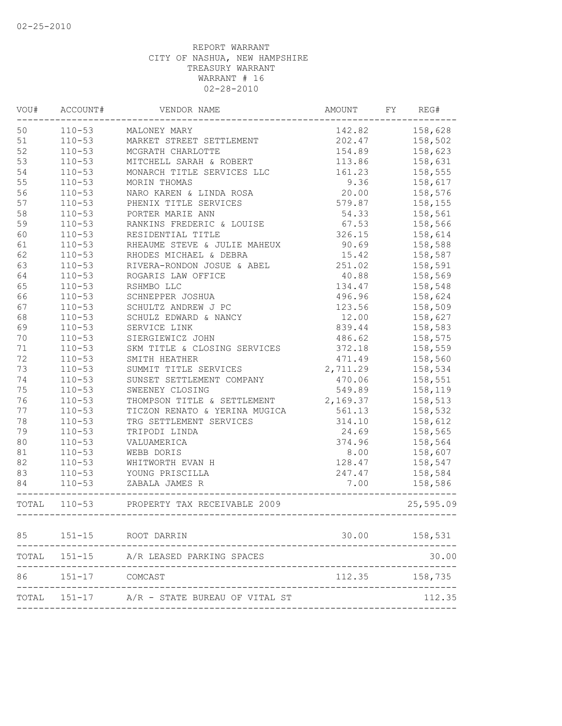| VOU# | ACCOUNT#       | VENDOR NAME                                                  | AMOUNT   | FY | REG#             |
|------|----------------|--------------------------------------------------------------|----------|----|------------------|
| 50   | $110 - 53$     | MALONEY MARY                                                 | 142.82   |    | 158,628          |
| 51   | $110 - 53$     | MARKET STREET SETTLEMENT                                     | 202.47   |    | 158,502          |
| 52   | $110 - 53$     | MCGRATH CHARLOTTE                                            | 154.89   |    | 158,623          |
| 53   | $110 - 53$     | MITCHELL SARAH & ROBERT                                      | 113.86   |    | 158,631          |
| 54   | $110 - 53$     | MONARCH TITLE SERVICES LLC                                   | 161.23   |    | 158,555          |
| 55   | $110 - 53$     | MORIN THOMAS                                                 | 9.36     |    | 158,617          |
| 56   | $110 - 53$     | NARO KAREN & LINDA ROSA                                      | 20.00    |    | 158,576          |
| 57   | $110 - 53$     | PHENIX TITLE SERVICES                                        | 579.87   |    | 158,155          |
| 58   | $110 - 53$     | PORTER MARIE ANN                                             | 54.33    |    | 158,561          |
| 59   | $110 - 53$     | RANKINS FREDERIC & LOUISE                                    | 67.53    |    | 158,566          |
| 60   | $110 - 53$     | RESIDENTIAL TITLE                                            | 326.15   |    | 158,614          |
| 61   | $110 - 53$     | RHEAUME STEVE & JULIE MAHEUX 90.69                           |          |    | 158,588          |
| 62   | $110 - 53$     | RHODES MICHAEL & DEBRA                                       | 15.42    |    | 158,587          |
| 63   | $110 - 53$     | RIVERA-RONDON JOSUE & ABEL                                   | 251.02   |    | 158,591          |
| 64   | $110 - 53$     | ROGARIS LAW OFFICE                                           | 40.88    |    | 158,569          |
| 65   | $110 - 53$     | RSHMBO LLC                                                   | 134.47   |    | 158,548          |
| 66   | $110 - 53$     | SCHNEPPER JOSHUA                                             | 496.96   |    | 158,624          |
| 67   | $110 - 53$     | SCHULTZ ANDREW J PC                                          | 123.56   |    | 158,509          |
| 68   | $110 - 53$     | SCHULZ EDWARD & NANCY                                        | 12.00    |    | 158,627          |
| 69   | $110 - 53$     | SERVICE LINK                                                 | 839.44   |    | 158,583          |
| 70   | $110 - 53$     | SIERGIEWICZ JOHN                                             | 486.62   |    | 158,575          |
| 71   | $110 - 53$     | SKM TITLE & CLOSING SERVICES                                 | 372.18   |    | 158,559          |
| 72   | $110 - 53$     | SMITH HEATHER                                                | 471.49   |    | 158,560          |
| 73   | $110 - 53$     | SUMMIT TITLE SERVICES                                        | 2,711.29 |    | 158,534          |
| 74   | $110 - 53$     | SUNSET SETTLEMENT COMPANY                                    | 470.06   |    | 158,551          |
| 75   | $110 - 53$     | SWEENEY CLOSING                                              | 549.89   |    | 158,119          |
| 76   | $110 - 53$     | THOMPSON TITLE & SETTLEMENT 2,169.37                         |          |    | 158,513          |
| 77   | $110 - 53$     | TICZON RENATO & YERINA MUGICA                                | 561.13   |    | 158,532          |
| 78   | $110 - 53$     | TRG SETTLEMENT SERVICES                                      | 314.10   |    | 158,612          |
| 79   | $110 - 53$     | TRIPODI LINDA                                                | 24.69    |    | 158,565          |
| 80   | $110 - 53$     | VALUAMERICA                                                  | 374.96   |    | 158,564          |
| 81   | $110 - 53$     | WEBB DORIS                                                   | 8.00     |    | 158,607          |
| 82   | $110 - 53$     | WHITWORTH EVAN H                                             | 128.47   |    | 158,547          |
| 83   | $110 - 53$     | YOUNG PRISCILLA                                              | 247.47   |    | 158,584          |
| 84   |                | 110-53 ZABALA JAMES R<br>----------------------------------- | 7.00     |    | 158,586          |
|      |                | TOTAL 110-53 PROPERTY TAX RECEIVABLE 2009                    |          |    | 25,595.09        |
| 85   |                | 151-15 ROOT DARRIN                                           |          |    | 30.00    158,531 |
|      | TOTAL 151-15   | A/R LEASED PARKING SPACES                                    |          |    | 30.00            |
| 86   | 151-17 COMCAST |                                                              | 112.35   |    | 158,735          |
|      |                | TOTAL 151-17 A/R - STATE BUREAU OF VITAL ST                  |          |    | 112.35           |
|      |                |                                                              |          |    |                  |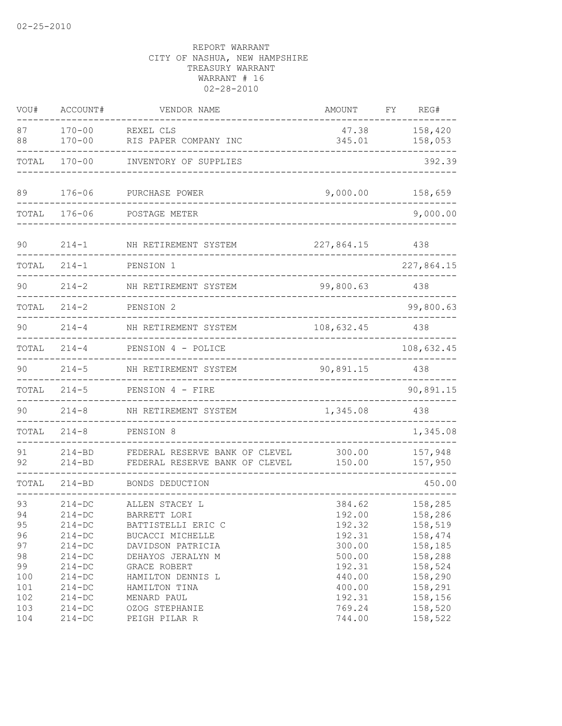| VOU#                                                 | ACCOUNT#                                                                                                             | VENDOR NAME                                                                                                                                                              | AMOUNT                                                                                 | FΥ | REG#                                                                                            |
|------------------------------------------------------|----------------------------------------------------------------------------------------------------------------------|--------------------------------------------------------------------------------------------------------------------------------------------------------------------------|----------------------------------------------------------------------------------------|----|-------------------------------------------------------------------------------------------------|
| 87<br>88                                             | $170 - 00$<br>$170 - 00$                                                                                             | REXEL CLS<br>RIS PAPER COMPANY INC                                                                                                                                       | 47.38<br>345.01                                                                        |    | 158,420<br>158,053                                                                              |
| TOTAL                                                | $170 - 00$                                                                                                           | INVENTORY OF SUPPLIES                                                                                                                                                    |                                                                                        |    | 392.39                                                                                          |
| 89                                                   | $176 - 06$                                                                                                           | PURCHASE POWER                                                                                                                                                           | 9,000.00                                                                               |    | 158,659                                                                                         |
| TOTAL                                                | $176 - 06$                                                                                                           | POSTAGE METER                                                                                                                                                            |                                                                                        |    | 9,000.00                                                                                        |
| 90                                                   | $214 - 1$                                                                                                            | NH RETIREMENT SYSTEM                                                                                                                                                     | 227,864.15                                                                             |    | 438                                                                                             |
| TOTAL                                                | $214 - 1$                                                                                                            | PENSION 1                                                                                                                                                                |                                                                                        |    | 227,864.15                                                                                      |
| 90                                                   | $214 - 2$                                                                                                            | NH RETIREMENT SYSTEM                                                                                                                                                     | 99,800.63                                                                              |    | 438                                                                                             |
| TOTAL                                                | $214 - 2$                                                                                                            | PENSION 2                                                                                                                                                                |                                                                                        |    | 99,800.63                                                                                       |
| 90                                                   | $214 - 4$                                                                                                            | NH RETIREMENT SYSTEM                                                                                                                                                     | 108,632.45                                                                             |    | 438                                                                                             |
| TOTAL                                                | $214 - 4$                                                                                                            | PENSION 4 - POLICE                                                                                                                                                       |                                                                                        |    | 108,632.45                                                                                      |
| 90                                                   | $214 - 5$                                                                                                            | NH RETIREMENT SYSTEM                                                                                                                                                     | 90,891.15                                                                              |    | 438                                                                                             |
| TOTAL                                                | $214 - 5$                                                                                                            | PENSION 4 - FIRE                                                                                                                                                         |                                                                                        |    | 90,891.15                                                                                       |
| 90                                                   | $214 - 8$                                                                                                            | NH RETIREMENT SYSTEM                                                                                                                                                     | 1,345.08                                                                               |    | 438                                                                                             |
| TOTAL                                                | $214 - 8$                                                                                                            | PENSION 8                                                                                                                                                                |                                                                                        |    | 1,345.08                                                                                        |
| 91<br>92                                             | $214 - BD$<br>$214 - BD$                                                                                             | FEDERAL RESERVE BANK OF CLEVEL<br>FEDERAL RESERVE BANK OF CLEVEL                                                                                                         | 300.00<br>150.00                                                                       |    | 157,948<br>157,950                                                                              |
| TOTAL                                                | $214 - BD$                                                                                                           | BONDS DEDUCTION                                                                                                                                                          |                                                                                        |    | 450.00                                                                                          |
| 93<br>94<br>95<br>96<br>97<br>98<br>99<br>100<br>101 | $214-DC$<br>$214 - DC$<br>$214-DC$<br>$214 - DC$<br>$214 - DC$<br>$214 - DC$<br>$214 - DC$<br>$214 - DC$<br>$214-DC$ | ALLEN STACEY L<br>BARRETT LORI<br>BATTISTELLI ERIC C<br>BUCACCI MICHELLE<br>DAVIDSON PATRICIA<br>DEHAYOS JERALYN M<br>GRACE ROBERT<br>HAMILTON DENNIS L<br>HAMILTON TINA | 384.62<br>192.00<br>192.32<br>192.31<br>300.00<br>500.00<br>192.31<br>440.00<br>400.00 |    | 158,285<br>158,286<br>158,519<br>158,474<br>158,185<br>158,288<br>158,524<br>158,290<br>158,291 |
| 102<br>103<br>104                                    | $214-DC$<br>$214 - DC$<br>$214-DC$                                                                                   | MENARD PAUL<br>OZOG STEPHANIE<br>PEIGH PILAR R                                                                                                                           | 192.31<br>769.24<br>744.00                                                             |    | 158,156<br>158,520<br>158,522                                                                   |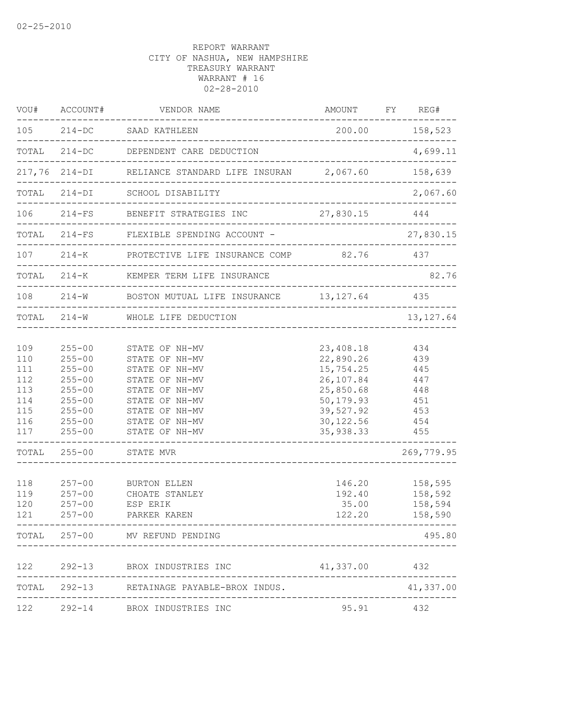|                                                                                         | VOU# ACCOUNT#                                                                                                                                                                      | VENDOR NAME                                                                                                                                                                                                                                                                                                                      | AMOUNT                                                                                                                                                            | FY REG#                                                                                                 |
|-----------------------------------------------------------------------------------------|------------------------------------------------------------------------------------------------------------------------------------------------------------------------------------|----------------------------------------------------------------------------------------------------------------------------------------------------------------------------------------------------------------------------------------------------------------------------------------------------------------------------------|-------------------------------------------------------------------------------------------------------------------------------------------------------------------|---------------------------------------------------------------------------------------------------------|
|                                                                                         |                                                                                                                                                                                    | 105 214-DC SAAD KATHLEEN<br>---------------------------------                                                                                                                                                                                                                                                                    | 200.00 158,523                                                                                                                                                    |                                                                                                         |
|                                                                                         |                                                                                                                                                                                    | TOTAL 214-DC DEPENDENT CARE DEDUCTION                                                                                                                                                                                                                                                                                            |                                                                                                                                                                   | 4,699.11                                                                                                |
|                                                                                         |                                                                                                                                                                                    | 217,76 214-DI RELIANCE STANDARD LIFE INSURAN 2,067.60                                                                                                                                                                                                                                                                            |                                                                                                                                                                   | 158,639                                                                                                 |
| TOTAL                                                                                   | $214 - DI$                                                                                                                                                                         | SCHOOL DISABILITY                                                                                                                                                                                                                                                                                                                | ________________________________                                                                                                                                  | 2,067.60                                                                                                |
|                                                                                         |                                                                                                                                                                                    | 106 214-FS BENEFIT STRATEGIES INC<br>-------------------------------------                                                                                                                                                                                                                                                       | 27,830.15 444                                                                                                                                                     |                                                                                                         |
|                                                                                         | ______________________                                                                                                                                                             | TOTAL 214-FS FLEXIBLE SPENDING ACCOUNT -                                                                                                                                                                                                                                                                                         |                                                                                                                                                                   | 27,830.15                                                                                               |
|                                                                                         |                                                                                                                                                                                    | 107 214-K PROTECTIVE LIFE INSURANCE COMP 82.76 437                                                                                                                                                                                                                                                                               |                                                                                                                                                                   |                                                                                                         |
|                                                                                         |                                                                                                                                                                                    | TOTAL 214-K KEMPER TERM LIFE INSURANCE                                                                                                                                                                                                                                                                                           |                                                                                                                                                                   | 82.76                                                                                                   |
|                                                                                         |                                                                                                                                                                                    | 108  214-W BOSTON MUTUAL LIFE INSURANCE  13,127.64  435<br>--------------------------------                                                                                                                                                                                                                                      |                                                                                                                                                                   | _________________                                                                                       |
|                                                                                         |                                                                                                                                                                                    | TOTAL 214-W WHOLE LIFE DEDUCTION                                                                                                                                                                                                                                                                                                 |                                                                                                                                                                   | 13, 127.64                                                                                              |
| 109<br>110<br>111<br>112<br>113<br>114<br>115<br>116<br>117<br>118<br>119<br>120<br>121 | $255 - 00$<br>$255 - 00$<br>$255 - 00$<br>$255 - 00$<br>$255 - 00$<br>$255 - 00$<br>$255 - 00$<br>$255 - 00$<br>$255 - 00$<br>$257 - 00$<br>$257 - 00$<br>$257 - 00$<br>$257 - 00$ | STATE OF NH-MV<br>STATE OF NH-MV<br>STATE OF NH-MV<br>STATE OF NH-MV<br>STATE OF NH-MV<br>STATE OF NH-MV<br>STATE OF NH-MV<br>STATE OF NH-MV<br>STATE OF NH-MV<br>____________________________<br>TOTAL 255-00 STATE MVR<br><u> 2000 - Alexandria Alexandria e</u><br>BURTON ELLEN<br>CHOATE STANLEY<br>ESP ERIK<br>PARKER KAREN | 23,408.18<br>22,890.26<br>15,754.25<br>26,107.84<br>25,850.68<br>50,179.93<br>39,527.92<br>30, 122.56 454<br>35,938.33 455<br>146.20<br>192.40<br>35.00<br>122.20 | 434<br>439<br>445<br>447<br>448<br>451<br>453<br>269,779.95<br>158,595<br>158,592<br>158,594<br>158,590 |
|                                                                                         |                                                                                                                                                                                    | TOTAL 257-00 MV REFUND PENDING                                                                                                                                                                                                                                                                                                   |                                                                                                                                                                   | 495.80                                                                                                  |
|                                                                                         | -----------------                                                                                                                                                                  |                                                                                                                                                                                                                                                                                                                                  |                                                                                                                                                                   |                                                                                                         |
| 122                                                                                     |                                                                                                                                                                                    | 292-13 BROX INDUSTRIES INC                                                                                                                                                                                                                                                                                                       | 41,337.00 432                                                                                                                                                     |                                                                                                         |
|                                                                                         | --------------                                                                                                                                                                     | TOTAL 292-13 RETAINAGE PAYABLE-BROX INDUS.                                                                                                                                                                                                                                                                                       |                                                                                                                                                                   | 41,337.00                                                                                               |
|                                                                                         |                                                                                                                                                                                    | 122 292-14 BROX INDUSTRIES INC                                                                                                                                                                                                                                                                                                   | 95.91 432                                                                                                                                                         |                                                                                                         |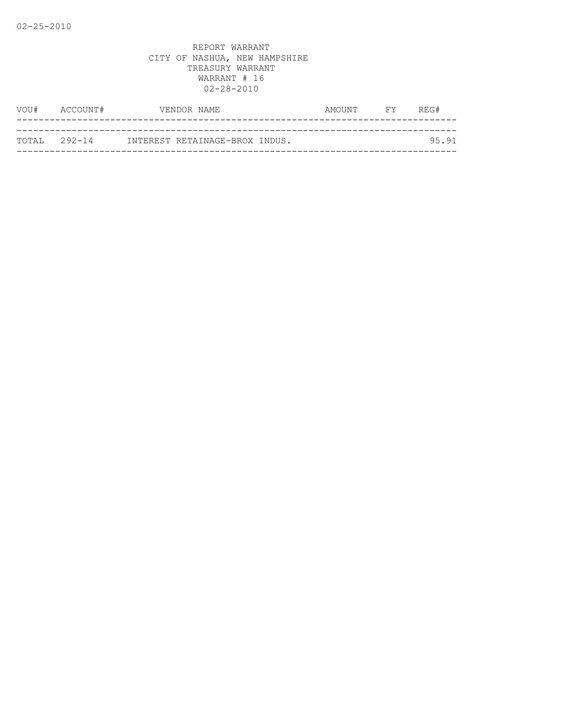| VOU#          | ACCOUNT# | VENDOR NAME                    | AMOUNT | <b>FY</b> | REG#  |
|---------------|----------|--------------------------------|--------|-----------|-------|
|               |          |                                |        |           |       |
| ТОТАІ, 292-14 |          | INTEREST RETAINAGE-BROX INDUS. |        |           | 95.91 |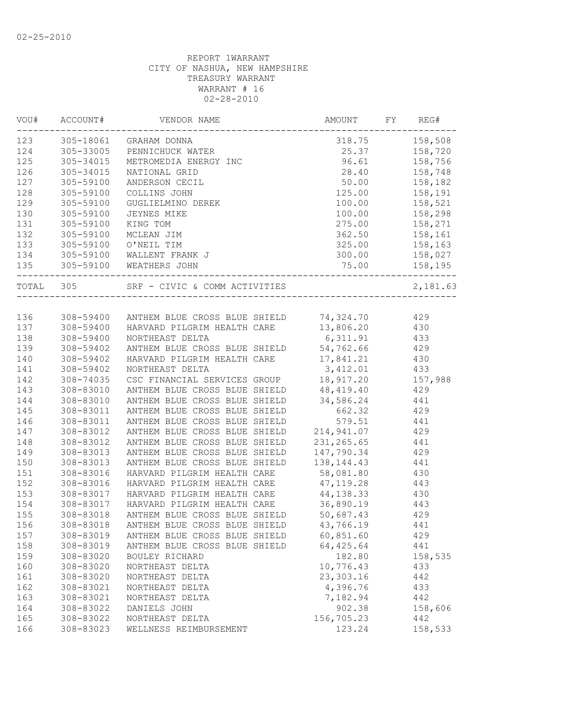| VOU#  | ACCOUNT#               | VENDOR NAME                                       | AMOUNT        | FY<br>REG#    |
|-------|------------------------|---------------------------------------------------|---------------|---------------|
| 123   | 305-18061              | GRAHAM DONNA                                      | 318.75        | 158,508       |
| 124   | 305-33005              | PENNICHUCK WATER<br>METROMEDIA ENERGY INC         |               | 25.37 158,720 |
| 125   | 305-34015              |                                                   |               | 96.61 158,756 |
| 126   | 305-34015              | NATIONAL GRID                                     | 28.40         | 158,748       |
| 127   | 305-59100              | ANDERSON CECIL                                    | 50.00         | 158,182       |
| 128   | 305-59100              | COLLINS JOHN                                      | 125.00        | 158,191       |
| 129   | 305-59100              | GUGLIELMINO DEREK                                 | 100.00        | 158,521       |
| 130   | 305-59100              | JEYNES MIKE                                       | 100.00        | 158,298       |
| 131   | 305-59100              | KING TOM                                          | 275.00        | 158,271       |
| 132   | 305-59100              | MCLEAN JIM                                        | 362.50        | 158,161       |
| 133   | 305-59100              | O'NEIL TIM                                        | 325.00        | 158,163       |
| 134   | 305-59100              | WALLENT FRANK J                                   | 300.00        | 158,027       |
| 135   |                        | 305-59100 WEATHERS JOHN                           | 75.00         | 158,195       |
| TOTAL | 305                    |                                                   |               | 2,181.63      |
|       |                        |                                                   |               |               |
| 136   |                        | 308-59400 ANTHEM BLUE CROSS BLUE SHIELD 74,324.70 |               | 429           |
| 137   | 308-59400              | HARVARD PILGRIM HEALTH CARE                       | 13,806.20 430 |               |
| 138   | 308-59400              | NORTHEAST DELTA                                   | 6, 311.91     | 433           |
| 139   | 308-59402              | ANTHEM BLUE CROSS BLUE SHIELD 54,762.66           |               | 429           |
| 140   | 308-59402              | HARVARD PILGRIM HEALTH CARE                       | 17,841.21     | 430           |
| 141   | 308-59402              | NORTHEAST DELTA                                   | 3, 412.01     | 433           |
| 142   | 308-74035              | CSC FINANCIAL SERVICES GROUP                      | 18,917.20     | 157,988       |
| 143   | 308-83010              | ANTHEM BLUE CROSS BLUE SHIELD                     | 48,419.40     | 429           |
| 144   | 308-83010              | ANTHEM BLUE CROSS BLUE SHIELD                     | 34,586.24     | 441           |
| 145   | 308-83011              | ANTHEM BLUE CROSS BLUE SHIELD                     | 662.32        | 429           |
| 146   | 308-83011              | ANTHEM BLUE CROSS BLUE SHIELD                     | 579.51        | 441           |
| 147   | 308-83012              | ANTHEM BLUE CROSS BLUE SHIELD                     | 214,941.07    | 429           |
| 148   | 308-83012              | ANTHEM BLUE CROSS BLUE SHIELD                     | 231, 265.65   | 441           |
| 149   | 308-83013              | ANTHEM BLUE CROSS BLUE SHIELD                     | 147,790.34    | 429           |
| 150   | 308-83013              | ANTHEM BLUE CROSS BLUE SHIELD                     | 138, 144. 43  | 441           |
| 151   | 308-83016              | HARVARD PILGRIM HEALTH CARE                       | 58,081.80     | 430           |
| 152   | 308-83016              | HARVARD PILGRIM HEALTH CARE                       | 47,119.28     | 443           |
| 153   | 308-83017              | HARVARD PILGRIM HEALTH CARE                       | 44, 138.33    | 430           |
| 154   | 308-83017              | HARVARD PILGRIM HEALTH CARE                       | 36,890.19     | 443           |
| 155   | 308-83018              | ANTHEM BLUE CROSS BLUE SHIELD 50,687.43           |               | 429           |
| 156   |                        | 308-83018 ANTHEM BLUE CROSS BLUE SHIELD           | 43,766.19     | 441           |
| 157   | 308-83019              | ANTHEM BLUE CROSS BLUE SHIELD                     | 60,851.60     | 429           |
| 158   | 308-83019              | ANTHEM BLUE CROSS BLUE SHIELD                     | 64, 425.64    | 441           |
| 159   | 308-83020              | BOULEY RICHARD                                    | 182.80        | 158,535       |
| 160   | 308-83020              | NORTHEAST DELTA                                   | 10,776.43     | 433           |
| 161   |                        |                                                   | 23,303.16     |               |
| 162   | 308-83020              | NORTHEAST DELTA                                   | 4,396.76      | 442           |
|       | 308-83021<br>308-83021 | NORTHEAST DELTA                                   |               | 433<br>442    |
| 163   |                        | NORTHEAST DELTA                                   | 7,182.94      |               |
| 164   | 308-83022              | DANIELS JOHN                                      | 902.38        | 158,606       |
| 165   | 308-83022              | NORTHEAST DELTA                                   | 156,705.23    | 442           |
| 166   | 308-83023              | WELLNESS REIMBURSEMENT                            | 123.24        | 158,533       |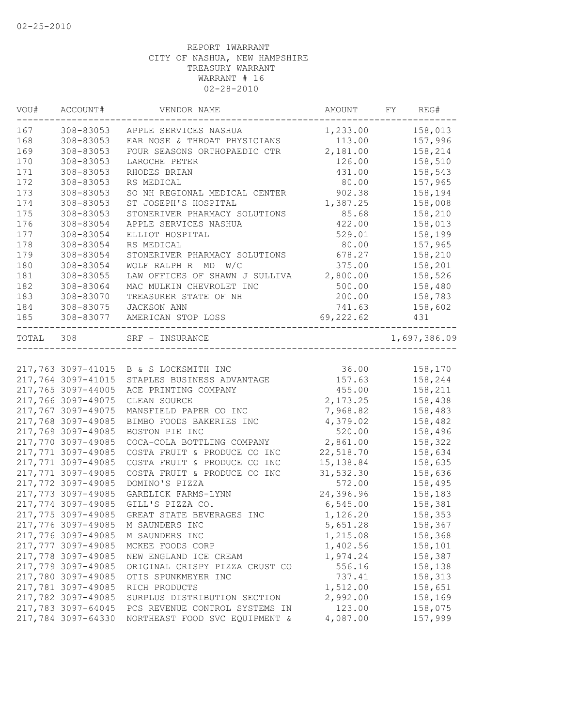| VOU#  | ACCOUNT#           | VENDOR NAME                            | AMOUNT     | FY | REG#         |
|-------|--------------------|----------------------------------------|------------|----|--------------|
| 167   | 308-83053          | APPLE SERVICES NASHUA                  | 1,233.00   |    | 158,013      |
| 168   | 308-83053          | EAR NOSE & THROAT PHYSICIANS           | 113.00     |    | 157,996      |
| 169   | 308-83053          | FOUR SEASONS ORTHOPAEDIC CTR           | 2,181.00   |    | 158,214      |
| 170   | 308-83053          | LAROCHE PETER                          | 126.00     |    | 158,510      |
| 171   | 308-83053          | RHODES BRIAN                           | 431.00     |    | 158,543      |
| 172   | 308-83053          | RS MEDICAL                             | 80.00      |    | 157,965      |
| 173   | 308-83053          | SO NH REGIONAL MEDICAL CENTER          | 902.38     |    | 158,194      |
| 174   | 308-83053          | ST JOSEPH'S HOSPITAL                   | 1,387.25   |    | 158,008      |
| 175   | 308-83053          | STONERIVER PHARMACY SOLUTIONS          | 85.68      |    | 158,210      |
| 176   | 308-83054          | APPLE SERVICES NASHUA                  | 422.00     |    | 158,013      |
| 177   | 308-83054          | ELLIOT HOSPITAL                        | 529.01     |    | 158,199      |
| 178   | 308-83054          | RS MEDICAL                             | 80.00      |    | 157,965      |
| 179   | 308-83054          | STONERIVER PHARMACY SOLUTIONS          | 678.27     |    | 158,210      |
| 180   | 308-83054          | WOLF RALPH R MD W/C                    | 375.00     |    | 158,201      |
| 181   | 308-83055          | LAW OFFICES OF SHAWN J SULLIVA         | 2,800.00   |    | 158,526      |
| 182   | 308-83064          | MAC MULKIN CHEVROLET INC               | 500.00     |    | 158,480      |
| 183   | 308-83070          | TREASURER STATE OF NH                  | 200.00     |    | 158,783      |
| 184   | 308-83075          | JACKSON ANN                            | 741.63     |    | 158,602      |
| 185   | 308-83077          | AMERICAN STOP LOSS                     | 69,222.62  |    | 431          |
| TOTAL | 308                | SRF - INSURANCE                        |            |    | 1,697,386.09 |
|       |                    |                                        |            |    |              |
|       |                    | 217,763 3097-41015 B & S LOCKSMITH INC | 36.00      |    | 158,170      |
|       | 217,764 3097-41015 | STAPLES BUSINESS ADVANTAGE             | 157.63     |    | 158,244      |
|       | 217,765 3097-44005 | ACE PRINTING COMPANY                   | 455.00     |    | 158,211      |
|       | 217,766 3097-49075 | CLEAN SOURCE                           | 2,173.25   |    | 158,438      |
|       | 217,767 3097-49075 | MANSFIELD PAPER CO INC                 | 7,968.82   |    | 158,483      |
|       | 217,768 3097-49085 | BIMBO FOODS BAKERIES INC               | 4,379.02   |    | 158,482      |
|       | 217,769 3097-49085 | BOSTON PIE INC                         | 520.00     |    | 158,496      |
|       | 217,770 3097-49085 | COCA-COLA BOTTLING COMPANY             | 2,861.00   |    | 158,322      |
|       | 217,771 3097-49085 | COSTA FRUIT & PRODUCE CO INC           | 22,518.70  |    | 158,634      |
|       | 217,771 3097-49085 | COSTA FRUIT & PRODUCE CO INC           | 15, 138.84 |    | 158,635      |
|       | 217,771 3097-49085 | COSTA FRUIT & PRODUCE CO INC           | 31,532.30  |    | 158,636      |
|       | 217,772 3097-49085 | DOMINO'S PIZZA                         | 572.00     |    | 158,495      |
|       | 217,773 3097-49085 | GARELICK FARMS-LYNN                    | 24,396.96  |    | 158,183      |
|       | 217,774 3097-49085 | GILL'S PIZZA CO.                       | 6,545.00   |    | 158,381      |
|       | 217,775 3097-49085 | GREAT STATE BEVERAGES INC              | 1,126.20   |    | 158,353      |
|       | 217,776 3097-49085 | M SAUNDERS INC                         | 5,651.28   |    | 158,367      |
|       | 217,776 3097-49085 | M SAUNDERS INC                         | 1,215.08   |    | 158,368      |
|       | 217,777 3097-49085 | MCKEE FOODS CORP                       | 1,402.56   |    | 158,101      |
|       | 217,778 3097-49085 | NEW ENGLAND ICE CREAM                  | 1,974.24   |    | 158,387      |
|       | 217,779 3097-49085 | ORIGINAL CRISPY PIZZA CRUST CO         | 556.16     |    | 158,138      |
|       | 217,780 3097-49085 | OTIS SPUNKMEYER INC                    | 737.41     |    | 158,313      |
|       | 217,781 3097-49085 | RICH PRODUCTS                          | 1,512.00   |    | 158,651      |
|       | 217,782 3097-49085 | SURPLUS DISTRIBUTION SECTION           | 2,992.00   |    | 158,169      |
|       | 217,783 3097-64045 | PCS REVENUE CONTROL SYSTEMS IN         | 123.00     |    | 158,075      |
|       | 217,784 3097-64330 | NORTHEAST FOOD SVC EQUIPMENT &         | 4,087.00   |    | 157,999      |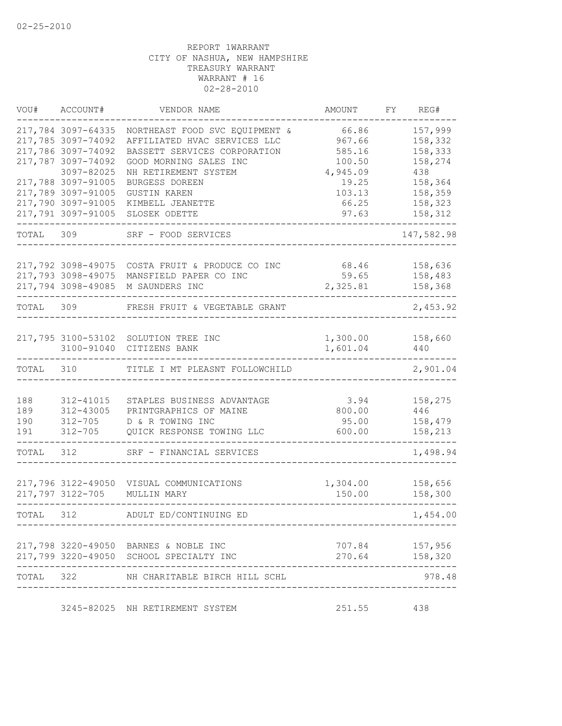| VOU#      | ACCOUNT#           | VENDOR NAME                                             | AMOUNT             | FY | REG#               |
|-----------|--------------------|---------------------------------------------------------|--------------------|----|--------------------|
|           | 217,784 3097-64335 | NORTHEAST FOOD SVC EQUIPMENT &                          | 66.86              |    | 157,999            |
|           | 217,785 3097-74092 | AFFILIATED HVAC SERVICES LLC                            | 967.66             |    | 158,332            |
|           | 217,786 3097-74092 | BASSETT SERVICES CORPORATION                            | 585.16             |    | 158,333            |
|           | 217,787 3097-74092 | GOOD MORNING SALES INC                                  | 100.50             |    | 158,274            |
|           | 3097-82025         | NH RETIREMENT SYSTEM                                    | 4,945.09           |    | 438                |
|           | 217,788 3097-91005 | BURGESS DOREEN                                          | 19.25              |    | 158,364            |
|           | 217,789 3097-91005 | <b>GUSTIN KAREN</b>                                     | 103.13             |    | 158,359            |
|           | 217,790 3097-91005 | KIMBELL JEANETTE                                        | 66.25              |    | 158,323            |
|           | 217,791 3097-91005 | SLOSEK ODETTE                                           | 97.63              |    | 158,312            |
| TOTAL 309 |                    | SRF - FOOD SERVICES                                     |                    |    | 147,582.98         |
|           | 217,792 3098-49075 | COSTA FRUIT & PRODUCE CO INC                            | 68.46              |    | 158,636            |
|           |                    | 217,793 3098-49075 MANSFIELD PAPER CO INC               | 59.65              |    | 158,483            |
|           | 217,794 3098-49085 | M SAUNDERS INC                                          | 2,325.81           |    | 158,368            |
|           |                    |                                                         |                    |    |                    |
| TOTAL 309 |                    | FRESH FRUIT & VEGETABLE GRANT                           |                    |    | 2,453.92           |
|           |                    |                                                         |                    |    |                    |
|           |                    | 217,795 3100-53102 SOLUTION TREE INC                    | 1,300.00           |    | 158,660            |
|           | 3100-91040         | CITIZENS BANK                                           | 1,601.04           |    | 440                |
| TOTAL     | 310                | TITLE I MT PLEASNT FOLLOWCHILD                          |                    |    | 2,901.04           |
|           |                    |                                                         |                    |    |                    |
| 188       | 312-41015          | STAPLES BUSINESS ADVANTAGE                              | 3.94               |    | 158,275            |
| 189       | 312-43005          | PRINTGRAPHICS OF MAINE                                  | 800.00             |    | 446                |
| 190       | $312 - 705$        | D & R TOWING INC                                        | 95.00              |    | 158,479            |
| 191       | $312 - 705$        | QUICK RESPONSE TOWING LLC                               | 600.00             |    | 158,213            |
| TOTAL     | 312                | SRF - FINANCIAL SERVICES                                |                    |    | 1,498.94           |
|           |                    |                                                         |                    |    |                    |
|           | 217,797 3122-705   | 217,796 3122-49050 VISUAL COMMUNICATIONS<br>MULLIN MARY | 1,304.00<br>150.00 |    | 158,656<br>158,300 |
|           |                    |                                                         |                    |    |                    |
| TOTAL     | 312                | ADULT ED/CONTINUING ED                                  |                    |    | 1,454.00           |
|           |                    | 217,798 3220-49050 BARNES & NOBLE INC                   |                    |    | 707.84 157,956     |
|           |                    | 217,799 3220-49050 SCHOOL SPECIALTY INC                 |                    |    | 270.64 158,320     |
| TOTAL 322 |                    | NH CHARITABLE BIRCH HILL SCHL                           |                    |    | 978.48             |
|           |                    |                                                         |                    |    |                    |
|           |                    | 3245-82025 NH RETIREMENT SYSTEM                         | 251.55 438         |    |                    |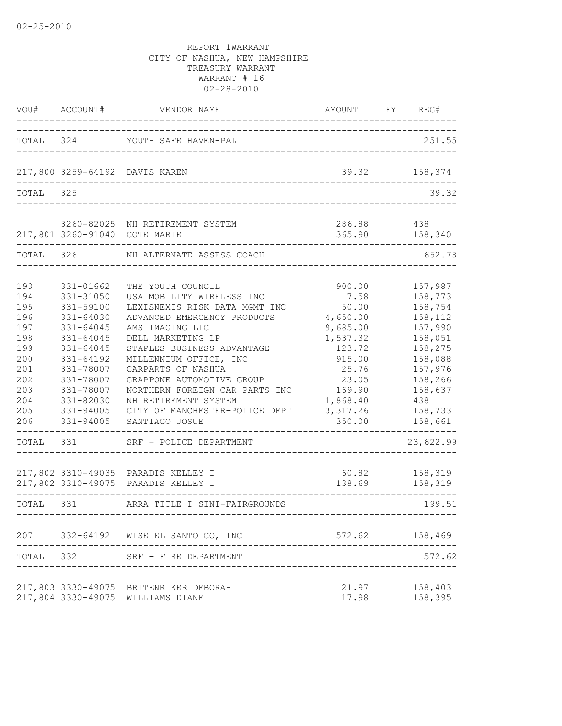| VOU#                                                                                           | ACCOUNT#                                                                                                                                                                           | VENDOR NAME                                                                                                                                                                                                                                                                                                                                                                     | AMOUNT                                                                                                                                         | FY | REG#                                                                                                                                               |
|------------------------------------------------------------------------------------------------|------------------------------------------------------------------------------------------------------------------------------------------------------------------------------------|---------------------------------------------------------------------------------------------------------------------------------------------------------------------------------------------------------------------------------------------------------------------------------------------------------------------------------------------------------------------------------|------------------------------------------------------------------------------------------------------------------------------------------------|----|----------------------------------------------------------------------------------------------------------------------------------------------------|
|                                                                                                |                                                                                                                                                                                    | TOTAL 324 YOUTH SAFE HAVEN-PAL                                                                                                                                                                                                                                                                                                                                                  |                                                                                                                                                |    | 251.55                                                                                                                                             |
|                                                                                                |                                                                                                                                                                                    | 217,800 3259-64192 DAVIS KAREN                                                                                                                                                                                                                                                                                                                                                  | 39.32                                                                                                                                          |    | 158,374                                                                                                                                            |
| TOTAL                                                                                          | 325                                                                                                                                                                                |                                                                                                                                                                                                                                                                                                                                                                                 |                                                                                                                                                |    | 39.32                                                                                                                                              |
|                                                                                                | 217,801 3260-91040 COTE MARIE                                                                                                                                                      | 3260-82025 NH RETIREMENT SYSTEM                                                                                                                                                                                                                                                                                                                                                 | 286.88<br>365.90                                                                                                                               |    | 438<br>158,340                                                                                                                                     |
| TOTAL 326                                                                                      |                                                                                                                                                                                    | NH ALTERNATE ASSESS COACH                                                                                                                                                                                                                                                                                                                                                       |                                                                                                                                                |    | 652.78                                                                                                                                             |
| 193<br>194<br>195<br>196<br>197<br>198<br>199<br>200<br>201<br>202<br>203<br>204<br>205<br>206 | 331-01662<br>331-31050<br>331-59100<br>331-64030<br>331-64045<br>331-64045<br>331-64045<br>331-64192<br>331-78007<br>331-78007<br>331-78007<br>331-82030<br>331-94005<br>331-94005 | THE YOUTH COUNCIL<br>USA MOBILITY WIRELESS INC<br>LEXISNEXIS RISK DATA MGMT INC<br>ADVANCED EMERGENCY PRODUCTS<br>AMS IMAGING LLC<br>DELL MARKETING LP<br>STAPLES BUSINESS ADVANTAGE<br>MILLENNIUM OFFICE, INC<br>CARPARTS OF NASHUA<br>GRAPPONE AUTOMOTIVE GROUP<br>NORTHERN FOREIGN CAR PARTS INC<br>NH RETIREMENT SYSTEM<br>CITY OF MANCHESTER-POLICE DEPT<br>SANTIAGO JOSUE | 900.00<br>7.58<br>50.00<br>4,650.00<br>9,685.00<br>1,537.32<br>123.72<br>915.00<br>25.76<br>23.05<br>169.90<br>1,868.40<br>3, 317.26<br>350.00 |    | 157,987<br>158,773<br>158,754<br>158,112<br>157,990<br>158,051<br>158,275<br>158,088<br>157,976<br>158,266<br>158,637<br>438<br>158,733<br>158,661 |
| TOTAL                                                                                          | 331                                                                                                                                                                                | SRF - POLICE DEPARTMENT                                                                                                                                                                                                                                                                                                                                                         |                                                                                                                                                |    | 23,622.99                                                                                                                                          |
|                                                                                                |                                                                                                                                                                                    | 217,802 3310-49035 PARADIS KELLEY I<br>217,802 3310-49075 PARADIS KELLEY I                                                                                                                                                                                                                                                                                                      | 60.82<br>138.69                                                                                                                                |    | 158,319<br>158,319                                                                                                                                 |
| TOTAL 331                                                                                      |                                                                                                                                                                                    | ARRA TITLE I SINI-FAIRGROUNDS<br>. _ _ _ _ _ _ _ _ _ _ _ _ _ _ _                                                                                                                                                                                                                                                                                                                |                                                                                                                                                |    | 199.51                                                                                                                                             |
|                                                                                                |                                                                                                                                                                                    | 207 332-64192 WISE EL SANTO CO, INC                                                                                                                                                                                                                                                                                                                                             | 572.62                                                                                                                                         |    | 158,469                                                                                                                                            |
| TOTAL 332                                                                                      |                                                                                                                                                                                    | SRF - FIRE DEPARTMENT                                                                                                                                                                                                                                                                                                                                                           |                                                                                                                                                |    | 572.62                                                                                                                                             |
|                                                                                                |                                                                                                                                                                                    | 217,803 3330-49075 BRITENRIKER DEBORAH<br>217,804 3330-49075 WILLIAMS DIANE                                                                                                                                                                                                                                                                                                     | 21.97<br>17.98                                                                                                                                 |    | 158,403<br>158,395                                                                                                                                 |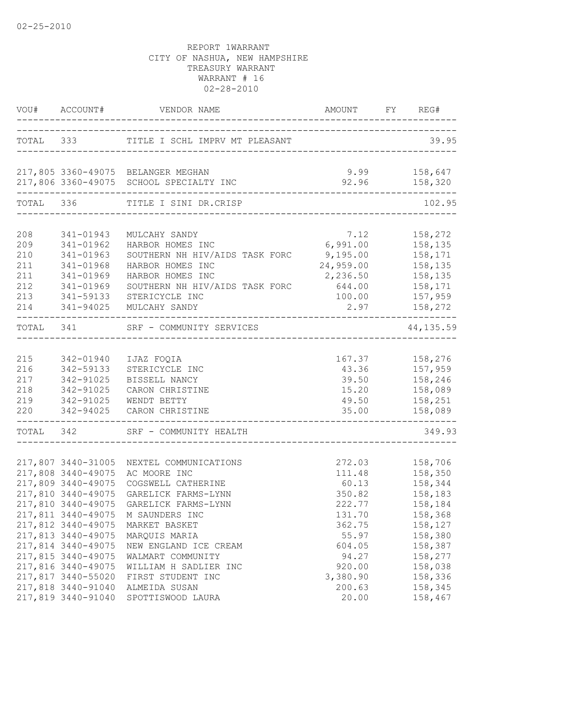|                                                      |                                                                                                                                                        | VOU# ACCOUNT# VENDOR NAME AMOUNT FY REQUES                                                                                                                                       | AMOUNT FY REG#                                                                    |                                                                                      |
|------------------------------------------------------|--------------------------------------------------------------------------------------------------------------------------------------------------------|----------------------------------------------------------------------------------------------------------------------------------------------------------------------------------|-----------------------------------------------------------------------------------|--------------------------------------------------------------------------------------|
|                                                      |                                                                                                                                                        | TOTAL 333 TITLE I SCHL IMPRV MT PLEASANT                                                                                                                                         |                                                                                   | 39.95                                                                                |
|                                                      |                                                                                                                                                        | 217,805 3360-49075 BELANGER MEGHAN<br>217,806 3360-49075 SCHOOL SPECIALTY INC<br>-------------------------------                                                                 | $9.99$ $158,647$                                                                  | $92.96$ $158,320$                                                                    |
| TOTAL 336                                            |                                                                                                                                                        | TITLE I SINI DR.CRISP                                                                                                                                                            |                                                                                   | 102.95                                                                               |
| 208<br>209<br>210<br>211<br>211<br>212<br>213<br>214 | 341-01943<br>341-01962<br>341-01963<br>341-01968<br>341-01969<br>341-01969<br>341-59133<br>341-94025                                                   | MULCAHY SANDY<br>HARBOR HOMES INC<br>SOUTHERN NH HIV/AIDS TASK FORC<br>HARBOR HOMES INC<br>HARBOR HOMES INC<br>SOUTHERN NH HIV/AIDS TASK FORC<br>STERICYCLE INC<br>MULCAHY SANDY | 7.12<br>6,991.00<br>9,195.00<br>24,959.00<br>2,236.50<br>644.00<br>100.00<br>2.97 | 158,272<br>158,135<br>158,171<br>158,135<br>158,135<br>158,171<br>157,959<br>158,272 |
| TOTAL 341                                            |                                                                                                                                                        | SRF - COMMUNITY SERVICES                                                                                                                                                         |                                                                                   | ------<br>44,135.59                                                                  |
| 215<br>216<br>217<br>218<br>219<br>220               | 342-01940<br>342-59133<br>342-91025<br>342-91025<br>342-91025<br>342-94025                                                                             | IJAZ FOQIA<br>STERICYCLE INC<br>BISSELL NANCY<br>CARON CHRISTINE<br>WENDT BETTY<br>CARON CHRISTINE<br>-------------------------------------                                      | 15.20<br>49.50<br>35.00                                                           | 167.37 158,276<br>43.36 157,959<br>39.50 158,246<br>158,089<br>158,251<br>158,089    |
| TOTAL 342                                            |                                                                                                                                                        | SRF - COMMUNITY HEALTH                                                                                                                                                           |                                                                                   | 349.93                                                                               |
|                                                      | 217,807 3440-31005<br>217,808 3440-49075<br>217,809 3440-49075<br>217,810 3440-49075<br>217,810 3440-49075                                             | NEXTEL COMMUNICATIONS<br>AC MOORE INC<br>COGSWELL CATHERINE<br>GARELICK FARMS-LYNN<br>GARELICK FARMS-LYNN<br>217,811 3440-49075 M SAUNDERS INC                                   | 272.03<br>111.48<br>60.13<br>350.82<br>222.77<br>131.70                           | 158,706<br>158,350<br>158,344<br>158,183<br>158,184<br>158,368                       |
|                                                      | 217,812 3440-49075<br>217,813 3440-49075<br>217,814 3440-49075<br>217,815 3440-49075<br>217,816 3440-49075<br>217,817 3440-55020<br>217,818 3440-91040 | MARKET BASKET<br>MARQUIS MARIA<br>NEW ENGLAND ICE CREAM<br>WALMART COMMUNITY<br>WILLIAM H SADLIER INC<br>FIRST STUDENT INC<br>ALMEIDA SUSAN                                      | 362.75<br>55.97<br>604.05<br>94.27<br>920.00<br>3,380.90<br>200.63                | 158,127<br>158,380<br>158,387<br>158,277<br>158,038<br>158,336<br>158,345            |
|                                                      | 217,819 3440-91040                                                                                                                                     | SPOTTISWOOD LAURA                                                                                                                                                                | 20.00                                                                             | 158,467                                                                              |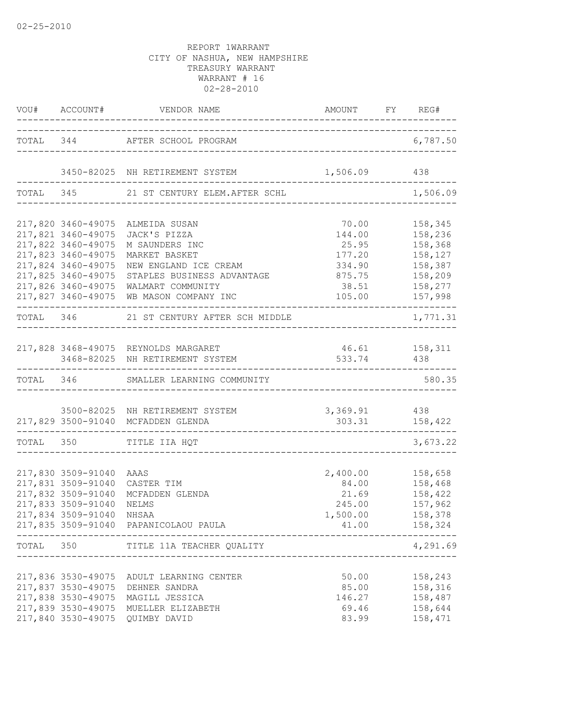|       |                                                                                                                                  | VOU# ACCOUNT# VENDOR NAME AMOUNT FY REG#                                                                                                                                                                                  |                                                                                           |                                                                |
|-------|----------------------------------------------------------------------------------------------------------------------------------|---------------------------------------------------------------------------------------------------------------------------------------------------------------------------------------------------------------------------|-------------------------------------------------------------------------------------------|----------------------------------------------------------------|
|       |                                                                                                                                  | TOTAL 344 AFTER SCHOOL PROGRAM                                                                                                                                                                                            |                                                                                           | 6,787.50                                                       |
|       |                                                                                                                                  | 3450-82025 NH RETIREMENT SYSTEM 1,506.09 438                                                                                                                                                                              |                                                                                           |                                                                |
|       |                                                                                                                                  | TOTAL 345 21 ST CENTURY ELEM. AFTER SCHL                                                                                                                                                                                  |                                                                                           | 1,506.09                                                       |
|       | 217,821 3460-49075<br>217,822 3460-49075<br>217,823 3460-49075<br>217,824 3460-49075<br>217,825 3460-49075<br>217,826 3460-49075 | 217,820 3460-49075 ALMEIDA SUSAN<br>JACK'S PIZZA<br>M SAUNDERS INC<br>MARKET BASKET<br>NEW ENGLAND ICE CREAM<br>STAPLES BUSINESS ADVANTAGE 875.75 158,209<br>WALMART COMMUNITY<br>217,827 3460-49075 WB MASON COMPANY INC | 70.00<br>144.00<br>25.95<br>177.20<br>334.90<br>38.51 158,277<br>105.00                   | 158,345<br>158,236<br>158,368<br>158,127<br>158,387<br>157,998 |
|       |                                                                                                                                  | TOTAL 346 21 ST CENTURY AFTER SCH MIDDLE                                                                                                                                                                                  |                                                                                           | -------<br>1,771.31                                            |
|       |                                                                                                                                  | 217,828 3468-49075 REYNOLDS MARGARET<br>3468-82025 NH RETIREMENT SYSTEM                                                                                                                                                   | 46.61 158,311<br>533.74 438                                                               |                                                                |
|       |                                                                                                                                  | TOTAL 346 SMALLER LEARNING COMMUNITY                                                                                                                                                                                      |                                                                                           | 580.35                                                         |
|       |                                                                                                                                  | 3500-82025 NH RETIREMENT SYSTEM<br>217,829 3500-91040 MCFADDEN GLENDA                                                                                                                                                     | $3,369.91$ 438<br>303.31 158,422                                                          |                                                                |
|       |                                                                                                                                  | TOTAL 350 TITLE IIA HQT                                                                                                                                                                                                   |                                                                                           | 3,673.22                                                       |
|       | 217,830 3509-91040 AAAS<br>217,832 3509-91040<br>217,833 3509-91040<br>217,834 3509-91040 NHSAA                                  | 217,831 3509-91040 CASTER TIM<br>MCFADDEN GLENDA<br>NELMS<br>217,835 3509-91040 PAPANICOLAOU PAULA                                                                                                                        | 2,400.00<br>84.00<br>21.69<br>245.00<br>1,500.00<br>41.00<br>---------------------------- | 158,658<br>158,468<br>158,422<br>157,962<br>158,378<br>158,324 |
| TOTAL | 350                                                                                                                              | TITLE 11A TEACHER QUALITY                                                                                                                                                                                                 |                                                                                           | 4,291.69                                                       |
|       | 217,837 3530-49075<br>217,838 3530-49075<br>217,840 3530-49075                                                                   | 217,836 3530-49075 ADULT LEARNING CENTER<br>DEHNER SANDRA<br>MAGILL JESSICA<br>217,839 3530-49075 MUELLER ELIZABETH<br>QUIMBY DAVID                                                                                       | 50.00<br>85.00<br>146.27<br>69.46<br>83.99                                                | 158,243<br>158,316<br>158,487<br>158,644<br>158,471            |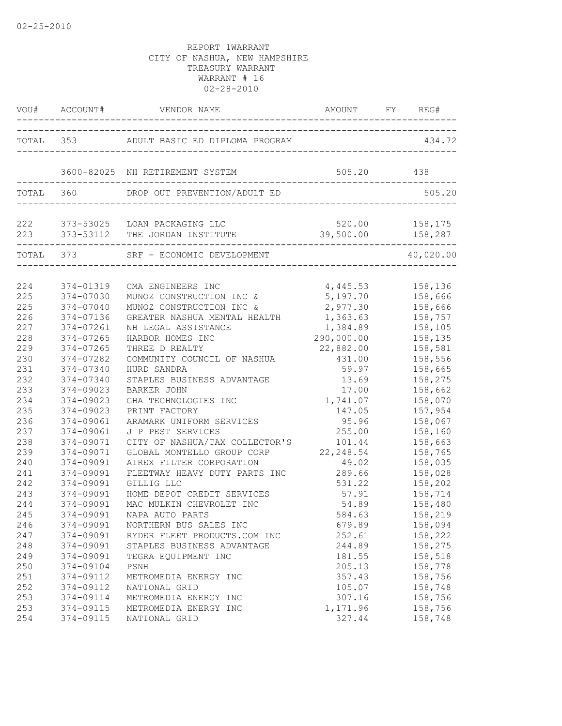|                   |                                     | VOU# ACCOUNT# VENDOR NAME                                                            |                                    |                               |
|-------------------|-------------------------------------|--------------------------------------------------------------------------------------|------------------------------------|-------------------------------|
|                   |                                     | TOTAL 353 ADULT BASIC ED DIPLOMA PROGRAM                                             |                                    | 434.72                        |
|                   |                                     | 3600-82025 NH RETIREMENT SYSTEM                                                      | 505.20                             | 438                           |
|                   | TOTAL 360                           | DROP OUT PREVENTION/ADULT ED                                                         |                                    | 505.20                        |
|                   |                                     | 222 373-53025 LOAN PACKAGING LLC<br>223 373-53112 THE JORDAN INSTITUTE               | 39,500.00                          | 520.00 158,175<br>158,287     |
|                   |                                     | TOTAL 373 SRF - ECONOMIC DEVELOPMENT                                                 |                                    | 40,020.00                     |
| 224               | 374-01319                           | CMA ENGINEERS INC                                                                    | 4,445.53                           | 158,136                       |
| 225<br>225        | 374-07030<br>374-07040              | MUNOZ CONSTRUCTION INC &<br>MUNOZ CONSTRUCTION INC &<br>GREATER NASHUA MENTAL HEALTH | 5,197.70<br>2,977.30               | 158,666<br>158,666            |
| 226<br>227<br>228 | 374-07136<br>374-07261<br>374-07265 | NH LEGAL ASSISTANCE<br>HARBOR HOMES INC                                              | 1,363.63<br>1,384.89<br>290,000.00 | 158,757<br>158,105<br>158,135 |
| 229<br>230        | 374-07265<br>374-07282              | THREE D REALTY<br>COMMUNITY COUNCIL OF NASHUA                                        | 22,882.00<br>431.00                | 158,581<br>158,556            |
| 231<br>232        | 374-07340<br>374-07340              | HURD SANDRA<br>STAPLES BUSINESS ADVANTAGE                                            | 59.97<br>13.69                     | 158,665<br>158,275            |
| 233<br>234<br>235 | 374-09023<br>374-09023<br>374-09023 | <b>BARKER JOHN</b><br>GHA TECHNOLOGIES INC<br>PRINT FACTORY                          | 17.00<br>1,741.07<br>147.05        | 158,662<br>158,070<br>157,954 |
| 236<br>237        | 374-09061<br>374-09061              | ARAMARK UNIFORM SERVICES<br>J P PEST SERVICES                                        | 95.96<br>255.00                    | 158,067<br>158,160            |
| 238<br>239        | 374-09071<br>374-09071              | CITY OF NASHUA/TAX COLLECTOR'S<br>GLOBAL MONTELLO GROUP CORP                         | 101.44<br>22, 248.54               | 158,663<br>158,765            |
| 240<br>241        | 374-09091<br>374-09091              | AIREX FILTER CORPORATION<br>FLEETWAY HEAVY DUTY PARTS INC                            | 49.02<br>289.66                    | 158,035<br>158,028            |
| 242<br>243<br>244 | 374-09091<br>374-09091<br>374-09091 | GILLIG LLC<br>HOME DEPOT CREDIT SERVICES<br>MAC MULKIN CHEVROLET INC                 | 531.22<br>57.91<br>54.89           | 158,202<br>158,714<br>158,480 |
| 245<br>246        | 374-09091<br>374-09091              | NAPA AUTO PARTS<br>NORTHERN BUS SALES INC                                            | 584.63<br>679.89                   | 158,219<br>158,094            |
| 247<br>248        | 374-09091<br>374-09091              | RYDER FLEET PRODUCTS.COM INC<br>STAPLES BUSINESS ADVANTAGE                           | 252.61<br>244.89                   | 158,222<br>158,275            |
| 249<br>250        | 374-09091<br>374-09104              | TEGRA EQUIPMENT INC<br>PSNH                                                          | 181.55<br>205.13                   | 158,518<br>158,778            |
| 251<br>252        | 374-09112<br>374-09112              | METROMEDIA ENERGY INC<br>NATIONAL GRID<br>METROMEDIA ENERGY INC                      | 357.43<br>105.07                   | 158,756<br>158,748            |
| 253<br>253<br>254 | 374-09114<br>374-09115<br>374-09115 | METROMEDIA ENERGY INC<br>NATIONAL GRID                                               | 307.16<br>1,171.96<br>327.44       | 158,756<br>158,756<br>158,748 |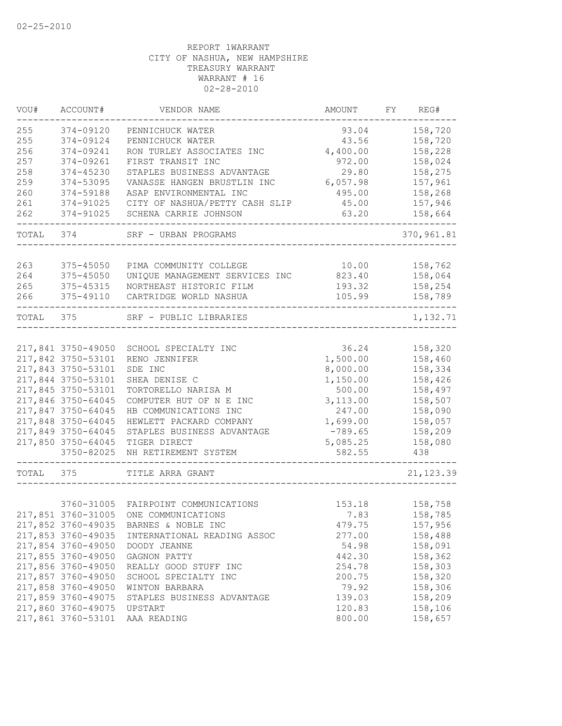| VOU#  | ACCOUNT#           | VENDOR NAME                           | AMOUNT    | FY | REG#        |
|-------|--------------------|---------------------------------------|-----------|----|-------------|
| 255   | 374-09120          | PENNICHUCK WATER                      | 93.04     |    | 158,720     |
| 255   | 374-09124          | PENNICHUCK WATER                      | 43.56     |    | 158,720     |
| 256   | 374-09241          | RON TURLEY ASSOCIATES INC             | 4,400.00  |    | 158,228     |
| 257   | 374-09261          | FIRST TRANSIT INC                     | 972.00    |    | 158,024     |
| 258   | 374-45230          | STAPLES BUSINESS ADVANTAGE            | 29.80     |    | 158,275     |
| 259   | 374-53095          | VANASSE HANGEN BRUSTLIN INC           | 6,057.98  |    | 157,961     |
| 260   | 374-59188          | ASAP ENVIRONMENTAL INC                | 495.00    |    | 158,268     |
| 261   | 374-91025          | CITY OF NASHUA/PETTY CASH SLIP        | 45.00     |    | 157,946     |
| 262   | 374-91025          | SCHENA CARRIE JOHNSON                 | 63.20     |    | 158,664     |
| TOTAL | 374                | SRF - URBAN PROGRAMS                  |           |    | 370, 961.81 |
|       |                    |                                       |           |    |             |
| 263   | 375-45050          | PIMA COMMUNITY COLLEGE                | 10.00     |    | 158,762     |
| 264   | 375-45050          | UNIQUE MANAGEMENT SERVICES INC        | 823.40    |    | 158,064     |
| 265   | 375-45315          | NORTHEAST HISTORIC FILM               | 193.32    |    | 158,254     |
| 266   | 375-49110          | CARTRIDGE WORLD NASHUA                | 105.99    |    | 158,789     |
| TOTAL | 375                | SRF - PUBLIC LIBRARIES                |           |    | 1,132.71    |
|       |                    |                                       |           |    |             |
|       | 217,841 3750-49050 | SCHOOL SPECIALTY INC                  | 36.24     |    | 158,320     |
|       | 217,842 3750-53101 | RENO JENNIFER                         | 1,500.00  |    | 158,460     |
|       | 217,843 3750-53101 | SDE INC                               | 8,000.00  |    | 158,334     |
|       | 217,844 3750-53101 | SHEA DENISE C                         | 1,150.00  |    | 158,426     |
|       | 217,845 3750-53101 | TORTORELLO NARISA M                   | 500.00    |    | 158,497     |
|       | 217,846 3750-64045 | COMPUTER HUT OF N E INC               | 3,113.00  |    | 158,507     |
|       | 217,847 3750-64045 | HB COMMUNICATIONS INC                 | 247.00    |    | 158,090     |
|       | 217,848 3750-64045 | HEWLETT PACKARD COMPANY               | 1,699.00  |    | 158,057     |
|       | 217,849 3750-64045 | STAPLES BUSINESS ADVANTAGE            | $-789.65$ |    | 158,209     |
|       | 217,850 3750-64045 | TIGER DIRECT                          | 5,085.25  |    | 158,080     |
|       | 3750-82025         | NH RETIREMENT SYSTEM                  | 582.55    |    | 438         |
| TOTAL | 375                | TITLE ARRA GRANT                      |           |    | 21, 123.39  |
|       |                    |                                       |           |    |             |
|       |                    | 3760-31005 FAIRPOINT COMMUNICATIONS   | 153.18    |    | 158,758     |
|       |                    | 217,851 3760-31005 ONE COMMUNICATIONS | 7.83      |    | 158,785     |
|       |                    | 217,852 3760-49035 BARNES & NOBLE INC | 479.75    |    | 157,956     |
|       | 217,853 3760-49035 | INTERNATIONAL READING ASSOC           | 277.00    |    | 158,488     |
|       | 217,854 3760-49050 | DOODY JEANNE                          | 54.98     |    | 158,091     |
|       | 217,855 3760-49050 | GAGNON PATTY                          | 442.30    |    | 158,362     |
|       | 217,856 3760-49050 | REALLY GOOD STUFF INC                 | 254.78    |    | 158,303     |
|       | 217,857 3760-49050 | SCHOOL SPECIALTY INC                  | 200.75    |    | 158,320     |
|       | 217,858 3760-49050 | WINTON BARBARA                        | 79.92     |    | 158,306     |
|       | 217,859 3760-49075 | STAPLES BUSINESS ADVANTAGE            | 139.03    |    | 158,209     |
|       | 217,860 3760-49075 | UPSTART                               | 120.83    |    | 158,106     |
|       | 217,861 3760-53101 | AAA READING                           | 800.00    |    | 158,657     |
|       |                    |                                       |           |    |             |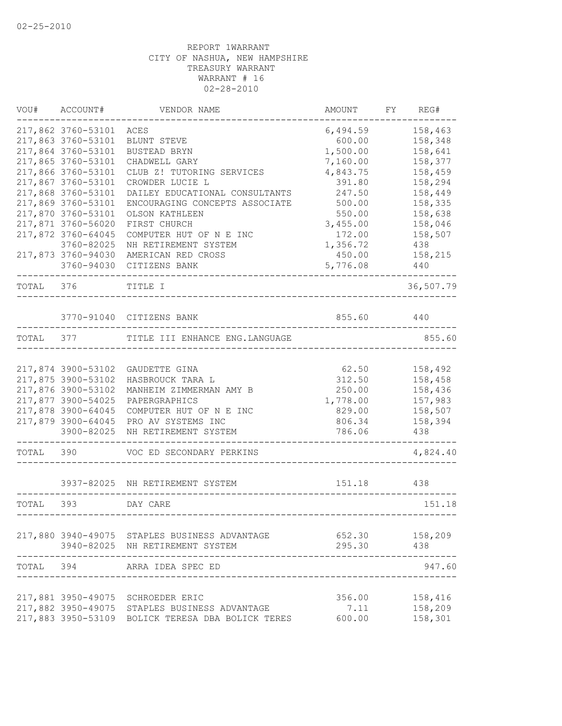| VOU#      | ACCOUNT#                                 | VENDOR NAME                                                                     | AMOUNT           | FY | REG#               |
|-----------|------------------------------------------|---------------------------------------------------------------------------------|------------------|----|--------------------|
|           | 217,862 3760-53101                       | ACES                                                                            | 6,494.59         |    | 158,463            |
|           | 217,863 3760-53101                       | BLUNT STEVE                                                                     | 600.00           |    | 158,348            |
|           | 217,864 3760-53101                       | BUSTEAD BRYN                                                                    | 1,500.00         |    | 158,641            |
|           | 217,865 3760-53101                       | CHADWELL GARY                                                                   | 7,160.00         |    | 158,377            |
|           | 217,866 3760-53101                       | CLUB Z! TUTORING SERVICES                                                       | 4,843.75         |    | 158,459            |
|           | 217,867 3760-53101                       | CROWDER LUCIE L                                                                 | 391.80           |    | 158,294            |
|           | 217,868 3760-53101<br>217,869 3760-53101 | DAILEY EDUCATIONAL CONSULTANTS                                                  | 247.50           |    | 158,449            |
|           | 217,870 3760-53101                       | ENCOURAGING CONCEPTS ASSOCIATE<br>OLSON KATHLEEN                                | 500.00<br>550.00 |    | 158,335<br>158,638 |
|           | 217,871 3760-56020                       | FIRST CHURCH                                                                    | 3,455.00         |    | 158,046            |
|           | 217,872 3760-64045                       | COMPUTER HUT OF N E INC                                                         | 172.00           |    | 158,507            |
|           | 3760-82025                               | NH RETIREMENT SYSTEM                                                            | 1,356.72         |    | 438                |
|           | 217,873 3760-94030                       | AMERICAN RED CROSS                                                              | 450.00           |    | 158,215            |
|           | 3760-94030                               | CITIZENS BANK                                                                   | 5,776.08         |    | 440                |
| TOTAL 376 |                                          | TITLE I                                                                         |                  |    | 36,507.79          |
|           |                                          |                                                                                 |                  |    |                    |
|           |                                          | 3770-91040 CITIZENS BANK                                                        | 855.60           |    | 440                |
| TOTAL     |                                          | 377 TITLE III ENHANCE ENG. LANGUAGE                                             |                  |    | 855.60             |
|           | 217,874 3900-53102                       | GAUDETTE GINA                                                                   | 62.50            |    | 158,492            |
|           | 217,875 3900-53102                       | HASBROUCK TARA L                                                                | 312.50           |    | 158,458            |
|           | 217,876 3900-53102                       | MANHEIM ZIMMERMAN AMY B                                                         | 250.00           |    | 158,436            |
|           | 217,877 3900-54025                       | PAPERGRAPHICS                                                                   | 1,778.00         |    | 157,983            |
|           | 217,878 3900-64045                       | COMPUTER HUT OF N E INC                                                         | 829.00           |    | 158,507            |
|           | 217,879 3900-64045                       | PRO AV SYSTEMS INC                                                              | 806.34           |    | 158,394            |
|           | 3900-82025                               | NH RETIREMENT SYSTEM                                                            | 786.06           |    | 438                |
| TOTAL     | 390                                      | VOC ED SECONDARY PERKINS                                                        |                  |    | 4,824.40           |
|           |                                          | 3937-82025 NH RETIREMENT SYSTEM                                                 | 151.18           |    | 438                |
| TOTAL     | 393                                      | DAY CARE                                                                        |                  |    | 151.18             |
|           |                                          | 217,880 3940-49075 STAPLES BUSINESS ADVANTAGE                                   |                  |    | 652.30 158,209     |
|           |                                          | 3940-82025 NH RETIREMENT SYSTEM                                                 | 295.30           |    | 438                |
| TOTAL 394 |                                          | ARRA IDEA SPEC ED                                                               |                  |    | 947.60             |
|           |                                          | 217,881 3950-49075 SCHROEDER ERIC                                               |                  |    | 356.00 158,416     |
|           | 217,882 3950-49075                       | STAPLES BUSINESS ADVANTAGE<br>217,883 3950-53109 BOLICK TERESA DBA BOLICK TERES | 7.11<br>600.00   |    | 158,209<br>158,301 |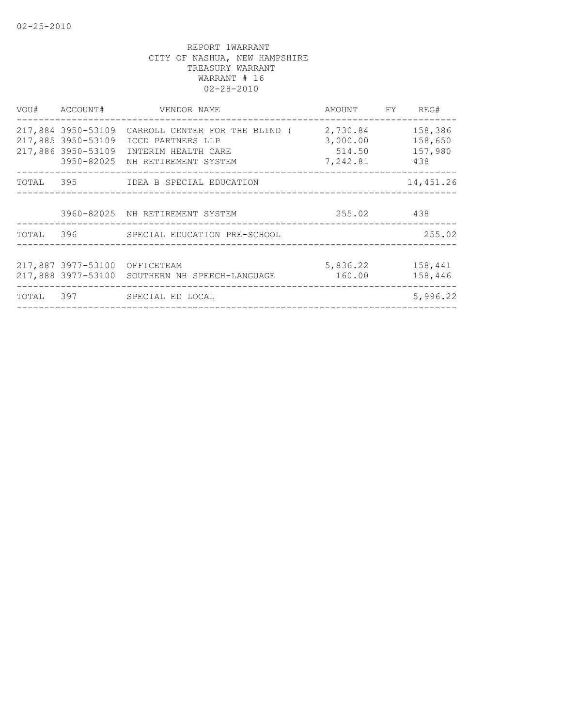| VOU# ACCOUNT#                 | VENDOR NAME                                                                                                                                         | AMOUNT FY REG#                                     |                           |
|-------------------------------|-----------------------------------------------------------------------------------------------------------------------------------------------------|----------------------------------------------------|---------------------------|
| 217,885 3950-53109            | 217,884 3950-53109 CARROLL CENTER FOR THE BLIND (<br>ICCD PARTNERS LLP<br>217,886 3950-53109 INTERIM HEALTH CARE<br>3950-82025 NH RETIREMENT SYSTEM | 2,730.84<br>3,000.00<br>514.50 157,980<br>7,242.81 | 158,386<br>158,650<br>438 |
|                               | TOTAL 395 IDEA B SPECIAL EDUCATION                                                                                                                  |                                                    | 14,451.26                 |
|                               | 3960-82025 NH RETIREMENT SYSTEM                                                                                                                     | 255.02 438                                         |                           |
|                               | TOTAL 396 SPECIAL EDUCATION PRE-SCHOOL<br>___________________________________                                                                       |                                                    | 255.02                    |
| 217,887 3977-53100 OFFICETEAM | 217,888 3977-53100 SOUTHERN NH SPEECH-LANGUAGE                                                                                                      | 5,836.22<br>160.00                                 | 158,441<br>158,446        |
|                               | TOTAL 397 SPECIAL ED LOCAL                                                                                                                          |                                                    | 5,996.22                  |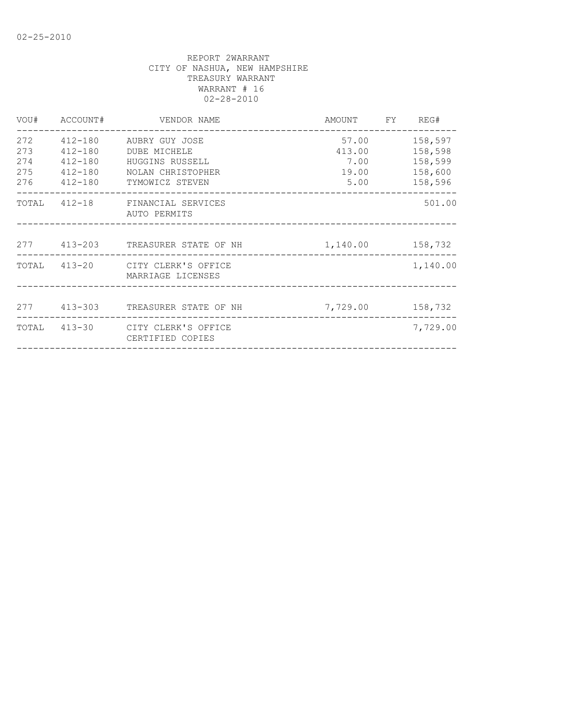| DUBE MICHELE<br>HUGGINS RUSSELL<br>NOLAN CHRISTOPHER | 57.00<br>413.00<br>7.00<br>19.00<br>5.00                                                                                                                                                                                                                                | 158,597<br>158,598<br>158,599<br>158,600<br>158,596 |
|------------------------------------------------------|-------------------------------------------------------------------------------------------------------------------------------------------------------------------------------------------------------------------------------------------------------------------------|-----------------------------------------------------|
| AUTO PERMITS                                         |                                                                                                                                                                                                                                                                         | 501.00                                              |
|                                                      | 1, 140.00 158, 732                                                                                                                                                                                                                                                      |                                                     |
| MARRIAGE LICENSES                                    |                                                                                                                                                                                                                                                                         | 1,140.00                                            |
|                                                      | 7,729.00                                                                                                                                                                                                                                                                | 158,732                                             |
| CERTIFIED COPIES                                     |                                                                                                                                                                                                                                                                         | 7,729.00                                            |
|                                                      | 412-180 AUBRY GUY JOSE<br>412-180<br>412-180<br>412-180<br>412-180 TYMOWICZ STEVEN<br>TOTAL 412-18 FINANCIAL SERVICES<br>277 413-203 TREASURER STATE OF NH<br>TOTAL 413-20 CITY CLERK'S OFFICE<br>277 413-303 TREASURER STATE OF NH<br>TOTAL 413-30 CITY CLERK'S OFFICE |                                                     |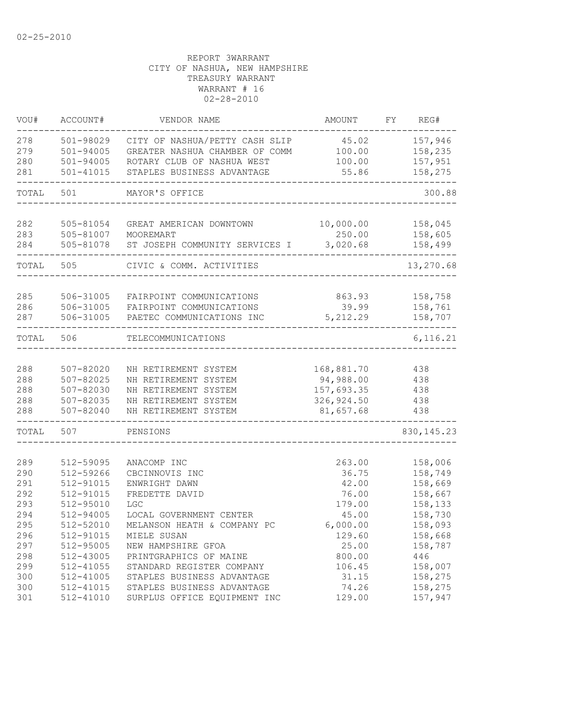| VOU#  | ACCOUNT#      | VENDOR NAME                    | <b>AMOUNT</b> | FY | REG#        |
|-------|---------------|--------------------------------|---------------|----|-------------|
| 278   | 501-98029     | CITY OF NASHUA/PETTY CASH SLIP | 45.02         |    | 157,946     |
| 279   | $501 - 94005$ | GREATER NASHUA CHAMBER OF COMM | 100.00        |    | 158,235     |
| 280   | $501 - 94005$ | ROTARY CLUB OF NASHUA WEST     | 100.00        |    | 157,951     |
| 281   | $501 - 41015$ | STAPLES BUSINESS ADVANTAGE     | 55.86         |    | 158,275     |
| TOTAL | 501           | MAYOR'S OFFICE                 |               |    | 300.88      |
| 282   | 505-81054     | GREAT AMERICAN DOWNTOWN        | 10,000.00     |    | 158,045     |
| 283   | 505-81007     | MOOREMART                      | 250.00        |    | 158,605     |
| 284   | 505-81078     | ST JOSEPH COMMUNITY SERVICES I | 3,020.68      |    | 158,499     |
| TOTAL | 505           | CIVIC & COMM. ACTIVITIES       |               |    | 13,270.68   |
| 285   | 506-31005     | FAIRPOINT COMMUNICATIONS       | 863.93        |    | 158,758     |
| 286   | 506-31005     | FAIRPOINT COMMUNICATIONS       | 39.99         |    | 158,761     |
| 287   | 506-31005     | PAETEC COMMUNICATIONS INC      | 5, 212.29     |    | 158,707     |
|       |               |                                |               |    |             |
| TOTAL | 506           | TELECOMMUNICATIONS             |               |    | 6, 116.21   |
|       |               |                                |               |    |             |
| 288   | 507-82020     | NH RETIREMENT SYSTEM           | 168,881.70    |    | 438         |
| 288   | $507 - 82025$ | NH RETIREMENT SYSTEM           | 94,988.00     |    | 438         |
| 288   | 507-82030     | NH RETIREMENT SYSTEM           | 157,693.35    |    | 438         |
| 288   | $507 - 82035$ | NH RETIREMENT SYSTEM           | 326, 924.50   |    | 438         |
| 288   | $507 - 82040$ | NH RETIREMENT SYSTEM           | 81,657.68     |    | 438         |
| TOTAL | 507           | PENSIONS                       |               |    | 830, 145.23 |
|       |               |                                |               |    |             |
| 289   | 512-59095     | ANACOMP INC                    | 263.00        |    | 158,006     |
| 290   | 512-59266     | CBCINNOVIS INC                 | 36.75         |    | 158,749     |
| 291   | 512-91015     | ENWRIGHT DAWN                  | 42.00         |    | 158,669     |
| 292   | 512-91015     | FREDETTE DAVID                 | 76.00         |    | 158,667     |
| 293   | 512-95010     | <b>LGC</b>                     | 179.00        |    | 158,133     |
| 294   | 512-94005     | LOCAL GOVERNMENT CENTER        | 45.00         |    | 158,730     |
| 295   | 512-52010     | MELANSON HEATH & COMPANY PC    | 6,000.00      |    | 158,093     |
| 296   | 512-91015     | MIELE SUSAN                    | 129.60        |    | 158,668     |
| 297   | 512-95005     | NEW HAMPSHIRE GFOA             | 25.00         |    | 158,787     |
| 298   | 512-43005     | PRINTGRAPHICS OF MAINE         | 800.00        |    | 446         |
| 299   | 512-41055     | STANDARD REGISTER COMPANY      | 106.45        |    | 158,007     |
| 300   | 512-41005     | STAPLES BUSINESS ADVANTAGE     | 31.15         |    | 158,275     |
| 300   | 512-41015     | STAPLES BUSINESS ADVANTAGE     | 74.26         |    | 158,275     |
| 301   | 512-41010     | SURPLUS OFFICE EQUIPMENT INC   | 129.00        |    | 157,947     |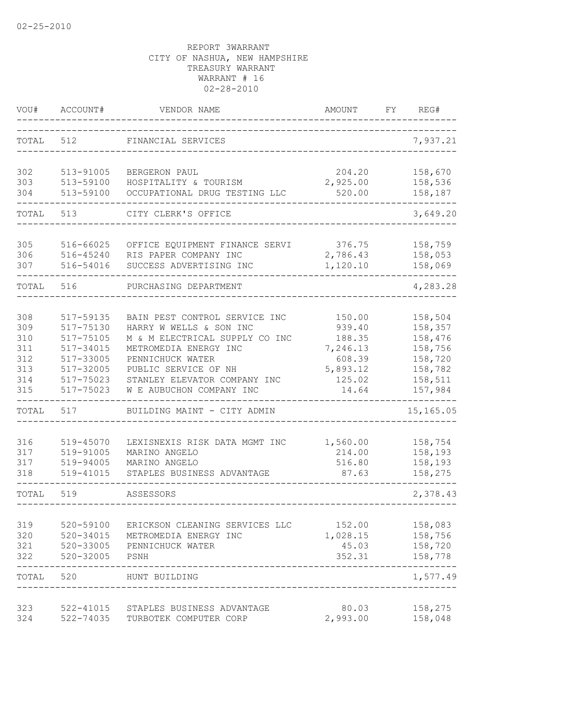| VOU#                            | ACCOUNT#                                                      | VENDOR NAME                                                                                                                             | AMOUNT                                           | FΥ | REG#                                                |
|---------------------------------|---------------------------------------------------------------|-----------------------------------------------------------------------------------------------------------------------------------------|--------------------------------------------------|----|-----------------------------------------------------|
| TOTAL                           | 512                                                           | FINANCIAL SERVICES                                                                                                                      |                                                  |    | 7,937.21                                            |
| 302<br>303<br>304               | 513-91005<br>513-59100<br>513-59100                           | BERGERON PAUL<br>HOSPITALITY & TOURISM<br>OCCUPATIONAL DRUG TESTING LLC                                                                 | 204.20<br>2,925.00<br>520.00                     |    | 158,670<br>158,536<br>158,187                       |
| TOTAL                           | 513                                                           | CITY CLERK'S OFFICE                                                                                                                     |                                                  |    | 3,649.20                                            |
|                                 |                                                               |                                                                                                                                         |                                                  |    |                                                     |
| 305<br>306<br>307               | 516-66025<br>516-45240<br>516-54016                           | OFFICE EQUIPMENT FINANCE SERVI<br>RIS PAPER COMPANY INC<br>SUCCESS ADVERTISING INC                                                      | 376.75<br>2,786.43<br>1,120.10                   |    | 158,759<br>158,053<br>158,069                       |
| TOTAL                           | 516                                                           | PURCHASING DEPARTMENT                                                                                                                   |                                                  |    | 4,283.28                                            |
| 308<br>309<br>310<br>311<br>312 | 517-59135<br>517-75130<br>517-75105<br>517-34015<br>517-33005 | BAIN PEST CONTROL SERVICE INC<br>HARRY W WELLS & SON INC<br>M & M ELECTRICAL SUPPLY CO INC<br>METROMEDIA ENERGY INC<br>PENNICHUCK WATER | 150.00<br>939.40<br>188.35<br>7,246.13<br>608.39 |    | 158,504<br>158,357<br>158,476<br>158,756<br>158,720 |
| 313<br>314<br>315               | $517 - 32005$<br>517-75023<br>517-75023                       | PUBLIC SERVICE OF NH<br>STANLEY ELEVATOR COMPANY INC<br>W E AUBUCHON COMPANY INC                                                        | 5,893.12<br>125.02<br>14.64                      |    | 158,782<br>158,511<br>157,984                       |
| TOTAL                           | 517                                                           | BUILDING MAINT - CITY ADMIN                                                                                                             |                                                  |    | 15,165.05                                           |
| 316<br>317<br>317<br>318        | 519-45070<br>519-91005<br>519-94005<br>519-41015              | LEXISNEXIS RISK DATA MGMT INC<br>MARINO ANGELO<br>MARINO ANGELO<br>STAPLES BUSINESS ADVANTAGE                                           | 1,560.00<br>214.00<br>516.80<br>87.63            |    | 158,754<br>158,193<br>158,193<br>158,275            |
| TOTAL                           | 519                                                           | ASSESSORS                                                                                                                               |                                                  |    | 2,378.43                                            |
| 319<br>320<br>321<br>322        | 520-59100<br>520-34015<br>520-33005<br>$520 - 32005$          | ERICKSON CLEANING SERVICES LLC<br>METROMEDIA ENERGY INC<br>PENNICHUCK WATER<br>PSNH                                                     | 152.00<br>1,028.15<br>45.03<br>352.31            |    | 158,083<br>158,756<br>158,720<br>158,778            |
| TOTAL                           | 520                                                           | HUNT BUILDING                                                                                                                           |                                                  |    | -----<br>1,577.49                                   |
| 323<br>324                      | 522-41015<br>522-74035                                        | STAPLES BUSINESS ADVANTAGE<br>TURBOTEK COMPUTER CORP                                                                                    | 80.03<br>2,993.00                                |    | 158,275<br>158,048                                  |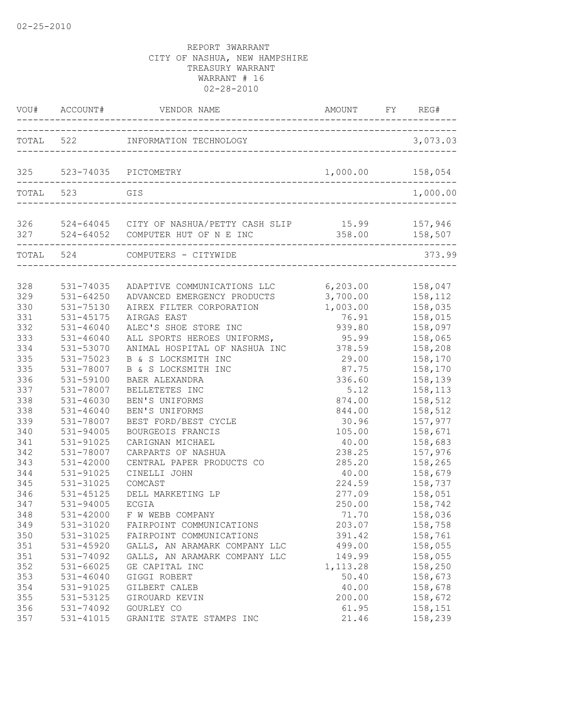|                   | VOU# ACCOUNT#                       |                                                                                                                                                                                                    |                         | FY REG#                       |
|-------------------|-------------------------------------|----------------------------------------------------------------------------------------------------------------------------------------------------------------------------------------------------|-------------------------|-------------------------------|
|                   |                                     | TOTAL 522 INFORMATION TECHNOLOGY                                                                                                                                                                   |                         | 3,073.03                      |
|                   |                                     | 325 523-74035 PICTOMETRY                                                                                                                                                                           | 1,000.00                | 158,054                       |
| TOTAL 523         |                                     | GIS                                                                                                                                                                                                |                         | 1,000.00                      |
|                   | ----------------------              | 326 524-64045 CITY OF NASHUA/PETTY CASH SLIP 15.99 157,946<br>327 524-64052 COMPUTER HUT OF N E INC 358.00 158,507<br>327 524-64052 COMPUTER HUT OF N E INC<br>___________________________________ | 358.00 158,507          |                               |
|                   |                                     | TOTAL 524 COMPUTERS - CITYWIDE                                                                                                                                                                     |                         | 373.99                        |
| 328<br>329        | 531-74035<br>$531 - 64250$          | ADAPTIVE COMMUNICATIONS LLC 6,203.00 158,047<br>ADVANCED EMERGENCY PRODUCTS                                                                                                                        | 3,700.00                | 158,112                       |
| 330<br>331        | 531-75130<br>531-45175              | AIREX FILTER CORPORATION<br>AIRGAS EAST                                                                                                                                                            | 1,003.00<br>76.91       | 158,035<br>158,015            |
| 332               | $531 - 46040$                       | ALEC'S SHOE STORE INC                                                                                                                                                                              | 939.80                  | 158,097                       |
| 333               | $531 - 46040$                       | ALL SPORTS HEROES UNIFORMS,                                                                                                                                                                        | 95.99                   | 158,065                       |
| 334<br>335<br>335 | 531-53070<br>531-75023              | ANIMAL HOSPITAL OF NASHUA INC<br>B & S LOCKSMITH INC                                                                                                                                               | 378.59<br>29.00         | 158,208<br>158,170            |
| 336<br>337        | 531-78007<br>531-59100<br>531-78007 | B & S LOCKSMITH INC<br>BAER ALEXANDRA<br>BELLETETES INC                                                                                                                                            | 87.75<br>336.60<br>5.12 | 158,170<br>158,139<br>158,113 |
| 338               | $531 - 46030$                       | BEN'S UNIFORMS                                                                                                                                                                                     | 874.00                  | 158,512                       |
| 338               | $531 - 46040$                       | BEN'S UNIFORMS                                                                                                                                                                                     | 844.00                  | 158,512                       |
| 339               | 531-78007                           | BEST FORD/BEST CYCLE                                                                                                                                                                               | 30.96                   | 157,977                       |
| 340               | 531-94005                           | BOURGEOIS FRANCIS                                                                                                                                                                                  | 105.00                  | 158,671                       |
| 341               | 531-91025                           | CARIGNAN MICHAEL                                                                                                                                                                                   | 40.00                   | 158,683                       |
| 342               | 531-78007                           | CARPARTS OF NASHUA                                                                                                                                                                                 | 238.25                  | 157,976                       |
| 343               | $531 - 42000$                       | CENTRAL PAPER PRODUCTS CO                                                                                                                                                                          | 285.20                  | 158,265                       |
| 344               | 531-91025                           | CINELLI JOHN                                                                                                                                                                                       | 40.00                   | 158,679                       |
| 345               | 531-31025                           | COMCAST                                                                                                                                                                                            | 224.59                  | 158,737                       |
| 346               | 531-45125                           | DELL MARKETING LP                                                                                                                                                                                  | 277.09                  | 158,051                       |
| 347               | 531-94005                           | <b>ECGIA</b>                                                                                                                                                                                       | 250.00                  | 158,742                       |
| 348               | 531-42000                           | F W WEBB COMPANY                                                                                                                                                                                   | 71.70                   | 158,036                       |
| 349               | 531-31020                           | FAIRPOINT COMMUNICATIONS                                                                                                                                                                           | 203.07                  | 158,758                       |
| 350               | 531-31025                           | FAIRPOINT COMMUNICATIONS                                                                                                                                                                           | 391.42                  | 158,761                       |
| 351               | 531-45920                           | GALLS, AN ARAMARK COMPANY LLC                                                                                                                                                                      | 499.00                  | 158,055                       |
| 351               | 531-74092                           | GALLS, AN ARAMARK COMPANY LLC                                                                                                                                                                      | 149.99                  | 158,055                       |
| 352               | 531-66025                           | GE CAPITAL INC                                                                                                                                                                                     | 1, 113.28               | 158,250                       |
| 353               | $531 - 46040$                       | GIGGI ROBERT                                                                                                                                                                                       | 50.40                   | 158,673                       |
| 354               | 531-91025                           | GILBERT CALEB                                                                                                                                                                                      | 40.00                   | 158,678                       |
| 355               | 531-53125                           | GIROUARD KEVIN                                                                                                                                                                                     | 200.00                  | 158,672                       |
| 356               | 531-74092                           | GOURLEY CO                                                                                                                                                                                         | 61.95                   | 158,151                       |
| 357               | 531-41015                           | GRANITE STATE STAMPS INC                                                                                                                                                                           | 21.46                   | 158,239                       |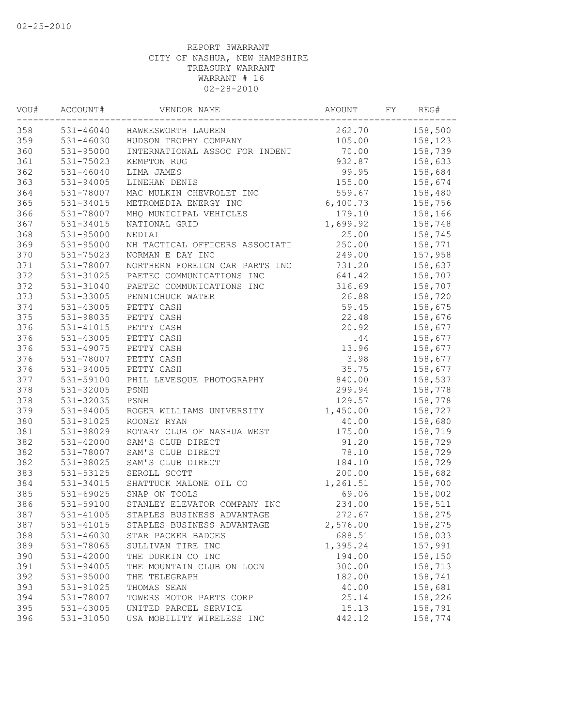| VOU# | ACCOUNT#      | VENDOR NAME                    | AMOUNT   | FY | REG#    |
|------|---------------|--------------------------------|----------|----|---------|
| 358  |               | 531-46040 HAWKESWORTH LAUREN   | 262.70   |    | 158,500 |
| 359  | 531-46030     | HUDSON TROPHY COMPANY          | 105.00   |    | 158,123 |
| 360  | 531-95000     | INTERNATIONAL ASSOC FOR INDENT | 70.00    |    | 158,739 |
| 361  | 531-75023     | KEMPTON RUG                    | 932.87   |    | 158,633 |
| 362  | $531 - 46040$ | LIMA JAMES                     | 99.95    |    | 158,684 |
| 363  | 531-94005     | LINEHAN DENIS                  | 155.00   |    | 158,674 |
| 364  | 531-78007     | MAC MULKIN CHEVROLET INC       | 559.67   |    | 158,480 |
| 365  | 531-34015     | METROMEDIA ENERGY INC          | 6,400.73 |    | 158,756 |
| 366  | 531-78007     | MHQ MUNICIPAL VEHICLES         | 179.10   |    | 158,166 |
| 367  | 531-34015     | NATIONAL GRID                  | 1,699.92 |    | 158,748 |
| 368  | 531-95000     | NEDIAI                         | 25.00    |    | 158,745 |
| 369  | 531-95000     | NH TACTICAL OFFICERS ASSOCIATI | 250.00   |    | 158,771 |
| 370  | 531-75023     | NORMAN E DAY INC               | 249.00   |    | 157,958 |
| 371  | 531-78007     | NORTHERN FOREIGN CAR PARTS INC | 731.20   |    | 158,637 |
| 372  | 531-31025     | PAETEC COMMUNICATIONS INC      | 641.42   |    | 158,707 |
| 372  | 531-31040     | PAETEC COMMUNICATIONS INC      | 316.69   |    | 158,707 |
| 373  | 531-33005     | PENNICHUCK WATER               | 26.88    |    | 158,720 |
| 374  | 531-43005     | PETTY CASH                     | 59.45    |    | 158,675 |
| 375  | 531-98035     | PETTY CASH                     | 22.48    |    | 158,676 |
| 376  | 531-41015     | PETTY CASH                     | 20.92    |    | 158,677 |
| 376  | 531-43005     | PETTY CASH                     | .44      |    | 158,677 |
| 376  | 531-49075     | PETTY CASH                     | 13.96    |    | 158,677 |
| 376  | 531-78007     | PETTY CASH                     | 3.98     |    | 158,677 |
| 376  | 531-94005     | PETTY CASH                     | 35.75    |    | 158,677 |
| 377  | 531-59100     | PHIL LEVESQUE PHOTOGRAPHY      | 840.00   |    | 158,537 |
| 378  | 531-32005     | PSNH                           | 299.94   |    | 158,778 |
| 378  | 531-32035     | PSNH                           | 129.57   |    | 158,778 |
| 379  | 531-94005     | ROGER WILLIAMS UNIVERSITY      | 1,450.00 |    | 158,727 |
| 380  | 531-91025     | ROONEY RYAN                    | 40.00    |    | 158,680 |
| 381  | 531-98029     | ROTARY CLUB OF NASHUA WEST     | 175.00   |    | 158,719 |
| 382  | 531-42000     | SAM'S CLUB DIRECT              | 91.20    |    | 158,729 |
| 382  | 531-78007     | SAM'S CLUB DIRECT              | 78.10    |    | 158,729 |
| 382  | 531-98025     | SAM'S CLUB DIRECT              | 184.10   |    | 158,729 |
| 383  | 531-53125     | SEROLL SCOTT                   | 200.00   |    | 158,682 |
| 384  | 531-34015     | SHATTUCK MALONE OIL CO         | 1,261.51 |    | 158,700 |
| 385  | 531-69025     | SNAP ON TOOLS                  | 69.06    |    | 158,002 |
| 386  | 531-59100     | STANLEY ELEVATOR COMPANY INC   | 234.00   |    | 158,511 |
| 387  | 531-41005     | STAPLES BUSINESS ADVANTAGE     | 272.67   |    | 158,275 |
| 387  | 531-41015     | STAPLES BUSINESS ADVANTAGE     | 2,576.00 |    | 158,275 |
| 388  | 531-46030     | STAR PACKER BADGES             | 688.51   |    | 158,033 |
| 389  | 531-78065     | SULLIVAN TIRE INC              | 1,395.24 |    | 157,991 |
| 390  | 531-42000     | THE DURKIN CO INC              | 194.00   |    | 158,150 |
| 391  | 531-94005     | THE MOUNTAIN CLUB ON LOON      | 300.00   |    | 158,713 |
| 392  | 531-95000     | THE TELEGRAPH                  | 182.00   |    | 158,741 |
| 393  | 531-91025     | THOMAS SEAN                    | 40.00    |    | 158,681 |
| 394  | 531-78007     | TOWERS MOTOR PARTS CORP        | 25.14    |    | 158,226 |
| 395  | 531-43005     | UNITED PARCEL SERVICE          | 15.13    |    | 158,791 |
| 396  | 531-31050     | USA MOBILITY WIRELESS INC      | 442.12   |    | 158,774 |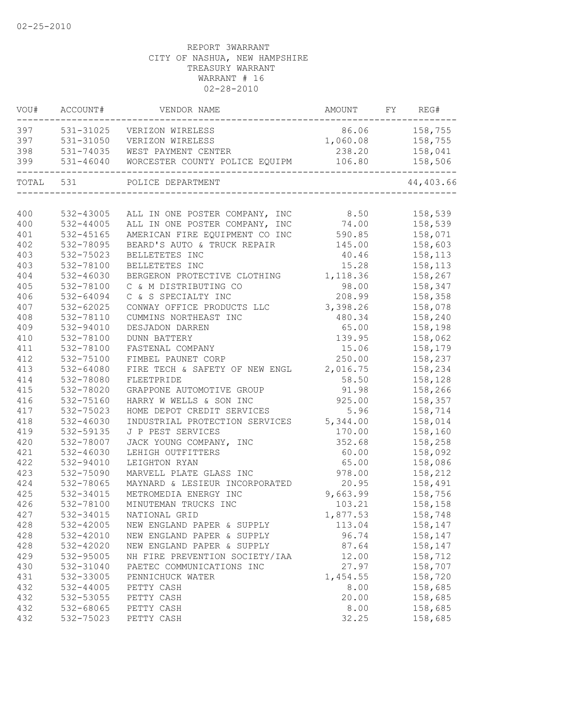| VOU#      | ACCOUNT#      | VENDOR NAME                                                            | <b>AMOUNT</b>    | FY REG#                    |
|-----------|---------------|------------------------------------------------------------------------|------------------|----------------------------|
| 397       |               | 531-31025 VERIZON WIRELESS                                             | 86.06 158,755    |                            |
| 397       | 531-31050     | VERIZON WIRELESS                                                       | 1,060.08 158,755 |                            |
| 398       |               | 531-74035 WEST PAYMENT CENTER                                          | 238.20 158,041   |                            |
| 399       | 531-46040     | WORCESTER COUNTY POLICE EQUIPM<br>------------------------------------ |                  | 106.80 158,506<br>-------- |
| TOTAL 531 |               | POLICE DEPARTMENT                                                      |                  | 44,403.66                  |
|           |               |                                                                        |                  |                            |
| 400       | 532-43005     | ALL IN ONE POSTER COMPANY, INC 8.50                                    |                  | 158,539                    |
| 400       | 532-44005     | ALL IN ONE POSTER COMPANY, INC 74.00                                   |                  | 158,539                    |
| 401       | 532-45165     | AMERICAN FIRE EQUIPMENT CO INC 590.85                                  |                  | 158,071                    |
| 402       | 532-78095     | BEARD'S AUTO & TRUCK REPAIR 145.00                                     |                  | 158,603                    |
| 403       | 532-75023     | BELLETETES INC                                                         | 40.46            | 158,113                    |
| 403       | 532-78100     | BELLETETES INC                                                         | 15.28            | 158,113                    |
| 404       | 532-46030     | BERGERON PROTECTIVE CLOTHING                                           | 1,118.36         | 158,267                    |
| 405       | 532-78100     | C & M DISTRIBUTING CO                                                  | 98.00            | 158,347                    |
| 406       | 532-64094     | C & S SPECIALTY INC                                                    | 208.99           | 158,358                    |
| 407       | 532-62025     | CONWAY OFFICE PRODUCTS LLC                                             | 3,398.26         | 158,078                    |
| 408       | 532-78110     | CUMMINS NORTHEAST INC                                                  | 480.34           | 158,240                    |
| 409       | 532-94010     | DESJADON DARREN                                                        | 65.00            | 158,198                    |
| 410       | 532-78100     | <b>DUNN BATTERY</b>                                                    | 139.95           | 158,062                    |
| 411       | 532-78100     | FASTENAL COMPANY                                                       | 15.06            | 158,179                    |
| 412       | 532-75100     | FIMBEL PAUNET CORP                                                     | 250.00           | 158,237                    |
| 413       | 532-64080     | FIRE TECH & SAFETY OF NEW ENGL 2,016.75                                |                  | 158,234                    |
| 414       | 532-78080     | FLEETPRIDE                                                             | 58.50            | 158,128                    |
| 415       | 532-78020     | GRAPPONE AUTOMOTIVE GROUP                                              | 91.98            | 158,266                    |
| 416       | 532-75160     | HARRY W WELLS & SON INC                                                | 925.00           | 158,357                    |
| 417       | 532-75023     | HOME DEPOT CREDIT SERVICES                                             | 5.96             | 158,714                    |
| 418       | 532-46030     | INDUSTRIAL PROTECTION SERVICES 5,344.00                                |                  | 158,014                    |
| 419       | 532-59135     | J P PEST SERVICES                                                      | 170.00           | 158,160                    |
| 420       | 532-78007     | JACK YOUNG COMPANY, INC                                                | 352.68           | 158,258                    |
| 421       | $532 - 46030$ | LEHIGH OUTFITTERS                                                      | 60.00            | 158,092                    |
| 422       | 532-94010     | LEIGHTON RYAN                                                          | 65.00            | 158,086                    |
| 423       | 532-75090     | MARVELL PLATE GLASS INC                                                | 978.00           | 158,212                    |
| 424       | 532-78065     | MAYNARD & LESIEUR INCORPORATED                                         | 20.95            | 158,491                    |
| 425       | 532-34015     | METROMEDIA ENERGY INC                                                  | 9,663.99         | 158,756                    |
| 426       | 532-78100     | MINUTEMAN TRUCKS INC                                                   | 103.21           | 158,158                    |
| 427       | 532-34015     | NATIONAL GRID                                                          | 1,877.53         | 158,748                    |
| 428       | 532-42005     | NEW ENGLAND PAPER & SUPPLY                                             | 113.04           | 158,147                    |
| 428       | 532-42010     | NEW ENGLAND PAPER & SUPPLY                                             | 96.74            | 158,147                    |
| 428       | 532-42020     | NEW ENGLAND PAPER & SUPPLY                                             | 87.64            | 158,147                    |
| 429       | 532-95005     | NH FIRE PREVENTION SOCIETY/IAA                                         | 12.00            | 158,712                    |
| 430       | 532-31040     | PAETEC COMMUNICATIONS INC                                              | 27.97            | 158,707                    |
| 431       | 532-33005     | PENNICHUCK WATER                                                       | 1,454.55         | 158,720                    |
| 432       | $532 - 44005$ | PETTY CASH                                                             | 8.00             | 158,685                    |
| 432       | 532-53055     | PETTY CASH                                                             | 20.00            | 158,685                    |
| 432       | 532-68065     | PETTY CASH                                                             | 8.00             | 158,685                    |
| 432       | 532-75023     | PETTY CASH                                                             | 32.25            | 158,685                    |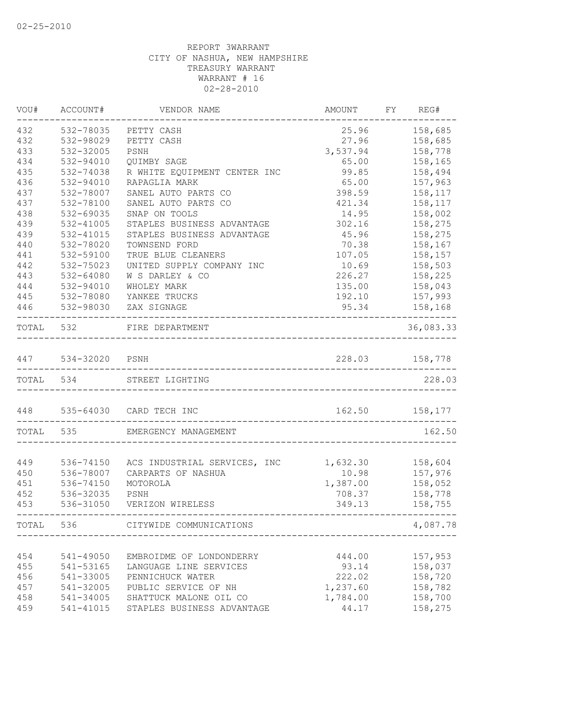| WOU#      | ACCOUNT#           | VENDOR NAME                  | AMOUNT                                | FY REG#          |
|-----------|--------------------|------------------------------|---------------------------------------|------------------|
| 432       | 532-78035          | PETTY CASH                   | 25.96                                 | 158,685          |
| 432       | 532-98029          | PETTY CASH                   | 27.96                                 | 158,685          |
| 433       | 532-32005          | PSNH                         | 3,537.94                              | 158,778          |
| 434       | 532-94010          | QUIMBY SAGE                  | 65.00                                 | 158,165          |
| 435       | 532-74038          | R WHITE EQUIPMENT CENTER INC | 99.85                                 | 158,494          |
| 436       | 532-94010          | RAPAGLIA MARK                | 65.00                                 | 157,963          |
| 437       | 532-78007          | SANEL AUTO PARTS CO          | 398.59                                | 158,117          |
| 437       | 532-78100          | SANEL AUTO PARTS CO          | 421.34                                | 158,117          |
| 438       | 532-69035          | SNAP ON TOOLS                | 14.95                                 | 158,002          |
| 439       | 532-41005          | STAPLES BUSINESS ADVANTAGE   | 302.16                                | 158,275          |
| 439       | 532-41015          | STAPLES BUSINESS ADVANTAGE   | 45.96                                 | 158,275          |
| 440       | 532-78020          | TOWNSEND FORD                | 70.38                                 | 158,167          |
| 441       | 532-59100          | TRUE BLUE CLEANERS           | 107.05                                | 158,157          |
| 442       | 532-75023          | UNITED SUPPLY COMPANY INC    | 10.69                                 | 158,503          |
| 443       | 532-64080          | W S DARLEY & CO              | 226.27                                | 158,225          |
| 444       | 532-94010          | WHOLEY MARK                  | 135.00                                | 158,043          |
| 445       | 532-78080          | YANKEE TRUCKS                | 192.10                                | 157,993          |
| 446       | 532-98030          | ZAX SIGNAGE                  | 95.34                                 | 158,168          |
| TOTAL 532 |                    | FIRE DEPARTMENT              |                                       | 36,083.33        |
|           |                    |                              |                                       |                  |
|           | 447 534-32020 PSNH |                              | 228.03<br>___________________________ | 158,778          |
| TOTAL 534 |                    | STREET LIGHTING              |                                       | 228.03           |
|           |                    | 448 535-64030 CARD TECH INC  |                                       | 162.50   158,177 |
| TOTAL     | 535                | EMERGENCY MANAGEMENT         | --------------------------------      | 162.50           |
|           |                    |                              |                                       |                  |
| 449       | 536-74150          | ACS INDUSTRIAL SERVICES, INC | 1,632.30                              | 158,604          |
| 450       | 536-78007          | CARPARTS OF NASHUA           | 10.98                                 | 157,976          |
| 451       | 536-74150          | MOTOROLA                     | 1,387.00                              | 158,052          |
| 452       | 536-32035          | PSNH                         | 708.37                                | 158,778          |
| 453       | 536-31050          | VERIZON WIRELESS             | 349.13                                | 158,755          |
| TOTAL     | 536                | CITYWIDE COMMUNICATIONS      |                                       | 4,087.78         |
|           |                    |                              |                                       |                  |
| 454       | 541-49050          | EMBROIDME OF LONDONDERRY     | 444.00                                | 157,953          |
| 455       | 541-53165          | LANGUAGE LINE SERVICES       | 93.14                                 | 158,037          |
| 456       | 541-33005          | PENNICHUCK WATER             | 222.02                                | 158,720          |
| 457       | 541-32005          | PUBLIC SERVICE OF NH         | 1,237.60                              | 158,782          |
| 458       | 541-34005          | SHATTUCK MALONE OIL CO       | 1,784.00                              | 158,700          |
| 459       | 541-41015          | STAPLES BUSINESS ADVANTAGE   | 44.17                                 | 158,275          |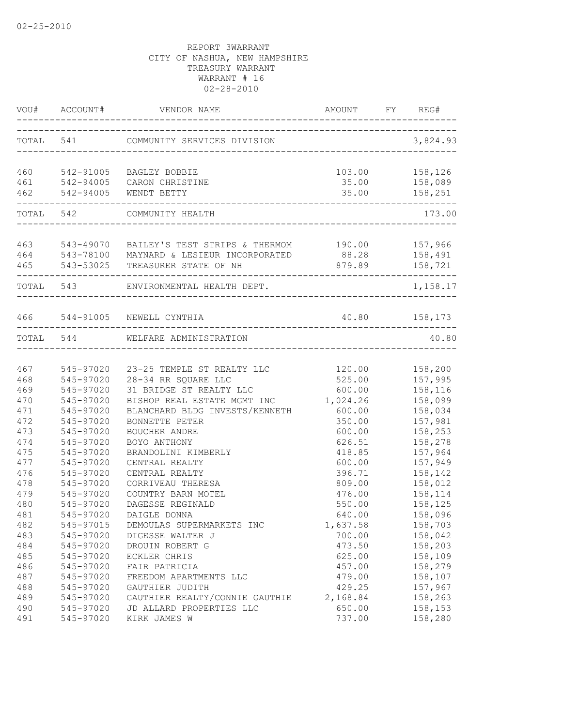|     |           | VOU# ACCOUNT# VENDOR NAME AMOUNT FY REG#                                                          |                              |                                |
|-----|-----------|---------------------------------------------------------------------------------------------------|------------------------------|--------------------------------|
|     |           | TOTAL 541 COMMUNITY SERVICES DIVISION 3,824.93                                                    |                              |                                |
| 460 | 542-91005 | BAGLEY BOBBIE                                                                                     |                              | 103.00 158,126                 |
| 462 | 542-94005 | 461 542-94005 CARON CHRISTINE<br>WENDT BETTY                                                      |                              | 35.00 158,089<br>35.00 158,251 |
|     | TOTAL 542 | COMMUNITY HEALTH                                                                                  |                              | 173.00                         |
| 463 |           | 543-49070 BAILEY'S TEST STRIPS & THERMOM 190.00 157,966                                           |                              |                                |
|     |           | 464 543-78100 MAYNARD & LESIEUR INCORPORATED 88.28 158,491<br>465 543-53025 TREASURER STATE OF NH | 879.89 158,721               |                                |
|     | TOTAL 543 | ENVIRONMENTAL HEALTH DEPT.                                                                        | ---------------------------- | 1,158.17                       |
|     |           | 466 544-91005 NEWELL CYNTHIA                                                                      |                              | 40.80    158,173               |
|     |           | TOTAL 544 WELFARE ADMINISTRATION                                                                  |                              | 40.80                          |
| 467 | 545-97020 | 23-25 TEMPLE ST REALTY LLC                                                                        | 120.00                       | 158,200                        |
| 468 | 545-97020 | 28-34 RR SQUARE LLC                                                                               | 525.00                       | 157,995                        |
| 469 | 545-97020 | 31 BRIDGE ST REALTY LLC                                                                           | 600.00                       | 158,116                        |
| 470 | 545-97020 | BISHOP REAL ESTATE MGMT INC                                                                       | 1,024.26                     | 158,099                        |
| 471 | 545-97020 | BLANCHARD BLDG INVESTS/KENNETH                                                                    | 600.00                       | 158,034                        |
| 472 | 545-97020 | BONNETTE PETER                                                                                    | 350.00                       | 157,981                        |
| 473 | 545-97020 | BOUCHER ANDRE                                                                                     | 600.00                       | 158,253                        |
| 474 | 545-97020 | BOYO ANTHONY                                                                                      | 626.51                       | 158,278                        |
| 475 | 545-97020 | BRANDOLINI KIMBERLY                                                                               | 418.85                       | 157,964                        |
| 477 | 545-97020 | CENTRAL REALTY                                                                                    | 600.00                       | 157,949                        |
| 476 | 545-97020 | CENTRAL REALTY                                                                                    | 396.71                       | 158,142                        |
| 478 | 545-97020 | CORRIVEAU THERESA                                                                                 | 809.00                       | 158,012                        |
| 479 | 545-97020 | COUNTRY BARN MOTEL                                                                                | 476.00                       | 158,114                        |
| 480 | 545-97020 | DAGESSE REGINALD                                                                                  | 550.00                       | 158,125                        |
| 481 | 545-97020 | DAIGLE DONNA                                                                                      | 640.00                       | 158,096                        |
| 482 | 545-97015 | DEMOULAS SUPERMARKETS INC                                                                         | 1,637.58                     | 158,703                        |
| 483 | 545-97020 | DIGESSE WALTER J                                                                                  | 700.00                       | 158,042                        |
| 484 | 545-97020 | DROUIN ROBERT G                                                                                   | 473.50                       | 158,203                        |
| 485 | 545-97020 | ECKLER CHRIS                                                                                      | 625.00                       | 158,109                        |
| 486 | 545-97020 | FAIR PATRICIA                                                                                     | 457.00                       | 158,279                        |
| 487 | 545-97020 | FREEDOM APARTMENTS LLC                                                                            | 479.00                       | 158,107                        |
| 488 | 545-97020 | GAUTHIER JUDITH                                                                                   | 429.25                       | 157,967                        |
| 489 | 545-97020 | GAUTHIER REALTY/CONNIE GAUTHIE                                                                    | 2,168.84                     | 158,263                        |
| 490 | 545-97020 | JD ALLARD PROPERTIES LLC                                                                          | 650.00                       | 158,153                        |
| 491 | 545-97020 | KIRK JAMES W                                                                                      | 737.00                       | 158,280                        |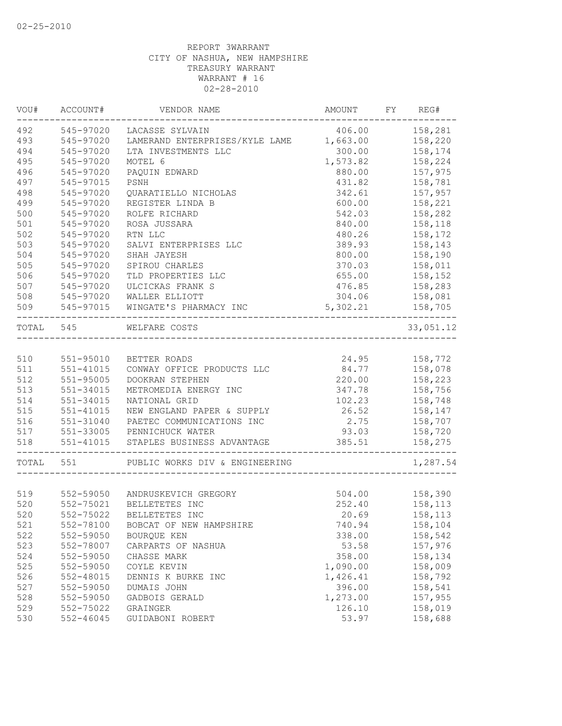| VOU#      | ACCOUNT#      | VENDOR NAME                                    | AMOUNT FY REG# |           |
|-----------|---------------|------------------------------------------------|----------------|-----------|
| 492       | 545-97020     | LACASSE SYLVAIN                                | 406.00         | 158,281   |
| 493       | 545-97020     | LAMERAND ENTERPRISES/KYLE LAME                 | 1,663.00       | 158,220   |
| 494       | 545-97020     | LTA INVESTMENTS LLC                            | 300.00         | 158,174   |
| 495       | 545-97020     | MOTEL 6                                        | 1,573.82       | 158,224   |
| 496       | 545-97020     | PAQUIN EDWARD                                  | 880.00         | 157,975   |
| 497       | 545-97015     | PSNH                                           | 431.82         | 158,781   |
| 498       | 545-97020     | QUARATIELLO NICHOLAS                           | 342.61         | 157,957   |
| 499       | 545-97020     | REGISTER LINDA B                               | 600.00         | 158,221   |
| 500       | 545-97020     | ROLFE RICHARD                                  | 542.03         | 158,282   |
| 501       | 545-97020     | ROSA JUSSARA                                   | 840.00         | 158,118   |
| 502       | 545-97020     | RTN LLC                                        | 480.26         | 158,172   |
| 503       | 545-97020     | SALVI ENTERPRISES LLC                          | 389.93         | 158,143   |
| 504       | 545-97020     | SHAH JAYESH                                    | 800.00         | 158,190   |
| 505       | 545-97020     | SPIROU CHARLES                                 | 370.03         | 158,011   |
| 506       | 545-97020     | TLD PROPERTIES LLC                             | 655.00         | 158,152   |
| 507       | 545-97020     | ULCICKAS FRANK S                               | 476.85         | 158,283   |
| 508       | 545-97020     | WALLER ELLIOTT                                 | 304.06         | 158,081   |
| 509       | 545-97015     | WINGATE'S PHARMACY INC<br>______________       | 5,302.21       | 158,705   |
| TOTAL 545 |               | WELFARE COSTS<br>_____________________________ |                | 33,051.12 |
|           |               |                                                |                |           |
| 510       | 551-95010     | BETTER ROADS                                   | 24.95          | 158,772   |
| 511       | 551-41015     | CONWAY OFFICE PRODUCTS LLC                     | 84.77          | 158,078   |
| 512       | 551-95005     | DOOKRAN STEPHEN                                | 220.00         | 158,223   |
| 513       | 551-34015     | METROMEDIA ENERGY INC                          | 347.78         | 158,756   |
| 514       | 551-34015     | NATIONAL GRID                                  | 102.23         | 158,748   |
| 515       | 551-41015     | NEW ENGLAND PAPER & SUPPLY                     | 26.52          | 158,147   |
| 516       | 551-31040     | PAETEC COMMUNICATIONS INC                      | 2.75           | 158,707   |
| 517       |               | 551-33005 PENNICHUCK WATER                     | 93.03          | 158,720   |
| 518       | 551-41015     | STAPLES BUSINESS ADVANTAGE                     | 385.51         | 158,275   |
| TOTAL 551 |               | PUBLIC WORKS DIV & ENGINEERING                 |                | 1,287.54  |
|           |               |                                                |                |           |
| 519       |               | 552-59050 ANDRUSKEVICH GREGORY                 | 504.00         | 158,390   |
| 520       | 552-75021     | BELLETETES INC                                 | 252.40         | 158,113   |
| 520       |               | 552-75022 BELLETETES INC                       | 20.69          | 158,113   |
| 521       | 552-78100     | BOBCAT OF NEW HAMPSHIRE                        | 740.94         | 158,104   |
| 522       | 552-59050     | BOURQUE KEN                                    | 338.00         | 158,542   |
| 523       | 552-78007     | CARPARTS OF NASHUA                             | 53.58          | 157,976   |
| 524       | 552-59050     | CHASSE MARK                                    | 358.00         | 158,134   |
| 525       | 552-59050     | COYLE KEVIN                                    | 1,090.00       | 158,009   |
| 526       | 552-48015     | DENNIS K BURKE INC                             | 1,426.41       | 158,792   |
| 527       | 552-59050     | DUMAIS JOHN                                    | 396.00         | 158,541   |
| 528       | 552-59050     | GADBOIS GERALD                                 | 1,273.00       | 157,955   |
| 529       | 552-75022     | GRAINGER                                       | 126.10         | 158,019   |
| 530       | $552 - 46045$ | GUIDABONI ROBERT                               | 53.97          | 158,688   |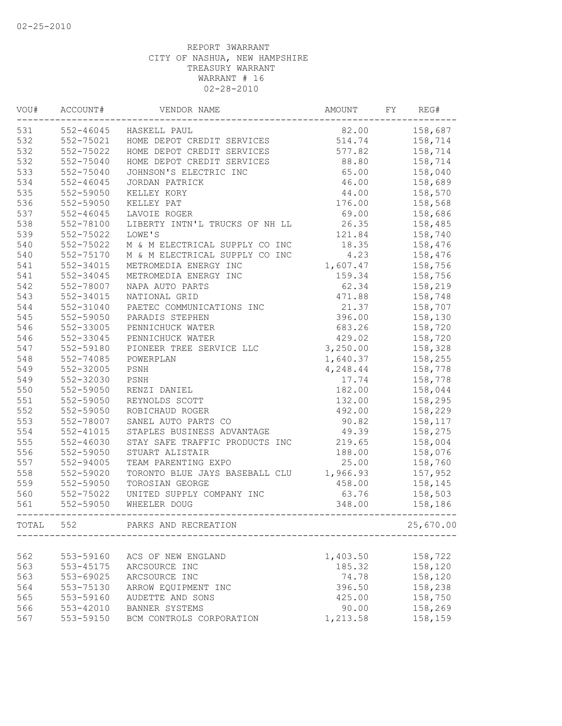| VOU#<br>ACCOUNT# |               | VENDOR NAME                    |          | FY | REG#      |  |  |
|------------------|---------------|--------------------------------|----------|----|-----------|--|--|
| 531              | 552-46045     | HASKELL PAUL                   | 82.00    |    | 158,687   |  |  |
| 532              | 552-75021     | HOME DEPOT CREDIT SERVICES     | 514.74   |    | 158,714   |  |  |
| 532              | 552-75022     | HOME DEPOT CREDIT SERVICES     | 577.82   |    | 158,714   |  |  |
| 532              | 552-75040     | HOME DEPOT CREDIT SERVICES     | 88.80    |    | 158,714   |  |  |
| 533              | 552-75040     | JOHNSON'S ELECTRIC INC         | 65.00    |    | 158,040   |  |  |
| 534              | $552 - 46045$ | JORDAN PATRICK                 | 46.00    |    | 158,689   |  |  |
| 535              | 552-59050     | KELLEY KORY                    | 44.00    |    | 158,570   |  |  |
| 536              | 552-59050     | KELLEY PAT                     | 176.00   |    | 158,568   |  |  |
| 537              | $552 - 46045$ | LAVOIE ROGER                   | 69.00    |    | 158,686   |  |  |
| 538              | 552-78100     | LIBERTY INTN'L TRUCKS OF NH LL | 26.35    |    | 158,485   |  |  |
| 539              | 552-75022     | LOWE'S                         | 121.84   |    | 158,740   |  |  |
| 540              | 552-75022     | M & M ELECTRICAL SUPPLY CO INC | 18.35    |    | 158,476   |  |  |
| 540              | 552-75170     | M & M ELECTRICAL SUPPLY CO INC | 4.23     |    | 158,476   |  |  |
| 541              | 552-34015     | METROMEDIA ENERGY INC          | 1,607.47 |    | 158,756   |  |  |
| 541              | 552-34045     | METROMEDIA ENERGY INC          | 159.34   |    | 158,756   |  |  |
| 542              | 552-78007     | NAPA AUTO PARTS                | 62.34    |    | 158,219   |  |  |
| 543              | 552-34015     | NATIONAL GRID                  | 471.88   |    | 158,748   |  |  |
| 544              | $552 - 31040$ | PAETEC COMMUNICATIONS INC      | 21.37    |    | 158,707   |  |  |
| 545              | 552-59050     | PARADIS STEPHEN                | 396.00   |    | 158,130   |  |  |
| 546              | 552-33005     | PENNICHUCK WATER               | 683.26   |    | 158,720   |  |  |
| 546              | 552-33045     | PENNICHUCK WATER               | 429.02   |    | 158,720   |  |  |
| 547              | 552-59180     | PIONEER TREE SERVICE LLC       | 3,250.00 |    | 158,328   |  |  |
| 548              | 552-74085     | POWERPLAN                      | 1,640.37 |    | 158,255   |  |  |
| 549              | 552-32005     | PSNH                           | 4,248.44 |    | 158,778   |  |  |
| 549              | 552-32030     | PSNH                           | 17.74    |    | 158,778   |  |  |
| 550              | 552-59050     | RENZI DANIEL                   | 182.00   |    | 158,044   |  |  |
| 551              | 552-59050     | REYNOLDS SCOTT                 | 132.00   |    | 158,295   |  |  |
| 552              | 552-59050     | ROBICHAUD ROGER                | 492.00   |    | 158,229   |  |  |
| 553              | 552-78007     | SANEL AUTO PARTS CO            | 90.82    |    | 158,117   |  |  |
| 554              | $552 - 41015$ | STAPLES BUSINESS ADVANTAGE     | 49.39    |    | 158,275   |  |  |
| 555              | $552 - 46030$ | STAY SAFE TRAFFIC PRODUCTS INC | 219.65   |    | 158,004   |  |  |
| 556              | 552-59050     | STUART ALISTAIR                | 188.00   |    | 158,076   |  |  |
| 557              | $552 - 94005$ | TEAM PARENTING EXPO            | 25.00    |    | 158,760   |  |  |
| 558              | 552-59020     | TORONTO BLUE JAYS BASEBALL CLU | 1,966.93 |    | 157,952   |  |  |
| 559              | 552-59050     | TOROSIAN GEORGE                | 458.00   |    | 158,145   |  |  |
| 560              | 552-75022     | UNITED SUPPLY COMPANY INC      | 63.76    |    | 158,503   |  |  |
| 561              | 552-59050     | WHEELER DOUG                   | 348.00   |    | 158,186   |  |  |
| TOTAL            | 552           | PARKS AND RECREATION           |          |    | 25,670.00 |  |  |
|                  |               |                                |          |    |           |  |  |
| 562              | 553-59160     | ACS OF NEW ENGLAND             | 1,403.50 |    | 158,722   |  |  |
| 563              | 553-45175     | ARCSOURCE INC                  | 185.32   |    | 158,120   |  |  |
| 563              | 553-69025     | ARCSOURCE INC                  | 74.78    |    | 158,120   |  |  |
| 564              | 553-75130     | ARROW EQUIPMENT INC            | 396.50   |    | 158,238   |  |  |
| 565              | 553-59160     | AUDETTE AND SONS               | 425.00   |    | 158,750   |  |  |
| 566              | 553-42010     | BANNER SYSTEMS                 | 90.00    |    | 158,269   |  |  |
| 567              | 553-59150     | BCM CONTROLS CORPORATION       | 1,213.58 |    | 158,159   |  |  |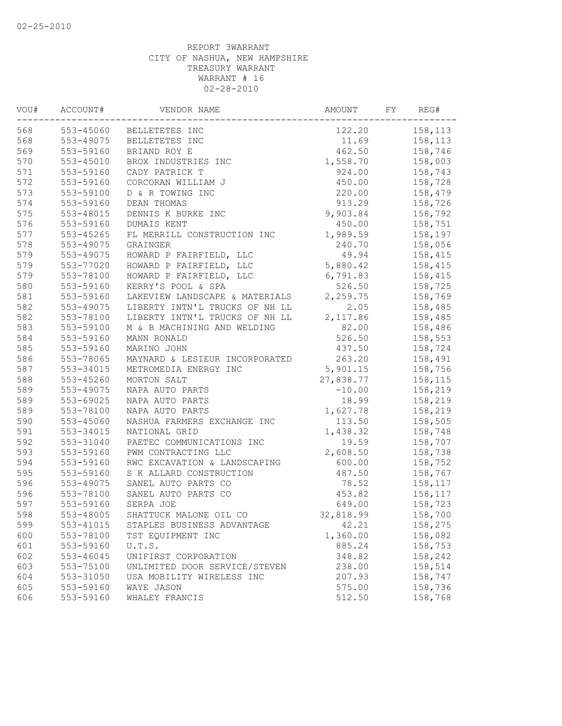| VOU# | ACCOUNT#      | VENDOR NAME                    | AMOUNT    | FY | REG#    |
|------|---------------|--------------------------------|-----------|----|---------|
| 568  | 553-45060     | BELLETETES INC                 | 122.20    |    | 158,113 |
| 568  | 553-49075     | BELLETETES INC                 | 11.69     |    | 158,113 |
| 569  | 553-59160     | BRIAND ROY E                   | 462.50    |    | 158,746 |
| 570  | $553 - 45010$ | BROX INDUSTRIES INC            | 1,558.70  |    | 158,003 |
| 571  | 553-59160     | CADY PATRICK T                 | 924.00    |    | 158,743 |
| 572  | 553-59160     | CORCORAN WILLIAM J             | 450.00    |    | 158,728 |
| 573  | 553-59100     | D & R TOWING INC               | 220.00    |    | 158,479 |
| 574  | 553-59160     | DEAN THOMAS                    | 913.29    |    | 158,726 |
| 575  | 553-48015     | DENNIS K BURKE INC             | 9,903.84  |    | 158,792 |
| 576  | 553-59160     | DUMAIS KENT                    | 450.00    |    | 158,751 |
| 577  | 553-45265     | FL MERRILL CONSTRUCTION INC    | 1,989.59  |    | 158,197 |
| 578  | 553-49075     | GRAINGER                       | 240.70    |    | 158,056 |
| 579  | 553-49075     | HOWARD P FAIRFIELD, LLC        | 49.94     |    | 158,415 |
| 579  | 553-77020     | HOWARD P FAIRFIELD, LLC        | 5,880.42  |    | 158,415 |
| 579  | 553-78100     | HOWARD P FAIRFIELD, LLC        | 6,791.83  |    | 158,415 |
| 580  | 553-59160     | KERRY'S POOL & SPA             | 526.50    |    | 158,725 |
| 581  | 553-59160     | LAKEVIEW LANDSCAPE & MATERIALS | 2,259.75  |    | 158,769 |
| 582  | 553-49075     | LIBERTY INTN'L TRUCKS OF NH LL | 2.05      |    | 158,485 |
| 582  | 553-78100     | LIBERTY INTN'L TRUCKS OF NH LL | 2,117.86  |    | 158,485 |
| 583  | 553-59100     | M & B MACHINING AND WELDING    | 82.00     |    | 158,486 |
| 584  | 553-59160     | MANN RONALD                    | 526.50    |    | 158,553 |
| 585  | 553-59160     | MARINO JOHN                    | 437.50    |    | 158,724 |
| 586  | 553-78065     | MAYNARD & LESIEUR INCORPORATED | 263.20    |    | 158,491 |
| 587  | 553-34015     | METROMEDIA ENERGY INC          | 5,901.15  |    | 158,756 |
| 588  | 553-45260     | MORTON SALT                    | 27,838.77 |    | 158,115 |
| 589  | 553-49075     | NAPA AUTO PARTS                | $-10.00$  |    | 158,219 |
| 589  | 553-69025     | NAPA AUTO PARTS                | 18.99     |    | 158,219 |
| 589  | 553-78100     | NAPA AUTO PARTS                | 1,627.78  |    | 158,219 |
| 590  | 553-45060     | NASHUA FARMERS EXCHANGE INC    | 113.50    |    | 158,505 |
| 591  | 553-34015     | NATIONAL GRID                  | 1,438.32  |    | 158,748 |
| 592  | 553-31040     | PAETEC COMMUNICATIONS INC      | 19.59     |    | 158,707 |
| 593  | 553-59160     | PWM CONTRACTING LLC            | 2,608.50  |    | 158,738 |
| 594  | 553-59160     | RWC EXCAVATION & LANDSCAPING   | 600.00    |    | 158,752 |
| 595  | 553-59160     | S K ALLARD CONSTRUCTION        | 487.50    |    | 158,767 |
| 596  | 553-49075     | SANEL AUTO PARTS CO            | 78.52     |    | 158,117 |
| 596  | 553-78100     | SANEL AUTO PARTS CO            | 453.82    |    | 158,117 |
| 597  | 553-59160     | SERPA JOE                      | 649.00    |    | 158,723 |
| 598  | 553-48005     | SHATTUCK MALONE OIL CO         | 32,818.99 |    | 158,700 |
| 599  | 553-41015     | STAPLES BUSINESS ADVANTAGE     | 42.21     |    | 158,275 |
| 600  | 553-78100     | TST EQUIPMENT INC              | 1,360.00  |    | 158,082 |
| 601  | 553-59160     | U.T.S.                         | 885.24    |    | 158,753 |
| 602  | $553 - 46045$ | UNIFIRST CORPORATION           | 348.82    |    | 158,242 |
| 603  | 553-75100     | UNLIMITED DOOR SERVICE/STEVEN  | 238.00    |    | 158,514 |
| 604  | 553-31050     | USA MOBILITY WIRELESS INC      | 207.93    |    | 158,747 |
| 605  | 553-59160     | WAYE JASON                     | 575.00    |    | 158,736 |
| 606  | 553-59160     | WHALEY FRANCIS                 | 512.50    |    | 158,768 |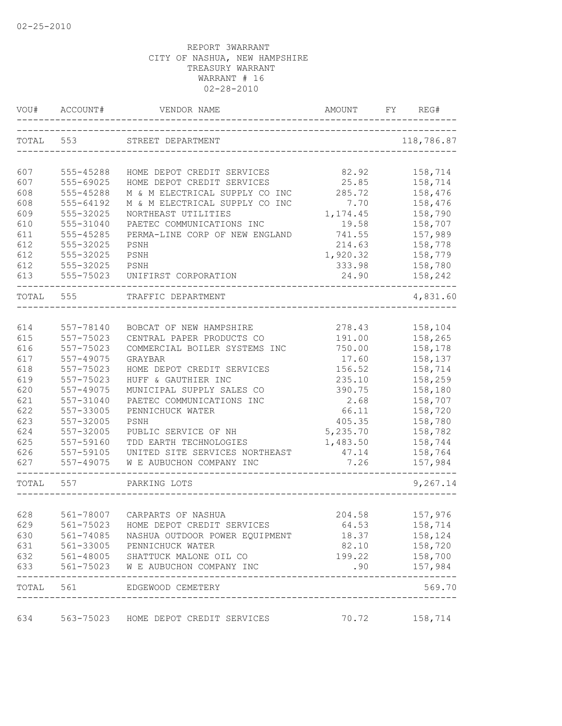| VOU#      | ACCOUNT#  | VENDOR NAME                                                           | AMOUNT          | FY | REG#       |
|-----------|-----------|-----------------------------------------------------------------------|-----------------|----|------------|
| TOTAL 553 |           | STREET DEPARTMENT                                                     |                 |    | 118,786.87 |
| 607       | 555-45288 | HOME DEPOT CREDIT SERVICES                                            | 82.92           |    | 158,714    |
| 607       | 555-69025 | HOME DEPOT CREDIT SERVICES                                            | 25.85           |    | 158,714    |
| 608       | 555-45288 | M & M ELECTRICAL SUPPLY CO INC                                        | 285.72          |    | 158,476    |
| 608       | 555-64192 | M & M ELECTRICAL SUPPLY CO INC                                        | 7.70            |    | 158,476    |
| 609       | 555-32025 | NORTHEAST UTILITIES                                                   | 1, 174.45       |    | 158,790    |
| 610       | 555-31040 | PAETEC COMMUNICATIONS INC                                             | 19.58           |    | 158,707    |
| 611       | 555-45285 | PERMA-LINE CORP OF NEW ENGLAND                                        | 741.55          |    | 157,989    |
|           |           |                                                                       |                 |    |            |
| 612       | 555-32025 | PSNH                                                                  | 214.63          |    | 158,778    |
| 612       | 555-32025 | PSNH                                                                  | 1,920.32        |    | 158,779    |
| 612       | 555-32025 | PSNH                                                                  | 333.98          |    | 158,780    |
| 613       | 555-75023 | UNIFIRST CORPORATION                                                  | 24.90           |    | 158,242    |
| TOTAL 555 |           | TRAFFIC DEPARTMENT                                                    |                 |    | 4,831.60   |
|           |           |                                                                       |                 |    |            |
| 614       | 557-78140 | BOBCAT OF NEW HAMPSHIRE                                               | 278.43          |    | 158,104    |
| 615       | 557-75023 | CENTRAL PAPER PRODUCTS CO                                             | 191.00          |    | 158,265    |
| 616       | 557-75023 | COMMERCIAL BOILER SYSTEMS INC                                         | 750.00          |    | 158,178    |
| 617       | 557-49075 | GRAYBAR                                                               | 17.60           |    | 158,137    |
| 618       | 557-75023 | HOME DEPOT CREDIT SERVICES                                            | 156.52          |    | 158,714    |
| 619       | 557-75023 | HUFF & GAUTHIER INC                                                   | 235.10          |    | 158,259    |
| 620       | 557-49075 | MUNICIPAL SUPPLY SALES CO                                             | 390.75          |    | 158,180    |
| 621       | 557-31040 | PAETEC COMMUNICATIONS INC                                             | 2.68            |    | 158,707    |
| 622       | 557-33005 | PENNICHUCK WATER                                                      | 66.11           |    | 158,720    |
| 623       | 557-32005 | PSNH                                                                  | 405.35          |    | 158,780    |
| 624       | 557-32005 | PUBLIC SERVICE OF NH                                                  | 5,235.70        |    | 158,782    |
| 625       | 557-59160 | TDD EARTH TECHNOLOGIES                                                | 1,483.50        |    | 158,744    |
| 626       | 557-59105 | UNITED SITE SERVICES NORTHEAST                                        | 47.14           |    | 158,764    |
| 627       | 557-49075 | W E AUBUCHON COMPANY INC                                              | 7.26            |    | 157,984    |
| TOTAL 557 |           | PARKING LOTS                                                          |                 |    | 9,267.14   |
|           |           |                                                                       |                 |    |            |
| 628       | 561-78007 | CARPARTS OF NASHUA                                                    | 204.58          |    | 157,976    |
| 629       |           | 561-75023 HOME DEPOT CREDIT SERVICES                                  | 64.53           |    | 158,714    |
| 630       |           | 561-74085 NASHUA OUTDOOR POWER EQUIPMENT                              | 18.37           |    | 158,124    |
| 631       |           | 561-33005 PENNICHUCK WATER                                            | 82.10           |    | 158,720    |
| 632       |           | 561-48005 SHATTUCK MALONE OIL CO<br>561-75023 W E AUBUCHON COMPANY IN | 199.22          |    | 158,700    |
| 633       |           | 561-75023 W E AUBUCHON COMPANY INC                                    | .90             |    | 157,984    |
|           |           | TOTAL 561 EDGEWOOD CEMETERY                                           |                 |    | 569.70     |
| 634       |           | 563-75023 HOME DEPOT CREDIT SERVICES                                  | $70.72$ 158,714 |    |            |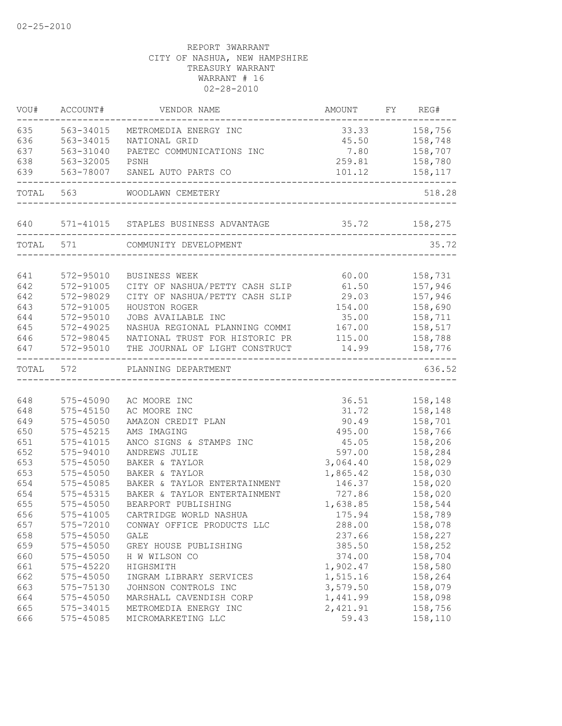| VOU#       | ACCOUNT#                   | VENDOR NAME                                        | AMOUNT               | FY REG#            |
|------------|----------------------------|----------------------------------------------------|----------------------|--------------------|
| 635        | 563-34015                  | METROMEDIA ENERGY INC                              |                      | 33.33 158,756      |
| 636        | 563-34015                  | NATIONAL GRID                                      |                      | 45.50 158,748      |
| 637        | 563-31040                  | PAETEC COMMUNICATIONS INC                          |                      | 7.80 158,707       |
| 638        | 563-32005                  | PSNH                                               |                      | 259.81 158,780     |
| 639        | 563-78007                  | SANEL AUTO PARTS CO                                | 101.12               | 158,117            |
|            | TOTAL 563                  | WOODLAWN CEMETERY                                  |                      | 518.28             |
| 640        |                            | 571-41015 STAPLES BUSINESS ADVANTAGE 35.72 158,275 |                      |                    |
|            | TOTAL 571                  | COMMUNITY DEVELOPMENT                              |                      | 35.72              |
| 641        | 572-95010                  | BUSINESS WEEK                                      | 60.00                | 158,731            |
| 642        | 572-91005                  | CITY OF NASHUA/PETTY CASH SLIP                     | 61.50                | 157,946            |
| 642        | 572-98029                  | CITY OF NASHUA/PETTY CASH SLIP                     | 29.03                | 157,946            |
| 643        | 572-91005                  | HOUSTON ROGER                                      | 154.00               | 158,690            |
| 644        | 572-95010                  | JOBS AVAILABLE INC                                 | 35.00                | 158,711            |
| 645        | 572-49025                  | NASHUA REGIONAL PLANNING COMMI                     | 167.00               | 158,517            |
| 646        | 572-98045                  | NATIONAL TRUST FOR HISTORIC PR                     | 115.00               | 158,788            |
| 647        | 572-95010                  | THE JOURNAL OF LIGHT CONSTRUCT                     | 14.99                | 158,776            |
| TOTAL 572  |                            | PLANNING DEPARTMENT                                |                      | 636.52             |
|            |                            |                                                    |                      |                    |
| 648        | 575-45090                  | AC MOORE INC                                       | 36.51                | 158,148            |
| 648        | $575 - 45150$              | AC MOORE INC                                       | 31.72                | 158,148            |
| 649        | $575 - 45050$              | AMAZON CREDIT PLAN                                 | 90.49                | 158,701            |
| 650        | $575 - 45215$              | AMS IMAGING                                        | 495.00               | 158,766            |
| 651        | 575-41015                  | ANCO SIGNS & STAMPS INC                            | 45.05                | 158,206            |
| 652        | 575-94010                  | ANDREWS JULIE                                      | 597.00               | 158,284            |
| 653        | $575 - 45050$              | BAKER & TAYLOR                                     | 3,064.40<br>1,865.42 | 158,029            |
| 653<br>654 | $575 - 45050$<br>575-45085 | BAKER & TAYLOR<br>BAKER & TAYLOR ENTERTAINMENT     | 146.37               | 158,030<br>158,020 |
| 654        | 575-45315                  | BAKER & TAYLOR ENTERTAINMENT                       | 727.86               | 158,020            |
| 655        | $575 - 45050$              | BEARPORT PUBLISHING                                | 1,638.85             | 158,544            |
| 656        | 575-41005                  | CARTRIDGE WORLD NASHUA                             | 175.94               | 158,789            |
| 657        | 575-72010                  |                                                    |                      |                    |
| 658        | 575-45050                  | CONWAY OFFICE PRODUCTS LLC<br>GALE                 | 288.00<br>237.66     | 158,078<br>158,227 |
| 659        | 575-45050                  | GREY HOUSE PUBLISHING                              | 385.50               | 158,252            |
| 660        | 575-45050                  | H W WILSON CO                                      | 374.00               | 158,704            |
| 661        | 575-45220                  | HIGHSMITH                                          | 1,902.47             | 158,580            |
| 662        | 575-45050                  | INGRAM LIBRARY SERVICES                            | 1,515.16             | 158,264            |
| 663        | 575-75130                  | JOHNSON CONTROLS INC                               | 3,579.50             | 158,079            |
| 664        | $575 - 45050$              | MARSHALL CAVENDISH CORP                            | 1,441.99             | 158,098            |
| 665        | 575-34015                  | METROMEDIA ENERGY INC                              | 2,421.91             | 158,756            |
| 666        | 575-45085                  | MICROMARKETING LLC                                 | 59.43                | 158,110            |
|            |                            |                                                    |                      |                    |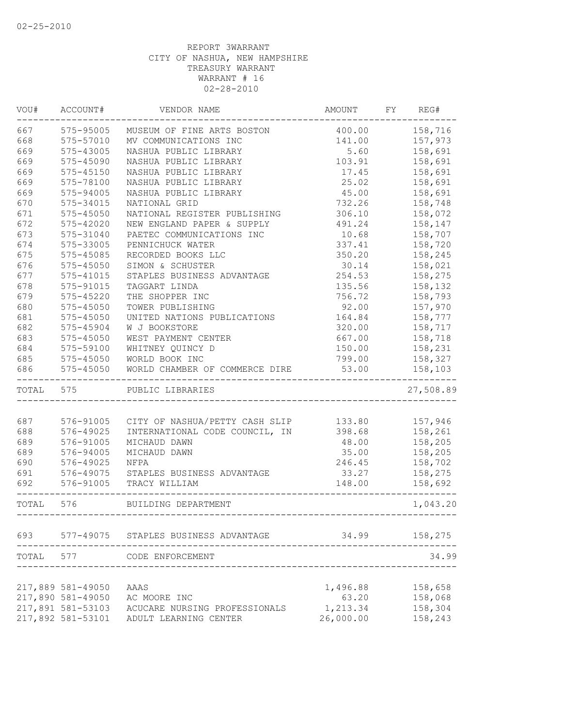| VOU#      | ACCOUNT#          | VENDOR NAME                                   | AMOUNT                      | FY | REG#      |
|-----------|-------------------|-----------------------------------------------|-----------------------------|----|-----------|
| 667       | 575-95005         | MUSEUM OF FINE ARTS BOSTON                    | 400.00                      |    | 158,716   |
| 668       | 575-57010         | MV COMMUNICATIONS INC                         | 141.00                      |    | 157,973   |
| 669       | 575-43005         | NASHUA PUBLIC LIBRARY                         | 5.60                        |    | 158,691   |
| 669       | 575-45090         | NASHUA PUBLIC LIBRARY                         | 103.91                      |    | 158,691   |
| 669       | $575 - 45150$     | NASHUA PUBLIC LIBRARY                         | 17.45                       |    | 158,691   |
| 669       | 575-78100         | NASHUA PUBLIC LIBRARY                         | 25.02                       |    | 158,691   |
| 669       | 575-94005         | NASHUA PUBLIC LIBRARY                         | 45.00                       |    | 158,691   |
| 670       | 575-34015         | NATIONAL GRID                                 | 732.26                      |    | 158,748   |
| 671       | 575-45050         | NATIONAL REGISTER PUBLISHING                  | 306.10                      |    | 158,072   |
| 672       | $575 - 42020$     | NEW ENGLAND PAPER & SUPPLY                    | 491.24                      |    | 158,147   |
| 673       | 575-31040         | PAETEC COMMUNICATIONS INC                     | 10.68                       |    | 158,707   |
| 674       | 575-33005         | PENNICHUCK WATER                              | 337.41                      |    | 158,720   |
| 675       | 575-45085         | RECORDED BOOKS LLC                            | 350.20                      |    | 158,245   |
| 676       | $575 - 45050$     | SIMON & SCHUSTER                              | 30.14                       |    | 158,021   |
| 677       | 575-41015         | STAPLES BUSINESS ADVANTAGE                    | 254.53                      |    | 158,275   |
| 678       | 575-91015         | TAGGART LINDA                                 | 135.56                      |    | 158,132   |
| 679       | 575-45220         | THE SHOPPER INC                               | 756.72                      |    | 158,793   |
| 680       | 575-45050         | TOWER PUBLISHING                              | 92.00                       |    | 157,970   |
| 681       | 575-45050         | UNITED NATIONS PUBLICATIONS                   | 164.84                      |    | 158,777   |
| 682       | 575-45904         | W J BOOKSTORE                                 | 320.00                      |    | 158,717   |
| 683       | $575 - 45050$     | WEST PAYMENT CENTER                           | 667.00                      |    | 158,718   |
| 684       | 575-59100         | WHITNEY QUINCY D                              | 150.00                      |    | 158,231   |
| 685       | 575-45050         | WORLD BOOK INC                                | 799.00                      |    | 158,327   |
| 686       | $575 - 45050$     | WORLD CHAMBER OF COMMERCE DIRE                | 53.00                       |    | 158,103   |
| TOTAL 575 |                   | PUBLIC LIBRARIES                              |                             |    | 27,508.89 |
|           |                   |                                               |                             |    |           |
| 687       | 576-91005         | CITY OF NASHUA/PETTY CASH SLIP 133.80 157,946 |                             |    |           |
| 688       | 576-49025         | INTERNATIONAL CODE COUNCIL, IN                | 398.68                      |    | 158,261   |
| 689       | 576-91005         | MICHAUD DAWN                                  | 48.00                       |    | 158,205   |
| 689       | 576-94005         | MICHAUD DAWN                                  | 35.00                       |    | 158,205   |
| 690       | 576-49025         | <b>NFPA</b>                                   | 246.45                      |    | 158,702   |
| 691       | 576-49075         | STAPLES BUSINESS ADVANTAGE                    | 33.27                       |    | 158,275   |
| 692       | 576-91005         | TRACY WILLIAM                                 | 148.00                      |    | 158,692   |
| TOTAL     | 576               | BUILDING DEPARTMENT                           | --------------------------- |    | 1,043.20  |
|           |                   | 693 577-49075 STAPLES BUSINESS ADVANTAGE      | 34.99                       |    | 158,275   |
| TOTAL     | 577               | CODE ENFORCEMENT                              |                             |    | 34.99     |
|           |                   |                                               |                             |    |           |
|           | 217,889 581-49050 | AAAS                                          | 1,496.88                    |    | 158,658   |
|           | 217,890 581-49050 | AC MOORE INC                                  | 63.20                       |    | 158,068   |
|           | 217,891 581-53103 | ACUCARE NURSING PROFESSIONALS                 | 1,213.34                    |    | 158,304   |
|           | 217,892 581-53101 | ADULT LEARNING CENTER                         | 26,000.00                   |    | 158,243   |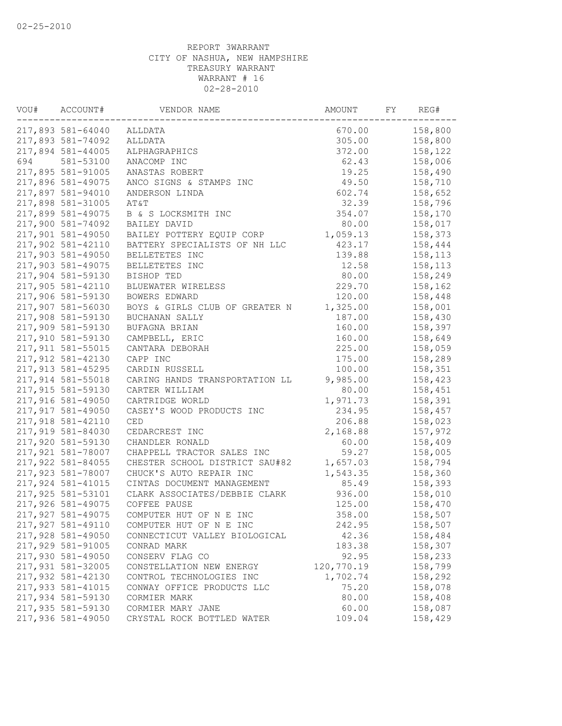| VOU#<br>ACCOUNT# |                   | VENDOR NAME                    | AMOUNT     | REG# |                    |  |
|------------------|-------------------|--------------------------------|------------|------|--------------------|--|
|                  | 217,893 581-64040 | ALLDATA                        | 670.00     |      | 158,800            |  |
|                  | 217,893 581-74092 | ALLDATA                        | 305.00     |      | 158,800            |  |
|                  | 217,894 581-44005 | ALPHAGRAPHICS                  | 372.00     |      | 158,122            |  |
| 694              | 581-53100         | ANACOMP INC                    | 62.43      |      | 158,006            |  |
|                  | 217,895 581-91005 | ANASTAS ROBERT                 | 19.25      |      | 158,490            |  |
|                  | 217,896 581-49075 | ANCO SIGNS & STAMPS INC        | 49.50      |      | 158,710            |  |
|                  | 217,897 581-94010 | ANDERSON LINDA                 | 602.74     |      | 158,652            |  |
|                  | 217,898 581-31005 | AT&T                           | 32.39      |      | 158,796            |  |
|                  | 217,899 581-49075 | B & S LOCKSMITH INC            | 354.07     |      | 158,170            |  |
|                  | 217,900 581-74092 | BAILEY DAVID                   | 80.00      |      | 158,017            |  |
|                  | 217,901 581-49050 | BAILEY POTTERY EQUIP CORP      | 1,059.13   |      | 158,373            |  |
|                  | 217,902 581-42110 | BATTERY SPECIALISTS OF NH LLC  | 423.17     |      | 158,444            |  |
|                  | 217,903 581-49050 | BELLETETES INC                 | 139.88     |      | 158,113            |  |
|                  | 217,903 581-49075 | BELLETETES INC                 | 12.58      |      | 158,113            |  |
|                  | 217,904 581-59130 | BISHOP TED                     | 80.00      |      | 158,249            |  |
|                  | 217,905 581-42110 | BLUEWATER WIRELESS             | 229.70     |      | 158,162            |  |
|                  | 217,906 581-59130 | BOWERS EDWARD                  | 120.00     |      | 158,448            |  |
|                  | 217,907 581-56030 | BOYS & GIRLS CLUB OF GREATER N | 1,325.00   |      | 158,001            |  |
|                  | 217,908 581-59130 | BUCHANAN SALLY                 | 187.00     |      | 158,430            |  |
|                  | 217,909 581-59130 | BUFAGNA BRIAN                  | 160.00     |      | 158,397            |  |
|                  | 217,910 581-59130 | CAMPBELL, ERIC                 | 160.00     |      | 158,649            |  |
|                  | 217,911 581-55015 | CANTARA DEBORAH                | 225.00     |      | 158,059            |  |
|                  | 217,912 581-42130 | CAPP INC                       | 175.00     |      | 158,289            |  |
|                  | 217,913 581-45295 | CARDIN RUSSELL                 | 100.00     |      | 158,351            |  |
|                  | 217,914 581-55018 | CARING HANDS TRANSPORTATION LL | 9,985.00   |      | 158,423            |  |
|                  | 217,915 581-59130 | CARTER WILLIAM                 | 80.00      |      | 158,451            |  |
|                  | 217,916 581-49050 | CARTRIDGE WORLD                | 1,971.73   |      | 158,391            |  |
|                  | 217,917 581-49050 | CASEY'S WOOD PRODUCTS INC      | 234.95     |      | 158,457            |  |
|                  | 217,918 581-42110 | CED                            | 206.88     |      | 158,023            |  |
|                  | 217,919 581-84030 | CEDARCREST INC                 | 2,168.88   |      | 157,972            |  |
|                  | 217,920 581-59130 | CHANDLER RONALD                | 60.00      |      | 158,409            |  |
|                  | 217,921 581-78007 | CHAPPELL TRACTOR SALES INC     | 59.27      |      | 158,005            |  |
|                  | 217,922 581-84055 | CHESTER SCHOOL DISTRICT SAU#82 | 1,657.03   |      | 158,794            |  |
|                  | 217,923 581-78007 | CHUCK'S AUTO REPAIR INC        |            |      |                    |  |
|                  |                   |                                | 1,543.35   |      | 158,360<br>158,393 |  |
|                  | 217,924 581-41015 | CINTAS DOCUMENT MANAGEMENT     | 85.49      |      |                    |  |
|                  | 217,925 581-53101 | CLARK ASSOCIATES/DEBBIE CLARK  | 936.00     |      | 158,010            |  |
|                  | 217,926 581-49075 | COFFEE PAUSE                   | 125.00     |      | 158,470            |  |
|                  | 217,927 581-49075 | COMPUTER HUT OF N E INC        | 358.00     |      | 158,507            |  |
|                  | 217,927 581-49110 | COMPUTER HUT OF N E INC        | 242.95     |      | 158,507            |  |
|                  | 217,928 581-49050 | CONNECTICUT VALLEY BIOLOGICAL  | 42.36      |      | 158,484            |  |
|                  | 217,929 581-91005 | CONRAD MARK                    | 183.38     |      | 158,307            |  |
|                  | 217,930 581-49050 | CONSERV FLAG CO                | 92.95      |      | 158,233            |  |
|                  | 217,931 581-32005 | CONSTELLATION NEW ENERGY       | 120,770.19 |      | 158,799            |  |
|                  | 217,932 581-42130 | CONTROL TECHNOLOGIES INC       | 1,702.74   |      | 158,292            |  |
|                  | 217,933 581-41015 | CONWAY OFFICE PRODUCTS LLC     | 75.20      |      | 158,078            |  |
|                  | 217,934 581-59130 | CORMIER MARK                   | 80.00      |      | 158,408            |  |
|                  | 217,935 581-59130 | CORMIER MARY JANE              | 60.00      |      | 158,087            |  |
|                  | 217,936 581-49050 | CRYSTAL ROCK BOTTLED WATER     | 109.04     |      | 158,429            |  |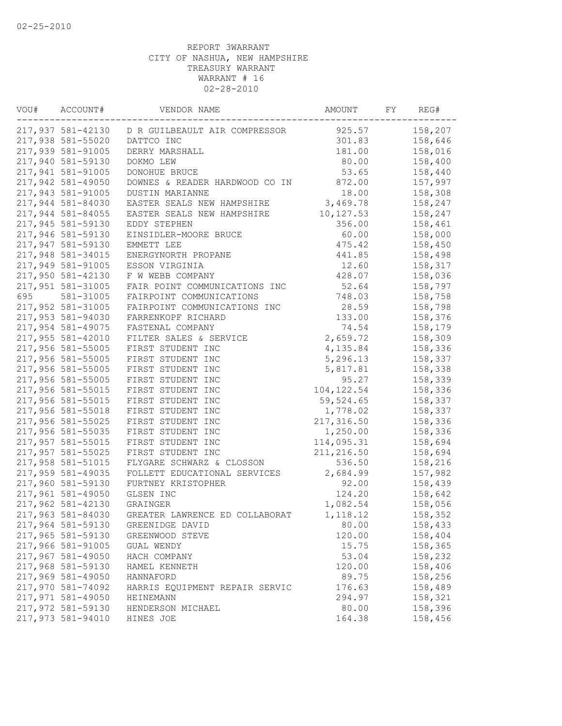| VOU# | ACCOUNT#<br>VENDOR NAME |                                                 | AMOUNT      |  | FΥ<br>REG# |  |
|------|-------------------------|-------------------------------------------------|-------------|--|------------|--|
|      |                         | 217,937 581-42130 D R GUILBEAULT AIR COMPRESSOR | 925.57      |  | 158,207    |  |
|      | 217,938 581-55020       | DATTCO INC                                      | 301.83      |  | 158,646    |  |
|      | 217,939 581-91005       | DERRY MARSHALL                                  | 181.00      |  | 158,016    |  |
|      | 217,940 581-59130       | DOKMO LEW                                       | 80.00       |  | 158,400    |  |
|      | 217,941 581-91005       | DONOHUE BRUCE                                   | 53.65       |  | 158,440    |  |
|      | 217,942 581-49050       | DOWNES & READER HARDWOOD CO IN                  | 872.00      |  | 157,997    |  |
|      | 217,943 581-91005       | DUSTIN MARIANNE                                 | 18.00       |  | 158,308    |  |
|      | 217,944 581-84030       | EASTER SEALS NEW HAMPSHIRE                      | 3,469.78    |  | 158,247    |  |
|      | 217,944 581-84055       | EASTER SEALS NEW HAMPSHIRE                      | 10, 127.53  |  | 158,247    |  |
|      | 217,945 581-59130       | EDDY STEPHEN                                    | 356.00      |  | 158,461    |  |
|      | 217,946 581-59130       | EINSIDLER-MOORE BRUCE                           | 60.00       |  | 158,000    |  |
|      | 217,947 581-59130       | EMMETT LEE                                      | 475.42      |  | 158,450    |  |
|      | 217,948 581-34015       | ENERGYNORTH PROPANE                             | 441.85      |  | 158,498    |  |
|      | 217,949 581-91005       | ESSON VIRGINIA                                  | 12.60       |  | 158,317    |  |
|      | 217,950 581-42130       | F W WEBB COMPANY                                | 428.07      |  | 158,036    |  |
|      | 217,951 581-31005       | FAIR POINT COMMUNICATIONS INC                   | 52.64       |  | 158,797    |  |
| 695  | 581-31005               | FAIRPOINT COMMUNICATIONS                        | 748.03      |  | 158,758    |  |
|      | 217,952 581-31005       | FAIRPOINT COMMUNICATIONS INC                    | 28.59       |  | 158,798    |  |
|      | 217,953 581-94030       | FARRENKOPF RICHARD                              | 133.00      |  | 158,376    |  |
|      | 217,954 581-49075       | FASTENAL COMPANY                                | 74.54       |  | 158,179    |  |
|      | 217,955 581-42010       | FILTER SALES & SERVICE                          | 2,659.72    |  | 158,309    |  |
|      | 217,956 581-55005       | FIRST STUDENT INC                               | 4,135.84    |  | 158,336    |  |
|      | 217,956 581-55005       | FIRST STUDENT INC                               | 5,296.13    |  | 158,337    |  |
|      | 217,956 581-55005       | FIRST STUDENT INC                               | 5,817.81    |  | 158,338    |  |
|      | 217,956 581-55005       | FIRST STUDENT INC                               | 95.27       |  | 158,339    |  |
|      | 217,956 581-55015       | FIRST STUDENT INC                               | 104, 122.54 |  | 158,336    |  |
|      | 217,956 581-55015       | FIRST STUDENT INC                               | 59,524.65   |  | 158,337    |  |
|      | 217,956 581-55018       | FIRST STUDENT INC                               | 1,778.02    |  | 158,337    |  |
|      | 217,956 581-55025       | FIRST STUDENT INC                               | 217,316.50  |  | 158,336    |  |
|      | 217,956 581-55035       | FIRST STUDENT INC                               | 1,250.00    |  | 158,336    |  |
|      | 217,957 581-55015       | FIRST STUDENT INC                               | 114,095.31  |  | 158,694    |  |
|      | 217,957 581-55025       | FIRST STUDENT INC                               | 211, 216.50 |  | 158,694    |  |
|      | 217,958 581-51015       | FLYGARE SCHWARZ & CLOSSON                       | 536.50      |  | 158,216    |  |
|      | 217,959 581-49035       | FOLLETT EDUCATIONAL SERVICES                    | 2,684.99    |  | 157,982    |  |
|      | 217,960 581-59130       | FURTNEY KRISTOPHER                              | 92.00       |  | 158,439    |  |
|      | 217,961 581-49050       | GLSEN INC                                       | 124.20      |  | 158,642    |  |
|      | 217,962 581-42130       | GRAINGER                                        | 1,082.54    |  | 158,056    |  |
|      |                         |                                                 | 1,118.12    |  |            |  |
|      | 217,963 581-84030       | GREATER LAWRENCE ED COLLABORAT                  |             |  | 158,352    |  |
|      | 217,964 581-59130       | GREENIDGE DAVID                                 | 80.00       |  | 158,433    |  |
|      | 217,965 581-59130       | GREENWOOD STEVE                                 | 120.00      |  | 158,404    |  |
|      | 217,966 581-91005       | GUAL WENDY                                      | 15.75       |  | 158,365    |  |
|      | 217,967 581-49050       | HACH COMPANY                                    | 53.04       |  | 158,232    |  |
|      | 217,968 581-59130       | HAMEL KENNETH                                   | 120.00      |  | 158,406    |  |
|      | 217,969 581-49050       | HANNAFORD                                       | 89.75       |  | 158,256    |  |
|      | 217,970 581-74092       | HARRIS EQUIPMENT REPAIR SERVIC                  | 176.63      |  | 158,489    |  |
|      | 217,971 581-49050       | HEINEMANN                                       | 294.97      |  | 158,321    |  |
|      | 217,972 581-59130       | HENDERSON MICHAEL                               | 80.00       |  | 158,396    |  |
|      | 217,973 581-94010       | HINES JOE                                       | 164.38      |  | 158,456    |  |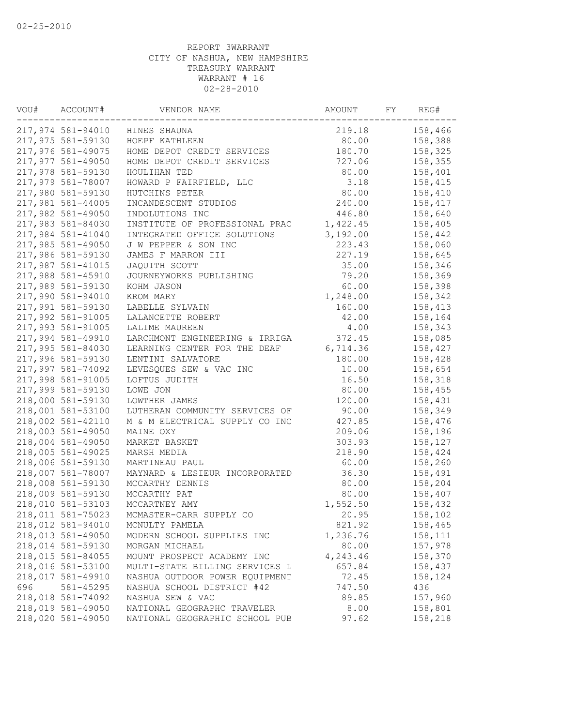| VOU#<br>ACCOUNT# |                                        | VENDOR NAME                    |                    | AMOUNT<br>FY |         |  |
|------------------|----------------------------------------|--------------------------------|--------------------|--------------|---------|--|
|                  | 217,974 581-94010                      | HINES SHAUNA                   | 219.18             |              | 158,466 |  |
|                  | 217,975 581-59130                      | HOEPF KATHLEEN                 | 80.00              |              | 158,388 |  |
|                  | 217,976 581-49075                      | HOME DEPOT CREDIT SERVICES     | 180.70             |              | 158,325 |  |
|                  | 217,977 581-49050                      | HOME DEPOT CREDIT SERVICES     | 727.06             |              | 158,355 |  |
|                  | 217,978 581-59130                      | HOULIHAN TED                   | 80.00              |              | 158,401 |  |
|                  | 217,979 581-78007                      | HOWARD P FAIRFIELD, LLC        | 3.18               |              | 158,415 |  |
|                  | 217,980 581-59130                      | HUTCHINS PETER                 | 80.00              |              | 158,410 |  |
|                  | 217,981 581-44005                      | INCANDESCENT STUDIOS           | 240.00             |              | 158,417 |  |
|                  | 217,982 581-49050                      | INDOLUTIONS INC                | 446.80             |              | 158,640 |  |
|                  | 217,983 581-84030                      | INSTITUTE OF PROFESSIONAL PRAC | 1,422.45           |              | 158,405 |  |
|                  | 217,984 581-41040                      | INTEGRATED OFFICE SOLUTIONS    | 3,192.00           |              | 158,442 |  |
|                  | 217,985 581-49050                      | J W PEPPER & SON INC           | 223.43             |              | 158,060 |  |
|                  | 217,986 581-59130                      | JAMES F MARRON III             | 227.19             |              | 158,645 |  |
|                  | 217,987 581-41015                      | JAQUITH SCOTT                  | 35.00              |              | 158,346 |  |
|                  | 217,988 581-45910                      | JOURNEYWORKS PUBLISHING        | 79.20              |              | 158,369 |  |
|                  | 217,989 581-59130                      | KOHM JASON                     | 60.00              |              | 158,398 |  |
|                  | 217,990 581-94010                      | KROM MARY                      | 1,248.00           |              | 158,342 |  |
|                  | 217,991 581-59130                      | LABELLE SYLVAIN                | 160.00             |              | 158,413 |  |
|                  | 217,992 581-91005                      | LALANCETTE ROBERT              | 42.00              |              | 158,164 |  |
|                  | 217,993 581-91005                      | LALIME MAUREEN                 | 4.00               |              | 158,343 |  |
|                  | 217,994 581-49910                      | LARCHMONT ENGINEERING & IRRIGA | 372.45             |              | 158,085 |  |
|                  | 217,995 581-84030                      | LEARNING CENTER FOR THE DEAF   | 6,714.36           |              | 158,427 |  |
|                  | 217,996 581-59130                      | LENTINI SALVATORE              | 180.00             |              | 158,428 |  |
|                  | 217,997 581-74092                      | LEVESQUES SEW & VAC INC        | 10.00              |              | 158,654 |  |
|                  | 217,998 581-91005                      | LOFTUS JUDITH                  | 16.50              |              | 158,318 |  |
|                  | 217,999 581-59130                      | LOWE JON                       | 80.00              |              | 158,455 |  |
|                  | 218,000 581-59130                      | LOWTHER JAMES                  | 120.00             |              | 158,431 |  |
|                  | 218,001 581-53100                      | LUTHERAN COMMUNITY SERVICES OF | 90.00              |              | 158,349 |  |
|                  | 218,002 581-42110                      | M & M ELECTRICAL SUPPLY CO INC | 427.85             |              | 158,476 |  |
|                  | 218,003 581-49050                      | MAINE OXY                      | 209.06             |              | 158,196 |  |
|                  | 218,004 581-49050                      | MARKET BASKET                  | 303.93             |              | 158,127 |  |
|                  | 218,005 581-49025                      | MARSH MEDIA                    | 218.90             |              | 158,424 |  |
|                  | 218,006 581-59130                      | MARTINEAU PAUL                 | 60.00              |              | 158,260 |  |
|                  | 218,007 581-78007                      | MAYNARD & LESIEUR INCORPORATED | 36.30              |              | 158,491 |  |
|                  | 218,008 581-59130                      | MCCARTHY DENNIS                | 80.00              |              | 158,204 |  |
|                  | 218,009 581-59130                      | MCCARTHY PAT                   | 80.00              |              | 158,407 |  |
|                  | 218,010 581-53103                      | MCCARTNEY AMY                  | 1,552.50           |              | 158,432 |  |
|                  | 218,011 581-75023                      | MCMASTER-CARR SUPPLY CO        | 20.95              |              | 158,102 |  |
|                  | 218,012 581-94010                      | MCNULTY PAMELA                 |                    |              |         |  |
|                  | 218,013 581-49050                      | MODERN SCHOOL SUPPLIES INC     | 821.92<br>1,236.76 |              | 158,465 |  |
|                  |                                        | MORGAN MICHAEL                 |                    |              | 158,111 |  |
|                  | 218,014 581-59130<br>218,015 581-84055 |                                | 80.00              |              | 157,978 |  |
|                  |                                        | MOUNT PROSPECT ACADEMY INC     | 4,243.46           |              | 158,370 |  |
|                  | 218,016 581-53100                      | MULTI-STATE BILLING SERVICES L | 657.84             |              | 158,437 |  |
|                  | 218,017 581-49910                      | NASHUA OUTDOOR POWER EQUIPMENT | 72.45              |              | 158,124 |  |
| 696              | 581-45295                              | NASHUA SCHOOL DISTRICT #42     | 747.50             |              | 436     |  |
|                  | 218,018 581-74092                      | NASHUA SEW & VAC               | 89.85              |              | 157,960 |  |
|                  | 218,019 581-49050                      | NATIONAL GEOGRAPHC TRAVELER    | 8.00               |              | 158,801 |  |
|                  | 218,020 581-49050                      | NATIONAL GEOGRAPHIC SCHOOL PUB | 97.62              |              | 158,218 |  |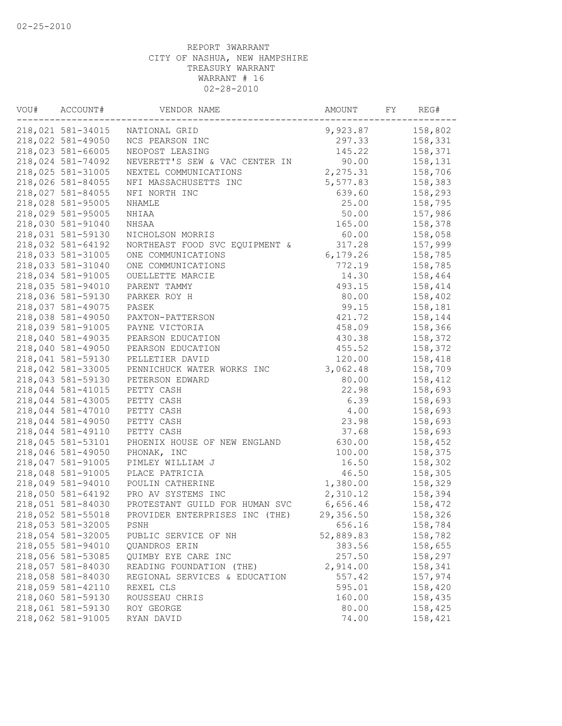| VOU#<br>ACCOUNT# |                   | VENDOR NAME                    |           | AMOUNT<br>FY |         |  |
|------------------|-------------------|--------------------------------|-----------|--------------|---------|--|
|                  | 218,021 581-34015 | NATIONAL GRID                  | 9,923.87  |              | 158,802 |  |
|                  | 218,022 581-49050 | NCS PEARSON INC                | 297.33    |              | 158,331 |  |
|                  | 218,023 581-66005 | NEOPOST LEASING                | 145.22    |              | 158,371 |  |
|                  | 218,024 581-74092 | NEVERETT'S SEW & VAC CENTER IN | 90.00     |              | 158,131 |  |
|                  | 218,025 581-31005 | NEXTEL COMMUNICATIONS          | 2,275.31  |              | 158,706 |  |
|                  | 218,026 581-84055 | NFI MASSACHUSETTS INC          | 5,577.83  |              | 158,383 |  |
|                  | 218,027 581-84055 | NFI NORTH INC                  | 639.60    |              | 158,293 |  |
|                  | 218,028 581-95005 | NHAMLE                         | 25.00     |              | 158,795 |  |
|                  | 218,029 581-95005 | NHIAA                          | 50.00     |              | 157,986 |  |
|                  | 218,030 581-91040 | NHSAA                          | 165.00    |              | 158,378 |  |
|                  | 218,031 581-59130 | NICHOLSON MORRIS               | 60.00     |              | 158,058 |  |
|                  | 218,032 581-64192 | NORTHEAST FOOD SVC EQUIPMENT & | 317.28    |              | 157,999 |  |
|                  | 218,033 581-31005 | ONE COMMUNICATIONS             | 6,179.26  |              | 158,785 |  |
|                  | 218,033 581-31040 | ONE COMMUNICATIONS             | 772.19    |              | 158,785 |  |
|                  | 218,034 581-91005 | OUELLETTE MARCIE               | 14.30     |              | 158,464 |  |
|                  | 218,035 581-94010 | PARENT TAMMY                   | 493.15    |              | 158,414 |  |
|                  | 218,036 581-59130 | PARKER ROY H                   | 80.00     |              | 158,402 |  |
|                  | 218,037 581-49075 | PASEK                          | 99.15     |              | 158,181 |  |
|                  | 218,038 581-49050 | PAXTON-PATTERSON               | 421.72    |              | 158,144 |  |
|                  | 218,039 581-91005 | PAYNE VICTORIA                 | 458.09    |              | 158,366 |  |
|                  | 218,040 581-49035 | PEARSON EDUCATION              | 430.38    |              | 158,372 |  |
|                  | 218,040 581-49050 | PEARSON EDUCATION              | 455.52    |              | 158,372 |  |
|                  | 218,041 581-59130 | PELLETIER DAVID                | 120.00    |              | 158,418 |  |
|                  | 218,042 581-33005 | PENNICHUCK WATER WORKS INC     | 3,062.48  |              | 158,709 |  |
|                  | 218,043 581-59130 | PETERSON EDWARD                | 80.00     |              | 158,412 |  |
|                  | 218,044 581-41015 |                                | 22.98     |              |         |  |
|                  | 218,044 581-43005 | PETTY CASH                     |           |              | 158,693 |  |
|                  |                   | PETTY CASH                     | 6.39      |              | 158,693 |  |
|                  | 218,044 581-47010 | PETTY CASH                     | 4.00      |              | 158,693 |  |
|                  | 218,044 581-49050 | PETTY CASH                     | 23.98     |              | 158,693 |  |
|                  | 218,044 581-49110 | PETTY CASH                     | 37.68     |              | 158,693 |  |
|                  | 218,045 581-53101 | PHOENIX HOUSE OF NEW ENGLAND   | 630.00    |              | 158,452 |  |
|                  | 218,046 581-49050 | PHONAK, INC                    | 100.00    |              | 158,375 |  |
|                  | 218,047 581-91005 | PIMLEY WILLIAM J               | 16.50     |              | 158,302 |  |
|                  | 218,048 581-91005 | PLACE PATRICIA                 | 46.50     |              | 158,305 |  |
|                  | 218,049 581-94010 | POULIN CATHERINE               | 1,380.00  |              | 158,329 |  |
|                  | 218,050 581-64192 | PRO AV SYSTEMS INC             | 2,310.12  |              | 158,394 |  |
|                  | 218,051 581-84030 | PROTESTANT GUILD FOR HUMAN SVC | 6,656.46  |              | 158,472 |  |
|                  | 218,052 581-55018 | PROVIDER ENTERPRISES INC (THE) | 29,356.50 |              | 158,326 |  |
|                  | 218,053 581-32005 | PSNH                           | 656.16    |              | 158,784 |  |
|                  | 218,054 581-32005 | PUBLIC SERVICE OF NH           | 52,889.83 |              | 158,782 |  |
|                  | 218,055 581-94010 | QUANDROS ERIN                  | 383.56    |              | 158,655 |  |
|                  | 218,056 581-53085 | QUIMBY EYE CARE INC            | 257.50    |              | 158,297 |  |
|                  | 218,057 581-84030 | READING FOUNDATION (THE)       | 2,914.00  |              | 158,341 |  |
|                  | 218,058 581-84030 | REGIONAL SERVICES & EDUCATION  | 557.42    |              | 157,974 |  |
|                  | 218,059 581-42110 | REXEL CLS                      | 595.01    |              | 158,420 |  |
|                  | 218,060 581-59130 | ROUSSEAU CHRIS                 | 160.00    |              | 158,435 |  |
|                  | 218,061 581-59130 | ROY GEORGE                     | 80.00     |              | 158,425 |  |
|                  | 218,062 581-91005 | RYAN DAVID                     | 74.00     |              | 158,421 |  |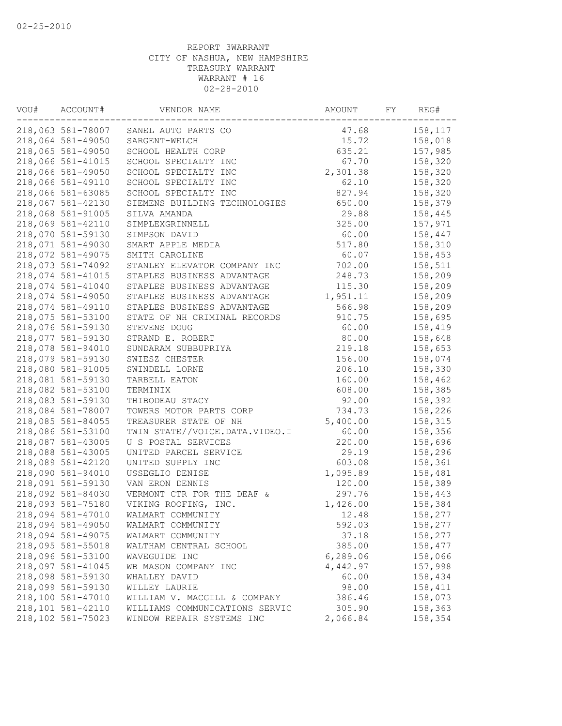| VOU# | ACCOUNT#          | VENDOR NAME                                   |          | FY | REG#               |  |
|------|-------------------|-----------------------------------------------|----------|----|--------------------|--|
|      | 218,063 581-78007 | SANEL AUTO PARTS CO                           | 47.68    |    | 158,117            |  |
|      | 218,064 581-49050 | SARGENT-WELCH                                 | 15.72    |    | 158,018            |  |
|      | 218,065 581-49050 | SCHOOL HEALTH CORP                            | 635.21   |    | 157,985            |  |
|      | 218,066 581-41015 | SCHOOL SPECIALTY INC                          | 67.70    |    | 158,320            |  |
|      | 218,066 581-49050 | SCHOOL SPECIALTY INC                          | 2,301.38 |    | 158,320            |  |
|      | 218,066 581-49110 | SCHOOL SPECIALTY INC                          | 62.10    |    | 158,320            |  |
|      | 218,066 581-63085 | SCHOOL SPECIALTY INC                          | 827.94   |    | 158,320            |  |
|      | 218,067 581-42130 | SIEMENS BUILDING TECHNOLOGIES                 | 650.00   |    | 158,379            |  |
|      | 218,068 581-91005 | SILVA AMANDA                                  | 29.88    |    | 158,445            |  |
|      | 218,069 581-42110 | SIMPLEXGRINNELL                               | 325.00   |    | 157,971            |  |
|      | 218,070 581-59130 | SIMPSON DAVID                                 | 60.00    |    | 158,447            |  |
|      | 218,071 581-49030 | SMART APPLE MEDIA                             | 517.80   |    | 158,310            |  |
|      | 218,072 581-49075 | SMITH CAROLINE                                | 60.07    |    | 158,453            |  |
|      | 218,073 581-74092 | STANLEY ELEVATOR COMPANY INC                  | 702.00   |    | 158,511            |  |
|      | 218,074 581-41015 | STAPLES BUSINESS ADVANTAGE                    | 248.73   |    | 158,209            |  |
|      | 218,074 581-41040 | STAPLES BUSINESS ADVANTAGE                    | 115.30   |    | 158,209            |  |
|      | 218,074 581-49050 | STAPLES BUSINESS ADVANTAGE                    | 1,951.11 |    | 158,209            |  |
|      | 218,074 581-49110 | STAPLES BUSINESS ADVANTAGE                    | 566.98   |    | 158,209            |  |
|      | 218,075 581-53100 | STATE OF NH CRIMINAL RECORDS                  | 910.75   |    | 158,695            |  |
|      | 218,076 581-59130 | STEVENS DOUG                                  | 60.00    |    | 158,419            |  |
|      | 218,077 581-59130 | STRAND E. ROBERT                              | 80.00    |    | 158,648            |  |
|      | 218,078 581-94010 | SUNDARAM SUBBUPRIYA                           | 219.18   |    | 158,653            |  |
|      | 218,079 581-59130 | SWIESZ CHESTER                                | 156.00   |    | 158,074            |  |
|      | 218,080 581-91005 | SWINDELL LORNE                                | 206.10   |    | 158,330            |  |
|      | 218,081 581-59130 | TARBELL EATON                                 | 160.00   |    | 158,462            |  |
|      | 218,082 581-53100 | TERMINIX                                      | 608.00   |    | 158,385            |  |
|      | 218,083 581-59130 | THIBODEAU STACY                               | 92.00    |    | 158,392            |  |
|      | 218,084 581-78007 | TOWERS MOTOR PARTS CORP                       | 734.73   |    | 158,226            |  |
|      | 218,085 581-84055 | TREASURER STATE OF NH                         | 5,400.00 |    | 158,315            |  |
|      | 218,086 581-53100 | TWIN STATE//VOICE.DATA.VIDEO.I                | 60.00    |    | 158,356            |  |
|      | 218,087 581-43005 | U S POSTAL SERVICES                           | 220.00   |    | 158,696            |  |
|      | 218,088 581-43005 | UNITED PARCEL SERVICE                         | 29.19    |    | 158,296            |  |
|      | 218,089 581-42120 | UNITED SUPPLY INC                             | 603.08   |    | 158,361            |  |
|      | 218,090 581-94010 | USSEGLIO DENISE                               | 1,095.89 |    | 158,481            |  |
|      | 218,091 581-59130 | VAN ERON DENNIS                               | 120.00   |    | 158,389            |  |
|      | 218,092 581-84030 | VERMONT CTR FOR THE DEAF &                    | 297.76   |    | 158,443            |  |
|      | 218,093 581-75180 | VIKING ROOFING, INC.                          | 1,426.00 |    | 158,384            |  |
|      | 218,094 581-47010 | WALMART COMMUNITY                             | 12.48    |    | 158,277            |  |
|      | 218,094 581-49050 | WALMART COMMUNITY                             | 592.03   |    | 158,277            |  |
|      | 218,094 581-49075 | WALMART COMMUNITY                             | 37.18    |    | 158,277            |  |
|      | 218,095 581-55018 | WALTHAM CENTRAL SCHOOL                        | 385.00   |    | 158,477            |  |
|      | 218,096 581-53100 | WAVEGUIDE INC                                 | 6,289.06 |    | 158,066            |  |
|      | 218,097 581-41045 | WB MASON COMPANY INC                          | 4,442.97 |    | 157,998            |  |
|      | 218,098 581-59130 | WHALLEY DAVID                                 | 60.00    |    |                    |  |
|      | 218,099 581-59130 |                                               |          |    | 158,434            |  |
|      | 218,100 581-47010 | WILLEY LAURIE<br>WILLIAM V. MACGILL & COMPANY | 98.00    |    | 158,411<br>158,073 |  |
|      |                   | WILLIAMS COMMUNICATIONS SERVIC                | 386.46   |    |                    |  |
|      | 218,101 581-42110 |                                               | 305.90   |    | 158,363            |  |
|      | 218,102 581-75023 | WINDOW REPAIR SYSTEMS INC                     | 2,066.84 |    | 158,354            |  |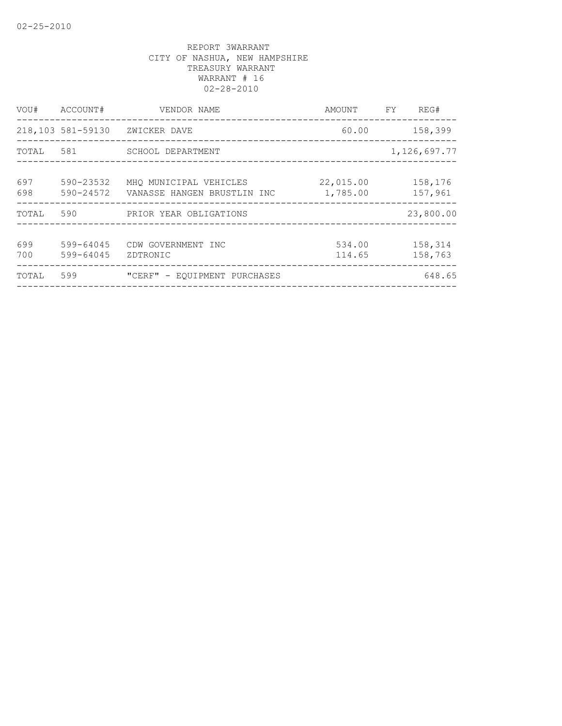| VOU#       | ACCOUNT#               | VENDOR NAME                                           | AMOUNT FY             | REG#               |  |
|------------|------------------------|-------------------------------------------------------|-----------------------|--------------------|--|
|            |                        | 218,103 581-59130 ZWICKER DAVE                        | 60.00                 | 158,399            |  |
| TOTAL      | 581                    | SCHOOL DEPARTMENT                                     |                       | 1, 126, 697.77     |  |
| 697<br>698 | 590-23532<br>590-24572 | MHO MUNICIPAL VEHICLES<br>VANASSE HANGEN BRUSTLIN INC | 22,015.00<br>1,785.00 | 158,176<br>157,961 |  |
| TOTAL      | 590                    | PRIOR YEAR OBLIGATIONS                                |                       | 23,800.00          |  |
| 699<br>700 | 599-64045<br>599-64045 | CDW GOVERNMENT INC<br>ZDTRONIC                        | 534.00<br>114.65      | 158,314<br>158,763 |  |
| TOTAL      | 599                    | "CERF" - EQUIPMENT PURCHASES                          |                       | 648.65             |  |
|            |                        |                                                       |                       |                    |  |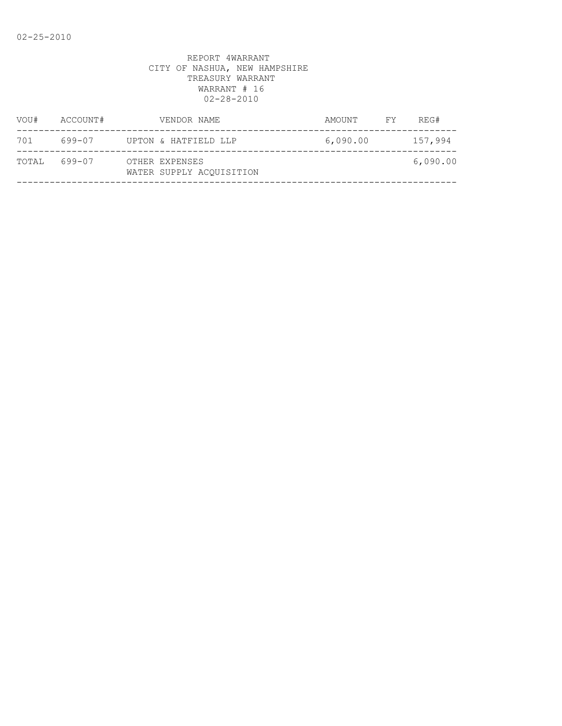| VOU#  | ACCOUNT# | VENDOR NAME                                | AMOUNT   | FY. | REG#     |
|-------|----------|--------------------------------------------|----------|-----|----------|
| 701   | 699-07   | UPTON & HATFIELD LLP                       | 6,090.00 |     | 157,994  |
| TOTAL | 699-07   | OTHER EXPENSES<br>WATER SUPPLY ACOUISITION |          |     | 6,090.00 |
|       |          |                                            |          |     |          |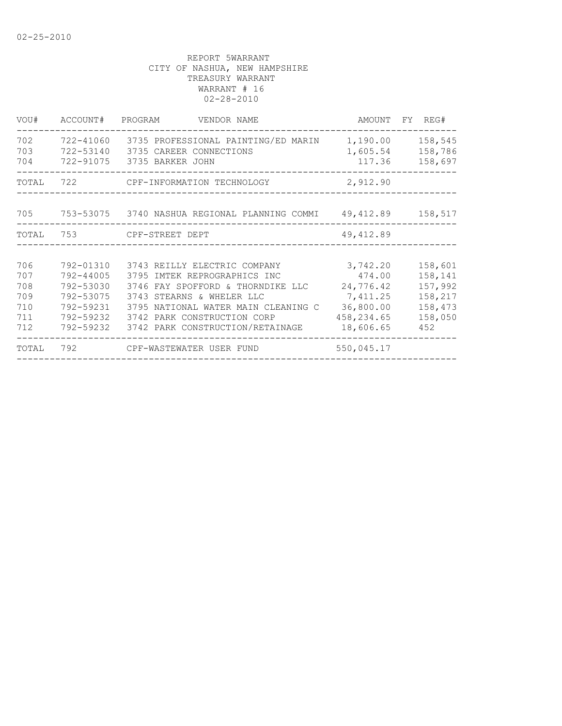| VOU#                                          | ACCOUNT#                                                                                | PROGRAM<br>VENDOR NAME                                                                                                                                                                                                                   |                                                                                     | AMOUNT FY REG#                                                        |
|-----------------------------------------------|-----------------------------------------------------------------------------------------|------------------------------------------------------------------------------------------------------------------------------------------------------------------------------------------------------------------------------------------|-------------------------------------------------------------------------------------|-----------------------------------------------------------------------|
| 702<br>703<br>704                             | 722-41060<br>722-53140<br>722-91075                                                     | 3735 PROFESSIONAL PAINTING/ED MARIN<br>3735 CAREER CONNECTIONS<br>3735 BARKER JOHN                                                                                                                                                       | 1,190.00<br>1,605.54<br>117.36                                                      | 158,545<br>158,786<br>158,697                                         |
| TOTAL                                         | 722                                                                                     | CPF-INFORMATION TECHNOLOGY                                                                                                                                                                                                               | 2,912.90                                                                            |                                                                       |
| 705 — 10                                      |                                                                                         | 753-53075 3740 NASHUA REGIONAL PLANNING COMMI 49,412.89 158,517                                                                                                                                                                          |                                                                                     |                                                                       |
| TOTAL                                         | 753                                                                                     | CPF-STREET DEPT                                                                                                                                                                                                                          | 49, 412.89                                                                          |                                                                       |
|                                               |                                                                                         |                                                                                                                                                                                                                                          |                                                                                     |                                                                       |
| 706<br>707<br>708<br>709<br>710<br>711<br>712 | 792-01310<br>792-44005<br>792-53030<br>792-53075<br>792-59231<br>792-59232<br>792-59232 | 3743 REILLY ELECTRIC COMPANY<br>3795 IMTEK REPROGRAPHICS INC<br>3746 FAY SPOFFORD & THORNDIKE LLC<br>3743 STEARNS & WHELER LLC<br>3795 NATIONAL WATER MAIN CLEANING C<br>3742 PARK CONSTRUCTION CORP<br>3742 PARK CONSTRUCTION/RETAINAGE | 3,742.20<br>474.00<br>24,776.42<br>7,411.25<br>36,800.00<br>458,234.65<br>18,606.65 | 158,601<br>158,141<br>157,992<br>158,217<br>158,473<br>158,050<br>452 |
| TOTAL                                         | 792                                                                                     | CPF-WASTEWATER USER FUND                                                                                                                                                                                                                 | 550,045.17                                                                          |                                                                       |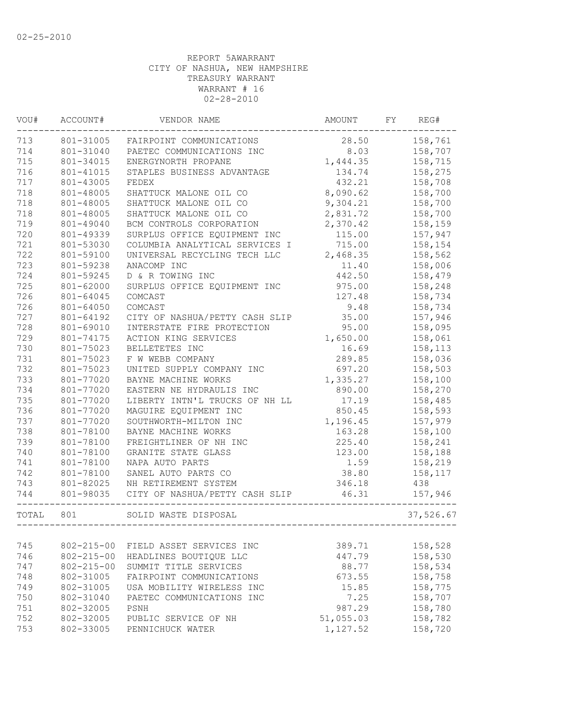| VOU#  | ACCOUNT#         | VENDOR NAME                    | AMOUNT    | FY | REG#      |
|-------|------------------|--------------------------------|-----------|----|-----------|
| 713   | 801-31005        | FAIRPOINT COMMUNICATIONS       | 28.50     |    | 158,761   |
| 714   | 801-31040        | PAETEC COMMUNICATIONS INC      | 8.03      |    | 158,707   |
| 715   | 801-34015        | ENERGYNORTH PROPANE            | 1,444.35  |    | 158,715   |
| 716   | 801-41015        | STAPLES BUSINESS ADVANTAGE     | 134.74    |    | 158,275   |
| 717   | 801-43005        | FEDEX                          | 432.21    |    | 158,708   |
| 718   | 801-48005        | SHATTUCK MALONE OIL CO         | 8,090.62  |    | 158,700   |
| 718   | 801-48005        | SHATTUCK MALONE OIL CO         | 9,304.21  |    | 158,700   |
| 718   | 801-48005        | SHATTUCK MALONE OIL CO         | 2,831.72  |    | 158,700   |
| 719   | 801-49040        | BCM CONTROLS CORPORATION       | 2,370.42  |    | 158,159   |
| 720   | 801-49339        | SURPLUS OFFICE EQUIPMENT INC   | 115.00    |    | 157,947   |
| 721   | 801-53030        | COLUMBIA ANALYTICAL SERVICES I | 715.00    |    | 158,154   |
| 722   | 801-59100        | UNIVERSAL RECYCLING TECH LLC   | 2,468.35  |    | 158,562   |
| 723   | 801-59238        | ANACOMP INC                    | 11.40     |    | 158,006   |
| 724   | 801-59245        | D & R TOWING INC               | 442.50    |    | 158,479   |
| 725   | 801-62000        | SURPLUS OFFICE EQUIPMENT INC   | 975.00    |    | 158,248   |
| 726   | 801-64045        | COMCAST                        | 127.48    |    | 158,734   |
| 726   | 801-64050        | COMCAST                        | 9.48      |    | 158,734   |
| 727   | 801-64192        | CITY OF NASHUA/PETTY CASH SLIP | 35.00     |    | 157,946   |
| 728   | 801-69010        | INTERSTATE FIRE PROTECTION     | 95.00     |    | 158,095   |
| 729   | 801-74175        | ACTION KING SERVICES           | 1,650.00  |    | 158,061   |
| 730   | 801-75023        | BELLETETES INC                 | 16.69     |    | 158,113   |
| 731   | 801-75023        | F W WEBB COMPANY               | 289.85    |    | 158,036   |
| 732   | 801-75023        | UNITED SUPPLY COMPANY INC      | 697.20    |    | 158,503   |
| 733   | 801-77020        | BAYNE MACHINE WORKS            | 1,335.27  |    | 158,100   |
| 734   | 801-77020        | EASTERN NE HYDRAULIS INC       | 890.00    |    | 158,270   |
| 735   | 801-77020        | LIBERTY INTN'L TRUCKS OF NH LL | 17.19     |    | 158,485   |
| 736   | 801-77020        | MAGUIRE EQUIPMENT INC          | 850.45    |    | 158,593   |
| 737   | 801-77020        | SOUTHWORTH-MILTON INC          | 1,196.45  |    | 157,979   |
| 738   | 801-78100        | BAYNE MACHINE WORKS            | 163.28    |    | 158,100   |
| 739   | 801-78100        | FREIGHTLINER OF NH INC         | 225.40    |    | 158,241   |
| 740   | 801-78100        | GRANITE STATE GLASS            | 123.00    |    | 158,188   |
| 741   | 801-78100        | NAPA AUTO PARTS                | 1.59      |    | 158,219   |
| 742   | 801-78100        | SANEL AUTO PARTS CO            | 38.80     |    | 158,117   |
| 743   | 801-82025        | NH RETIREMENT SYSTEM           | 346.18    |    | 438       |
| 744   | 801-98035        | CITY OF NASHUA/PETTY CASH SLIP | 46.31     |    | 157,946   |
| TOTAL | 801              | SOLID WASTE DISPOSAL           |           |    | 37,526.67 |
|       |                  |                                |           |    |           |
| 745   | $802 - 215 - 00$ | FIELD ASSET SERVICES INC       | 389.71    |    | 158,528   |
| 746   | $802 - 215 - 00$ | HEADLINES BOUTIOUE LLC         | 447.79    |    | 158,530   |
| 747   | $802 - 215 - 00$ | SUMMIT TITLE SERVICES          | 88.77     |    | 158,534   |
| 748   | 802-31005        | FAIRPOINT COMMUNICATIONS       | 673.55    |    | 158,758   |
| 749   | 802-31005        | USA MOBILITY WIRELESS INC      | 15.85     |    | 158,775   |
| 750   | 802-31040        | PAETEC COMMUNICATIONS INC      | 7.25      |    | 158,707   |
| 751   | 802-32005        | PSNH                           | 987.29    |    | 158,780   |
| 752   | 802-32005        | PUBLIC SERVICE OF NH           | 51,055.03 |    | 158,782   |
| 753   | 802-33005        | PENNICHUCK WATER               | 1,127.52  |    | 158,720   |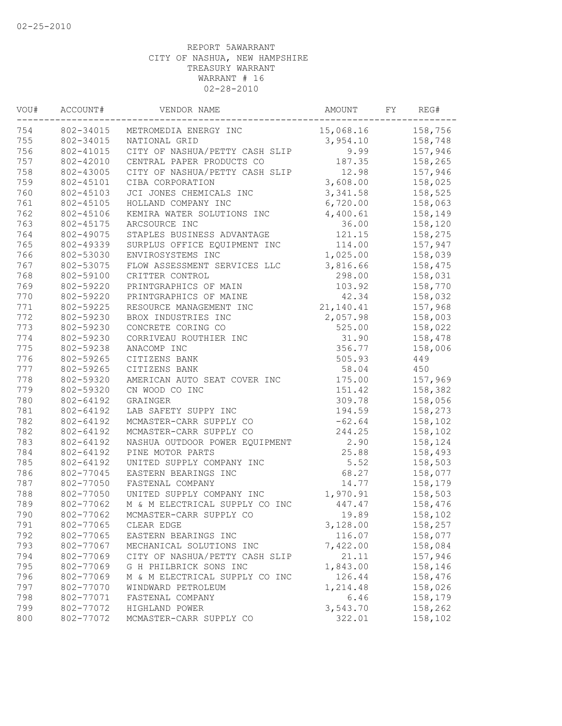| WOU# | ACCOUNT#  | VENDOR NAME                    | AMOUNT    | FY | REG#    |
|------|-----------|--------------------------------|-----------|----|---------|
| 754  | 802-34015 | METROMEDIA ENERGY INC          | 15,068.16 |    | 158,756 |
| 755  | 802-34015 | NATIONAL GRID                  | 3,954.10  |    | 158,748 |
| 756  | 802-41015 | CITY OF NASHUA/PETTY CASH SLIP | 9.99      |    | 157,946 |
| 757  | 802-42010 | CENTRAL PAPER PRODUCTS CO      | 187.35    |    | 158,265 |
| 758  | 802-43005 | CITY OF NASHUA/PETTY CASH SLIP | 12.98     |    | 157,946 |
| 759  | 802-45101 | CIBA CORPORATION               | 3,608.00  |    | 158,025 |
| 760  | 802-45103 | JCI JONES CHEMICALS INC        | 3,341.58  |    | 158,525 |
| 761  | 802-45105 | HOLLAND COMPANY INC            | 6,720.00  |    | 158,063 |
| 762  | 802-45106 | KEMIRA WATER SOLUTIONS INC     | 4,400.61  |    | 158,149 |
| 763  | 802-45175 | ARCSOURCE INC                  | 36.00     |    | 158,120 |
| 764  | 802-49075 | STAPLES BUSINESS ADVANTAGE     | 121.15    |    | 158,275 |
| 765  | 802-49339 | SURPLUS OFFICE EQUIPMENT INC   | 114.00    |    | 157,947 |
| 766  | 802-53030 | ENVIROSYSTEMS INC              | 1,025.00  |    | 158,039 |
| 767  | 802-53075 | FLOW ASSESSMENT SERVICES LLC   | 3,816.66  |    | 158,475 |
| 768  | 802-59100 | CRITTER CONTROL                | 298.00    |    | 158,031 |
| 769  | 802-59220 | PRINTGRAPHICS OF MAIN          | 103.92    |    | 158,770 |
| 770  | 802-59220 | PRINTGRAPHICS OF MAINE         | 42.34     |    | 158,032 |
| 771  | 802-59225 | RESOURCE MANAGEMENT INC        | 21,140.41 |    | 157,968 |
| 772  | 802-59230 | BROX INDUSTRIES INC            | 2,057.98  |    | 158,003 |
| 773  | 802-59230 | CONCRETE CORING CO             | 525.00    |    | 158,022 |
| 774  | 802-59230 | CORRIVEAU ROUTHIER INC         | 31.90     |    | 158,478 |
| 775  | 802-59238 | ANACOMP INC                    | 356.77    |    | 158,006 |
| 776  | 802-59265 | CITIZENS BANK                  | 505.93    |    | 449     |
| 777  | 802-59265 | CITIZENS BANK                  | 58.04     |    | 450     |
| 778  | 802-59320 | AMERICAN AUTO SEAT COVER INC   | 175.00    |    | 157,969 |
| 779  | 802-59320 | CN WOOD CO INC                 | 151.42    |    | 158,382 |
| 780  | 802-64192 | GRAINGER                       | 309.78    |    | 158,056 |
| 781  | 802-64192 | LAB SAFETY SUPPY INC           | 194.59    |    | 158,273 |
| 782  | 802-64192 | MCMASTER-CARR SUPPLY CO        | $-62.64$  |    | 158,102 |
| 782  | 802-64192 | MCMASTER-CARR SUPPLY CO        | 244.25    |    | 158,102 |
| 783  | 802-64192 | NASHUA OUTDOOR POWER EQUIPMENT | 2.90      |    | 158,124 |
| 784  | 802-64192 | PINE MOTOR PARTS               | 25.88     |    | 158,493 |
| 785  | 802-64192 | UNITED SUPPLY COMPANY INC      | 5.52      |    | 158,503 |
| 786  | 802-77045 | EASTERN BEARINGS INC           | 68.27     |    | 158,077 |
| 787  | 802-77050 | FASTENAL COMPANY               | 14.77     |    | 158,179 |
| 788  | 802-77050 | UNITED SUPPLY COMPANY INC      | 1,970.91  |    | 158,503 |
| 789  | 802-77062 | M & M ELECTRICAL SUPPLY CO INC | 447.47    |    | 158,476 |
| 790  | 802-77062 | MCMASTER-CARR SUPPLY CO        | 19.89     |    | 158,102 |
| 791  | 802-77065 | CLEAR EDGE                     | 3,128.00  |    | 158,257 |
| 792  | 802-77065 | EASTERN BEARINGS INC           | 116.07    |    | 158,077 |
| 793  | 802-77067 | MECHANICAL SOLUTIONS INC       | 7,422.00  |    | 158,084 |
| 794  | 802-77069 | CITY OF NASHUA/PETTY CASH SLIP | 21.11     |    | 157,946 |
| 795  | 802-77069 | G H PHILBRICK SONS INC         | 1,843.00  |    | 158,146 |
| 796  | 802-77069 | M & M ELECTRICAL SUPPLY CO INC | 126.44    |    | 158,476 |
| 797  | 802-77070 | WINDWARD PETROLEUM             | 1,214.48  |    | 158,026 |
| 798  | 802-77071 | FASTENAL COMPANY               | 6.46      |    | 158,179 |
| 799  | 802-77072 | HIGHLAND POWER                 | 3,543.70  |    | 158,262 |
| 800  | 802-77072 | MCMASTER-CARR SUPPLY CO        | 322.01    |    | 158,102 |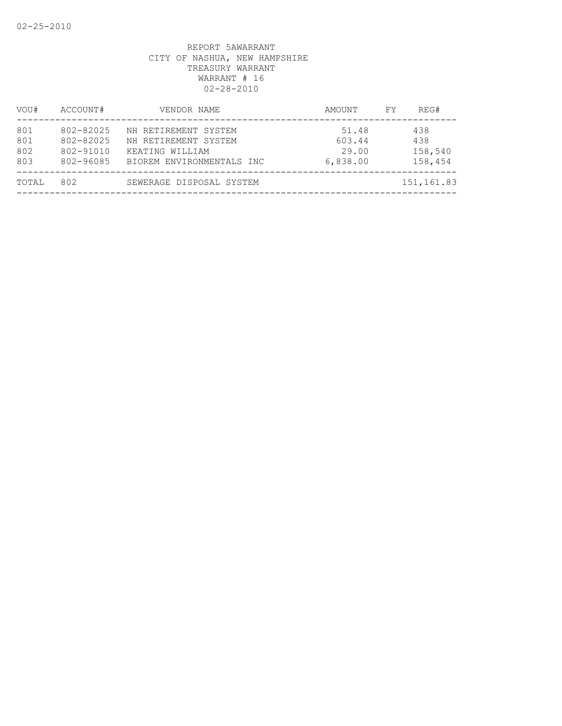| VOU#                     | ACCOUNT#                                         | VENDOR NAME                                                                                  | AMOUNT                               | REG#<br>FY.                      |  |
|--------------------------|--------------------------------------------------|----------------------------------------------------------------------------------------------|--------------------------------------|----------------------------------|--|
| 801<br>801<br>802<br>803 | 802-82025<br>802-82025<br>802-91010<br>802-96085 | NH RETIREMENT SYSTEM<br>NH RETIREMENT SYSTEM<br>KEATING WILLIAM<br>BIOREM ENVIRONMENTALS INC | 51.48<br>603.44<br>29.00<br>6,838.00 | 438<br>438<br>158,540<br>158,454 |  |
| TOTAL                    | 802                                              | SEWERAGE DISPOSAL SYSTEM                                                                     |                                      | 151,161.83                       |  |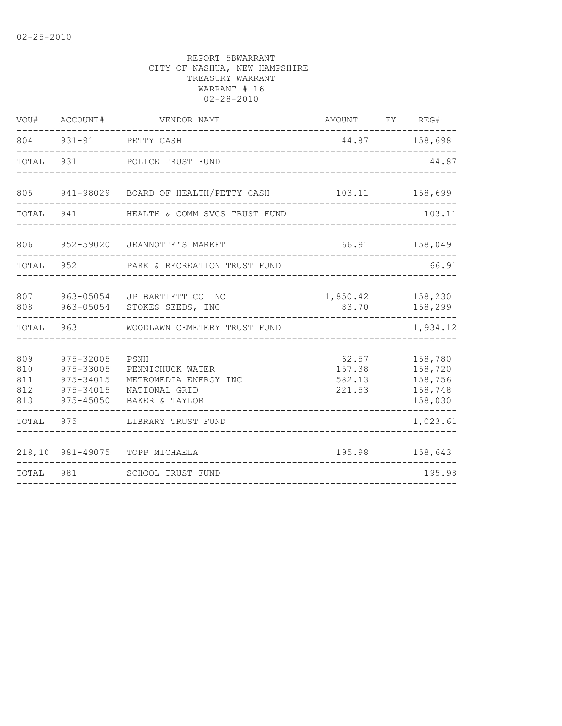| VOU#                            | ACCOUNT#                                                      | VENDOR NAME                                                                          | AMOUNT FY REG#                      |                                                     |
|---------------------------------|---------------------------------------------------------------|--------------------------------------------------------------------------------------|-------------------------------------|-----------------------------------------------------|
|                                 |                                                               | 804 931-91 PETTY CASH<br>______________________________                              | 44.87 158,698                       | __________                                          |
|                                 | TOTAL 931                                                     | POLICE TRUST FUND<br>________________________                                        |                                     | 44.87                                               |
|                                 |                                                               | 805 941-98029 BOARD OF HEALTH/PETTY CASH 103.11 158,699                              |                                     |                                                     |
| TOTAL                           | 941 — 100                                                     | HEALTH & COMM SVCS TRUST FUND                                                        |                                     | 103.11                                              |
| 806                             |                                                               | 952-59020 JEANNOTTE'S MARKET                                                         |                                     | 66.91 158,049                                       |
| TOTAL                           |                                                               | 952 PARK & RECREATION TRUST FUND                                                     |                                     | 66.91                                               |
|                                 |                                                               | 807 963-05054 JP BARTLETT CO INC<br>808 963-05054 STOKES SEEDS, INC                  | 1,850.42 158,230<br>83.70 158,299   |                                                     |
|                                 |                                                               | TOTAL 963 WOODLAWN CEMETERY TRUST FUND                                               |                                     | 1,934.12                                            |
| 809<br>810<br>811<br>812<br>813 | 975-32005<br>975-33005<br>975-34015<br>975-34015<br>975-45050 | PSNH<br>PENNICHUCK WATER<br>METROMEDIA ENERGY INC<br>NATIONAL GRID<br>BAKER & TAYLOR | 62.57<br>157.38<br>582.13<br>221.53 | 158,780<br>158,720<br>158,756<br>158,748<br>158,030 |
|                                 |                                                               | TOTAL 975 LIBRARY TRUST FUND                                                         |                                     | 1,023.61                                            |
|                                 |                                                               | 218,10 981-49075 TOPP MICHAELA                                                       |                                     | 195.98 158,643                                      |
|                                 |                                                               | TOTAL 981 SCHOOL TRUST FUND                                                          |                                     | 195.98                                              |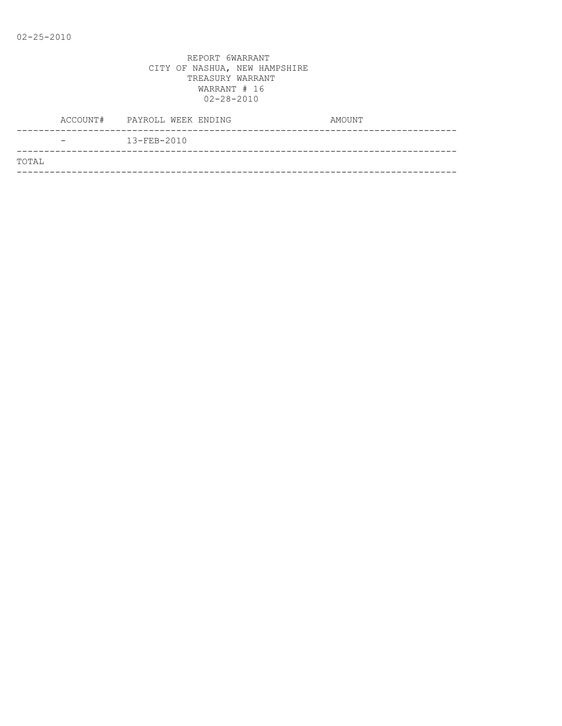|       |                              | ACCOUNT# PAYROLL WEEK ENDING | AMOUNT |
|-------|------------------------------|------------------------------|--------|
|       | $\qquad \qquad \blacksquare$ | $13 - FEB - 2010$            |        |
| TOTAL |                              |                              |        |
|       |                              |                              |        |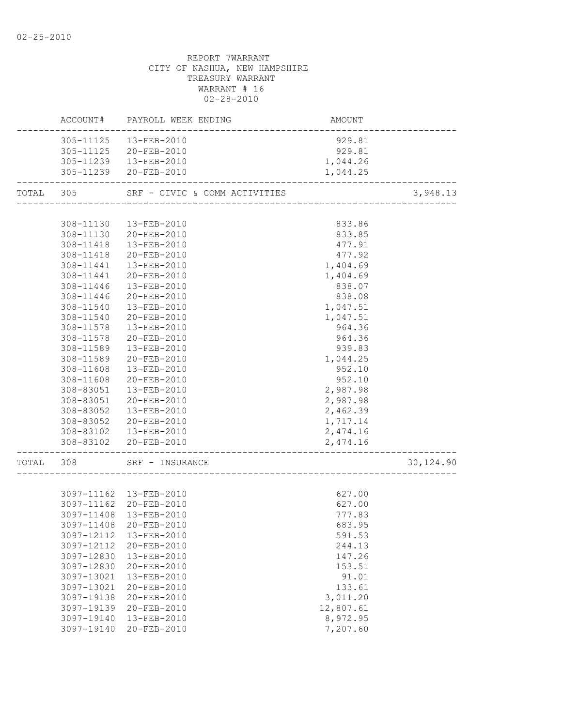# REPORT 7WARRANT CITY OF NASHUA, NEW HAMPSHIRE TREASURY WARRANT WARRANT # 16 02-28-2010 ACCOUNT# PAYROLL WEEK ENDING COUNT AMOUNT -------------------------------------------------------------------------------- 305-11125 13-FEB-2010 929.81 305-11125 20-FEB-2010 929.81 305-11239 13-FEB-2010 1,044.26 305-11239 20-FEB-2010 1,044.25 -------------------------------------------------------------------------------- TOTAL 305 SRF - CIVIC & COMM ACTIVITIES 3,948.13 -------------------------------------------------------------------------------- 308-11130 13-FEB-2010 833.86 308-11130 20-FEB-2010 833.85 308-11418 13-FEB-2010 477.91 308-11418 20-FEB-2010 477.92 308-11441 13-FEB-2010 1,404.69 308-11441 20-FEB-2010 1,404.69 308-11446 13-FEB-2010 838.07 308-11446 20-FEB-2010 838.08 308-11540 13-FEB-2010 1,047.51 308-11540 20-FEB-2010 1,047.51 308-11578 13-FEB-2010 964.36 308-11578 20-FEB-2010 964.36

 308-11589 13-FEB-2010 939.83 308-11589 20-FEB-2010 1,044.25 308-11608 13-FEB-2010 952.10 308-11608 20-FEB-2010 952.10 308-83051 13-FEB-2010 2,987.98 308-83051 20-FEB-2010 2,987.98 308-83052 13-FEB-2010 2,462.39 308-83052 20-FEB-2010 1,717.14 308-83102 13-FEB-2010 2,474.16 308-83102 20-FEB-2010 2,474.16

-------------------------------------------------------------------------------- TOTAL 308 SRF - INSURANCE 30,124.90

|  | 3097-11162 13-FEB-2010 | 627.00 |  |
|--|------------------------|--------|--|
|  | 3097-11162 20-FEB-2010 | 627.00 |  |
|  | 3097-11408 13-FEB-2010 | 777.83 |  |
|  | 3097-11408 20-FEB-2010 | 683.95 |  |
|  |                        | 591.53 |  |
|  | 3097-12112 20-FEB-2010 | 244.13 |  |

| 3097-11408 | 20-FEB-2010       | 683.95    |
|------------|-------------------|-----------|
| 3097-12112 | $13 - FEB - 2010$ | 591.53    |
| 3097-12112 | $20 - FEB - 2010$ | 244.13    |
| 3097-12830 | $13 - FEB - 2010$ | 147.26    |
| 3097-12830 | $20 - FEB - 2010$ | 153.51    |
| 3097-13021 | $13 - FEB - 2010$ | 91.01     |
| 3097-13021 | $20 - FEB - 2010$ | 133.61    |
| 3097-19138 | $20 - FEB - 2010$ | 3,011.20  |
| 3097-19139 | $20 - FEB - 2010$ | 12,807.61 |
|            |                   |           |

 3097-19140 13-FEB-2010 8,972.95 3097-19140 20-FEB-2010 7,207.60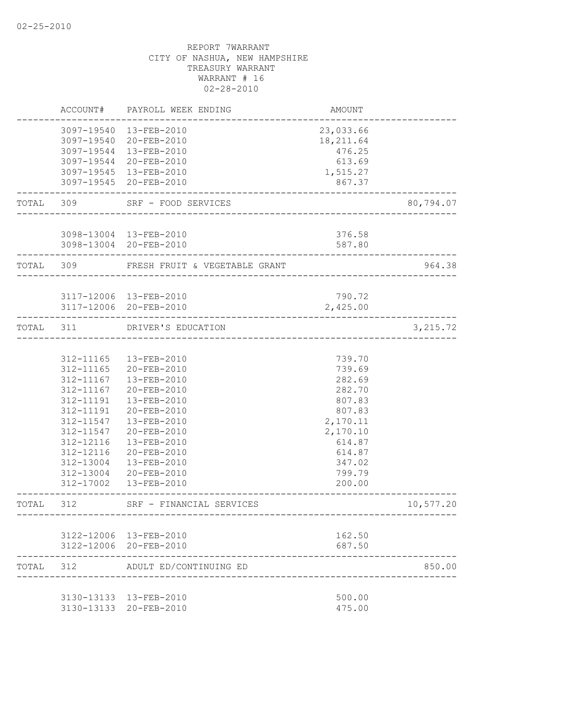|           |                                                                                                                                                 | ACCOUNT# PAYROLL WEEK ENDING                                                                                                                                                                                         | AMOUNT                                                                                                                             |           |
|-----------|-------------------------------------------------------------------------------------------------------------------------------------------------|----------------------------------------------------------------------------------------------------------------------------------------------------------------------------------------------------------------------|------------------------------------------------------------------------------------------------------------------------------------|-----------|
|           |                                                                                                                                                 | 3097-19540  13-FEB-2010<br>3097-19540 20-FEB-2010<br>3097-19544 13-FEB-2010<br>3097-19544 20-FEB-2010<br>3097-19545 13-FEB-2010<br>3097-19545 20-FEB-2010                                                            | 23,033.66<br>18, 211.64<br>476.25<br>613.69<br>1,515.27<br>867.37                                                                  |           |
| TOTAL     | 309                                                                                                                                             | SRF - FOOD SERVICES                                                                                                                                                                                                  |                                                                                                                                    | 80,794.07 |
|           |                                                                                                                                                 | 3098-13004 13-FEB-2010<br>3098-13004 20-FEB-2010                                                                                                                                                                     | 376.58<br>587.80<br>_____________                                                                                                  |           |
|           |                                                                                                                                                 | TOTAL 309 FRESH FRUIT & VEGETABLE GRANT                                                                                                                                                                              |                                                                                                                                    | 964.38    |
|           |                                                                                                                                                 | 3117-12006 13-FEB-2010<br>3117-12006 20-FEB-2010<br>________.                                                                                                                                                        | 790.72<br>2,425.00                                                                                                                 |           |
|           |                                                                                                                                                 | TOTAL 311 DRIVER'S EDUCATION                                                                                                                                                                                         |                                                                                                                                    | 3,215.72  |
|           | 312-11165<br>$312 - 11165$<br>312-11167<br>312-11167<br>312-11191<br>312-11191<br>312-11547<br>312-11547<br>312-12116<br>312-12116<br>312-13004 | 13-FEB-2010<br>20-FEB-2010<br>13-FEB-2010<br>20-FEB-2010<br>13-FEB-2010<br>20-FEB-2010<br>13-FEB-2010<br>20-FEB-2010<br>13-FEB-2010<br>20-FEB-2010<br>13-FEB-2010<br>312-13004 20-FEB-2010<br>312-17002  13-FEB-2010 | 739.70<br>739.69<br>282.69<br>282.70<br>807.83<br>807.83<br>2,170.11<br>2,170.10<br>614.87<br>614.87<br>347.02<br>799.79<br>200.00 |           |
| TOTAL 312 |                                                                                                                                                 | SRF - FINANCIAL SERVICES<br>------------------                                                                                                                                                                       |                                                                                                                                    | 10,577.20 |
|           |                                                                                                                                                 | 3122-12006 13-FEB-2010<br>3122-12006 20-FEB-2010                                                                                                                                                                     | 162.50<br>687.50                                                                                                                   |           |
| TOTAL     | 312                                                                                                                                             | ADULT ED/CONTINUING ED                                                                                                                                                                                               |                                                                                                                                    | 850.00    |
|           |                                                                                                                                                 | 3130-13133 13-FEB-2010<br>3130-13133 20-FEB-2010                                                                                                                                                                     | 500.00<br>475.00                                                                                                                   |           |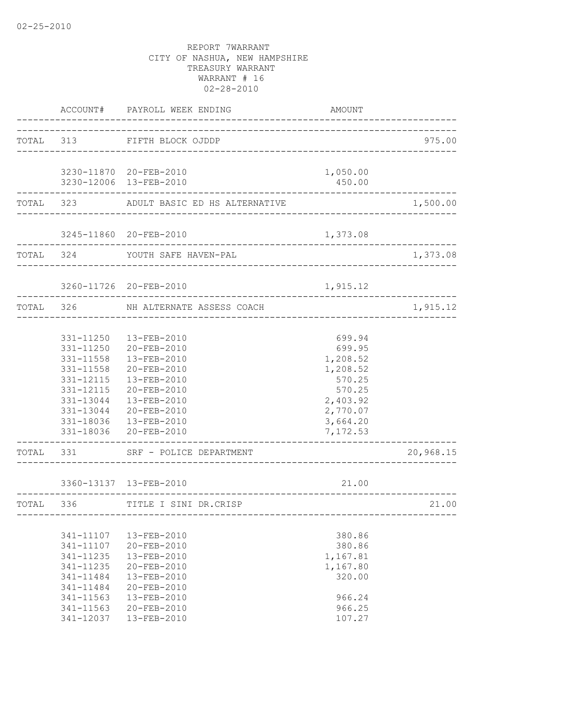|           | ACCOUNT#                                                                                                          | PAYROLL WEEK ENDING                                                                                                                                                                                    | AMOUNT                                                                                                       |           |
|-----------|-------------------------------------------------------------------------------------------------------------------|--------------------------------------------------------------------------------------------------------------------------------------------------------------------------------------------------------|--------------------------------------------------------------------------------------------------------------|-----------|
|           |                                                                                                                   | TOTAL 313 FIFTH BLOCK OJDDP                                                                                                                                                                            |                                                                                                              | 975.00    |
|           |                                                                                                                   | 3230-11870 20-FEB-2010<br>3230-12006 13-FEB-2010                                                                                                                                                       | 1,050.00<br>450.00                                                                                           |           |
|           |                                                                                                                   | -----------------------------<br>TOTAL 323 ADULT BASIC ED HS ALTERNATIVE                                                                                                                               |                                                                                                              | 1,500.00  |
|           |                                                                                                                   | 3245-11860 20-FEB-2010                                                                                                                                                                                 | 1,373.08                                                                                                     |           |
|           | TOTAL 324                                                                                                         | YOUTH SAFE HAVEN-PAL<br>------------------------------------                                                                                                                                           |                                                                                                              | 1,373.08  |
|           |                                                                                                                   | 3260-11726 20-FEB-2010                                                                                                                                                                                 | 1,915.12                                                                                                     |           |
|           | TOTAL 326                                                                                                         | NH ALTERNATE ASSESS COACH<br>___________________                                                                                                                                                       |                                                                                                              | 1,915.12  |
|           | 331-11558<br>331-11558<br>331-12115<br>331-12115<br>331-13044                                                     | 331-11250  13-FEB-2010<br>331-11250 20-FEB-2010<br>13-FEB-2010<br>20-FEB-2010<br>13-FEB-2010<br>20-FEB-2010<br>13-FEB-2010<br>331-13044 20-FEB-2010<br>331-18036  13-FEB-2010<br>331-18036 20-FEB-2010 | 699.94<br>699.95<br>1,208.52<br>1,208.52<br>570.25<br>570.25<br>2,403.92<br>2,770.07<br>3,664.20<br>7,172.53 |           |
| TOTAL 331 |                                                                                                                   | SRF - POLICE DEPARTMENT                                                                                                                                                                                |                                                                                                              | 20,968.15 |
|           |                                                                                                                   | 3360-13137 13-FEB-2010                                                                                                                                                                                 | 21.00                                                                                                        |           |
|           |                                                                                                                   | TOTAL 336 TITLE I SINI DR.CRISP                                                                                                                                                                        |                                                                                                              | 21.00     |
|           | 341-11107<br>341-11107<br>341-11235<br>341-11235<br>341-11484<br>341-11484<br>341-11563<br>341-11563<br>341-12037 | 13-FEB-2010<br>20-FEB-2010<br>13-FEB-2010<br>20-FEB-2010<br>13-FEB-2010<br>20-FEB-2010<br>13-FEB-2010<br>20-FEB-2010<br>13-FEB-2010                                                                    | 380.86<br>380.86<br>1,167.81<br>1,167.80<br>320.00<br>966.24<br>966.25<br>107.27                             |           |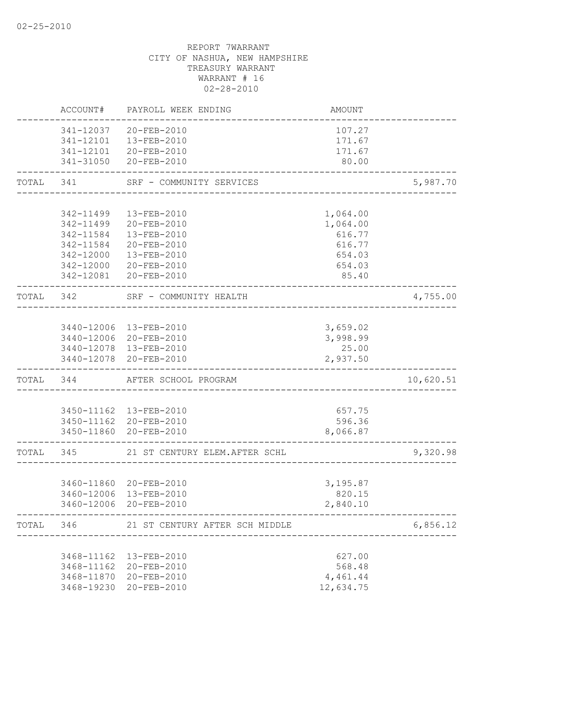|           | ACCOUNT#                 | PAYROLL WEEK ENDING                              | <b>AMOUNT</b>      |           |
|-----------|--------------------------|--------------------------------------------------|--------------------|-----------|
|           | 341-12037                | 20-FEB-2010<br>341-12101  13-FEB-2010            | 107.27<br>171.67   |           |
|           |                          | 341-12101 20-FEB-2010<br>341-31050 20-FEB-2010   | 171.67<br>80.00    |           |
| TOTAL     | 341                      | SRF - COMMUNITY SERVICES                         |                    | 5,987.70  |
|           | 342-11499                | 13-FEB-2010                                      | 1,064.00           |           |
|           | 342-11499                | 20-FEB-2010                                      | 1,064.00           |           |
|           | 342-11584                | 13-FEB-2010                                      | 616.77             |           |
|           | 342-11584                | 20-FEB-2010                                      | 616.77             |           |
|           | 342-12000                | 13-FEB-2010                                      | 654.03             |           |
|           | 342-12000<br>342-12081   | 20-FEB-2010<br>20-FEB-2010                       | 654.03<br>85.40    |           |
| TOTAL 342 |                          | SRF - COMMUNITY HEALTH                           |                    | 4,755.00  |
|           |                          |                                                  |                    |           |
|           |                          | 3440-12006 13-FEB-2010                           | 3,659.02           |           |
|           |                          | 3440-12006 20-FEB-2010                           | 3,998.99           |           |
|           |                          | 3440-12078 13-FEB-2010                           | 25.00              |           |
|           |                          | 3440-12078 20-FEB-2010                           | 2,937.50           |           |
| TOTAL     | 344                      | AFTER SCHOOL PROGRAM                             |                    | 10,620.51 |
|           |                          |                                                  |                    |           |
|           |                          | 3450-11162  13-FEB-2010                          | 657.75             |           |
|           |                          | 3450-11162 20-FEB-2010<br>3450-11860 20-FEB-2010 | 596.36<br>8,066.87 |           |
| TOTAL     | 345                      | 21 ST CENTURY ELEM. AFTER SCHL                   |                    | 9,320.98  |
|           |                          |                                                  |                    |           |
|           |                          | 3460-11860 20-FEB-2010                           | 3,195.87           |           |
|           |                          | 3460-12006 13-FEB-2010                           | 820.15             |           |
|           |                          | 3460-12006 20-FEB-2010                           | 2,840.10           |           |
| TOTAL     | 346                      | 21 ST CENTURY AFTER SCH MIDDLE                   |                    | 6,856.12  |
|           |                          |                                                  |                    |           |
|           | 3468-11162<br>3468-11162 | 13-FEB-2010                                      | 627.00<br>568.48   |           |
|           | 3468-11870               | 20-FEB-2010<br>20-FEB-2010                       | 4,461.44           |           |
|           | 3468-19230               | 20-FEB-2010                                      | 12,634.75          |           |
|           |                          |                                                  |                    |           |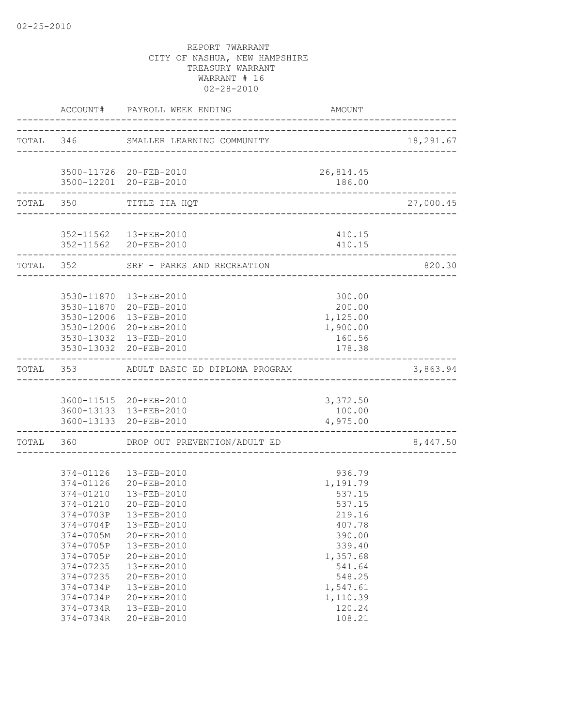|           |           | ACCOUNT# PAYROLL WEEK ENDING                                                  | AMOUNT                          |           |
|-----------|-----------|-------------------------------------------------------------------------------|---------------------------------|-----------|
|           |           | TOTAL 346 SMALLER LEARNING COMMUNITY                                          | _______________________________ | 18,291.67 |
|           |           |                                                                               |                                 |           |
|           |           | 3500-11726 20-FEB-2010<br>3500-12201 20-FEB-2010                              | 26,814.45<br>186.00             |           |
|           | TOTAL 350 | _____________________________<br>TITLE IIA HQT<br>___________________________ |                                 | 27,000.45 |
|           |           |                                                                               |                                 |           |
|           |           | 352-11562  13-FEB-2010<br>352-11562 20-FEB-2010                               | 410.15<br>410.15                |           |
| TOTAL 352 |           | SRF - PARKS AND RECREATION                                                    |                                 | 820.30    |
|           |           |                                                                               |                                 |           |
|           |           | 3530-11870  13-FEB-2010<br>3530-11870 20-FEB-2010                             | 300.00<br>200.00                |           |
|           |           | 3530-12006 13-FEB-2010                                                        | 1,125.00                        |           |
|           |           | 3530-12006 20-FEB-2010                                                        | 1,900.00                        |           |
|           |           | 3530-13032 13-FEB-2010                                                        | 160.56                          |           |
|           |           | 3530-13032 20-FEB-2010                                                        | 178.38                          |           |
|           |           | TOTAL 353 ADULT BASIC ED DIPLOMA PROGRAM                                      |                                 | 3,863.94  |
|           |           | 3600-11515 20-FEB-2010                                                        | 3,372.50                        |           |
|           |           | 3600-13133 13-FEB-2010                                                        | 100.00                          |           |
|           |           | 3600-13133 20-FEB-2010                                                        | 4,975.00                        |           |
|           | TOTAL 360 | DROP OUT PREVENTION/ADULT ED                                                  |                                 | 8,447.50  |
|           |           |                                                                               |                                 |           |
|           | 374-01126 | 374-01126  13-FEB-2010<br>20-FEB-2010                                         | 936.79                          |           |
|           | 374-01210 | 13-FEB-2010                                                                   | 1,191.79<br>537.15              |           |
|           | 374-01210 | $20 - FEB - 2010$                                                             | 537.15                          |           |
|           | 374-0703P | $13 - FEB - 2010$                                                             | 219.16                          |           |
|           | 374-0704P | 13-FEB-2010                                                                   | 407.78                          |           |
|           | 374-0705M | 20-FEB-2010                                                                   | 390.00                          |           |
|           | 374-0705P | 13-FEB-2010                                                                   | 339.40                          |           |
|           | 374-0705P | 20-FEB-2010                                                                   | 1,357.68                        |           |
|           | 374-07235 | 13-FEB-2010                                                                   | 541.64                          |           |
|           | 374-07235 | 20-FEB-2010                                                                   | 548.25                          |           |
|           | 374-0734P | 13-FEB-2010                                                                   | 1,547.61                        |           |
|           | 374-0734P | 20-FEB-2010                                                                   | 1,110.39                        |           |
|           | 374-0734R | 13-FEB-2010                                                                   | 120.24                          |           |
|           | 374-0734R | 20-FEB-2010                                                                   | 108.21                          |           |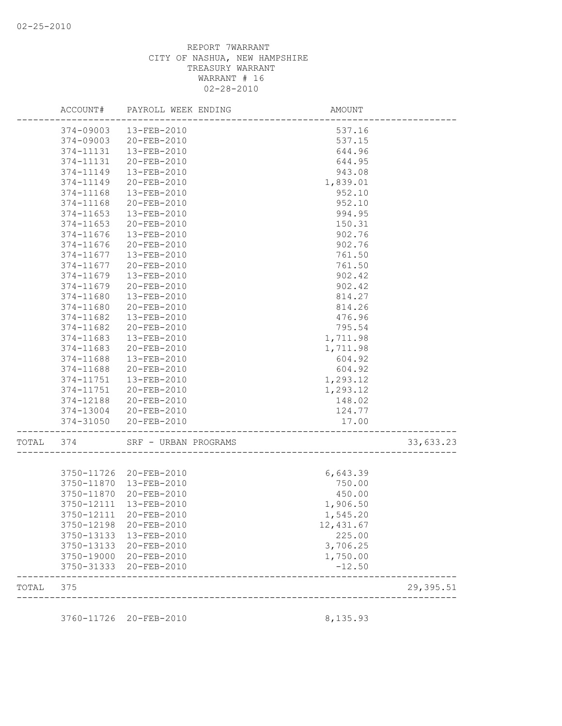|       | ACCOUNT#   | PAYROLL WEEK ENDING    | AMOUNT                           |           |
|-------|------------|------------------------|----------------------------------|-----------|
|       |            | 374-09003  13-FEB-2010 | 537.16                           |           |
|       | 374-09003  | 20-FEB-2010            | 537.15                           |           |
|       | 374-11131  | 13-FEB-2010            | 644.96                           |           |
|       | 374-11131  | 20-FEB-2010            | 644.95                           |           |
|       | 374-11149  | 13-FEB-2010            | 943.08                           |           |
|       | 374-11149  | 20-FEB-2010            | 1,839.01                         |           |
|       | 374-11168  | 13-FEB-2010            | 952.10                           |           |
|       | 374-11168  | 20-FEB-2010            | 952.10                           |           |
|       | 374-11653  | 13-FEB-2010            | 994.95                           |           |
|       | 374-11653  | 20-FEB-2010            | 150.31                           |           |
|       | 374-11676  | 13-FEB-2010            | 902.76                           |           |
|       | 374-11676  | 20-FEB-2010            | 902.76                           |           |
|       | 374-11677  | 13-FEB-2010            | 761.50                           |           |
|       | 374-11677  | 20-FEB-2010            | 761.50                           |           |
|       | 374-11679  | 13-FEB-2010            | 902.42                           |           |
|       | 374-11679  | 20-FEB-2010            | 902.42                           |           |
|       | 374-11680  | 13-FEB-2010            | 814.27                           |           |
|       | 374-11680  | 20-FEB-2010            | 814.26                           |           |
|       | 374-11682  | 13-FEB-2010            | 476.96                           |           |
|       | 374-11682  | 20-FEB-2010            | 795.54                           |           |
|       | 374-11683  | 13-FEB-2010            | 1,711.98                         |           |
|       | 374-11683  | 20-FEB-2010            | 1,711.98                         |           |
|       | 374-11688  | 13-FEB-2010            | 604.92                           |           |
|       | 374-11688  | 20-FEB-2010            | 604.92                           |           |
|       | 374-11751  | 13-FEB-2010            | 1,293.12                         |           |
|       | 374-11751  | 20-FEB-2010            | 1,293.12                         |           |
|       | 374-12188  | 20-FEB-2010            | 148.02                           |           |
|       |            | 374-13004 20-FEB-2010  | 124.77                           |           |
|       |            | 374-31050 20-FEB-2010  | 17.00<br>----------------------- |           |
| TOTAL | 374        | SRF - URBAN PROGRAMS   | _________________                | 33,633.23 |
|       |            |                        |                                  |           |
|       |            | 3750-11726 20-FEB-2010 | 6,643.39                         |           |
|       | 3750-11870 | 13-FEB-2010            | 750.00                           |           |
|       | 3750-11870 | 20-FEB-2010            | 450.00                           |           |
|       | 3750-12111 | 13-FEB-2010            | 1,906.50                         |           |
|       |            | 3750-12111 20-FEB-2010 | 1,545.20                         |           |
|       | 3750-12198 | 20-FEB-2010            | 12,431.67                        |           |
|       | 3750-13133 | 13-FEB-2010            | 225.00                           |           |
|       | 3750-13133 | 20-FEB-2010            | 3,706.25                         |           |
|       | 3750-19000 | 20-FEB-2010            | 1,750.00                         |           |
|       | 3750-31333 | 20-FEB-2010            | $-12.50$                         |           |
| TOTAL | 375        |                        |                                  | 29,395.51 |
|       |            |                        |                                  |           |
|       | 3760-11726 | 20-FEB-2010            | 8,135.93                         |           |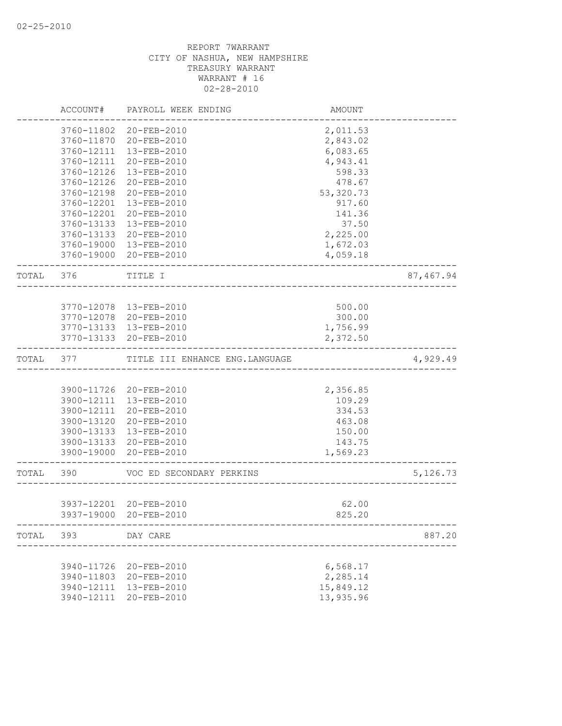|       | ACCOUNT#   | PAYROLL WEEK ENDING                   | AMOUNT          |           |
|-------|------------|---------------------------------------|-----------------|-----------|
|       | 3760-11802 | 20-FEB-2010                           | 2,011.53        |           |
|       | 3760-11870 | 20-FEB-2010                           | 2,843.02        |           |
|       | 3760-12111 | 13-FEB-2010                           | 6,083.65        |           |
|       | 3760-12111 | 20-FEB-2010                           | 4,943.41        |           |
|       | 3760-12126 | 13-FEB-2010                           | 598.33          |           |
|       | 3760-12126 | 20-FEB-2010                           | 478.67          |           |
|       | 3760-12198 | 20-FEB-2010                           | 53, 320.73      |           |
|       | 3760-12201 | 13-FEB-2010                           | 917.60          |           |
|       | 3760-12201 | 20-FEB-2010                           | 141.36          |           |
|       | 3760-13133 | 13-FEB-2010                           | 37.50           |           |
|       | 3760-13133 | 20-FEB-2010                           | 2,225.00        |           |
|       | 3760-19000 | 13-FEB-2010                           | 1,672.03        |           |
|       | 3760-19000 | 20-FEB-2010                           | 4,059.18        |           |
| TOTAL | 376        | TITLE I                               |                 | 87,467.94 |
|       |            |                                       |                 |           |
|       |            | 3770-12078  13-FEB-2010               | 500.00          |           |
|       | 3770-12078 | 20-FEB-2010                           | 300.00          |           |
|       | 3770-13133 | 13-FEB-2010                           | 1,756.99        |           |
|       | 3770-13133 | 20-FEB-2010                           | 2,372.50        |           |
| TOTAL | 377        | TITLE III ENHANCE ENG. LANGUAGE       |                 | 4,929.49  |
|       |            |                                       |                 |           |
|       | 3900-11726 | 20-FEB-2010                           | 2,356.85        |           |
|       | 3900-12111 | 13-FEB-2010                           | 109.29          |           |
|       | 3900-12111 | 20-FEB-2010                           | 334.53          |           |
|       | 3900-13120 | 20-FEB-2010                           | 463.08          |           |
|       | 3900-13133 | 13-FEB-2010                           | 150.00          |           |
|       | 3900-13133 | 20-FEB-2010                           | 143.75          |           |
|       | 3900-19000 | 20-FEB-2010                           | 1,569.23        |           |
| TOTAL | 390        | VOC ED SECONDARY PERKINS              |                 | 5,126.73  |
|       |            |                                       |                 |           |
|       | 3937-12201 | 20-FEB-2010<br>3937-19000 20-FEB-2010 | 62.00<br>825.20 |           |
|       |            |                                       |                 |           |
| TOTAL | 393        | DAY CARE                              |                 | 887.20    |
|       | 3940-11726 | 20-FEB-2010                           | 6,568.17        |           |
|       | 3940-11803 | 20-FEB-2010                           | 2,285.14        |           |
|       | 3940-12111 | 13-FEB-2010                           | 15,849.12       |           |
|       | 3940-12111 | 20-FEB-2010                           | 13,935.96       |           |
|       |            |                                       |                 |           |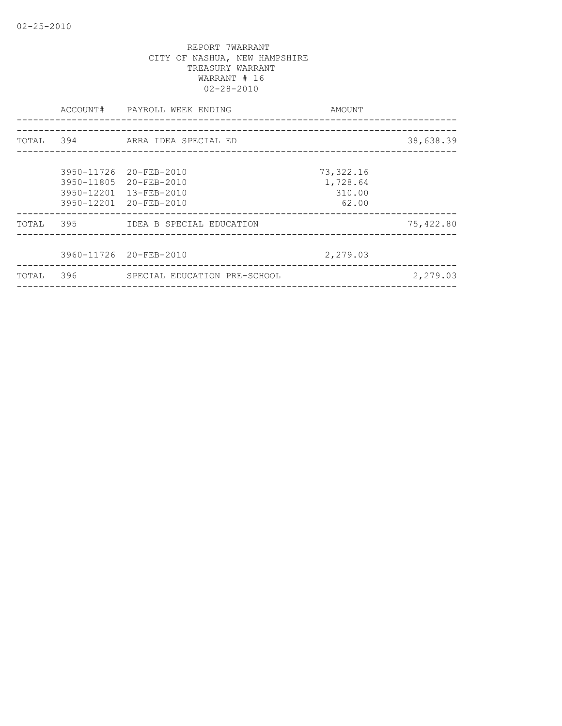|       | ACCOUNT# | PAYROLL WEEK ENDING<br>-------------------- | AMOUNT     |           |
|-------|----------|---------------------------------------------|------------|-----------|
|       |          | _________________________                   |            |           |
| TOTAL | 394      | ARRA IDEA SPECIAL ED                        |            | 38,638.39 |
|       |          |                                             |            |           |
|       |          | 3950-11726 20-FEB-2010                      | 73, 322.16 |           |
|       |          | 3950-11805 20-FEB-2010                      | 1,728.64   |           |
|       |          | 3950-12201 13-FEB-2010                      | 310.00     |           |
|       |          | 3950-12201 20-FEB-2010                      | 62.00      |           |
| TOTAL | 395      | IDEA B SPECIAL EDUCATION                    |            | 75,422.80 |
|       |          |                                             |            |           |
|       |          | 3960-11726 20-FEB-2010                      | 2,279.03   |           |
| TOTAL | 396      | SPECIAL EDUCATION PRE-SCHOOL                |            | 2,279.03  |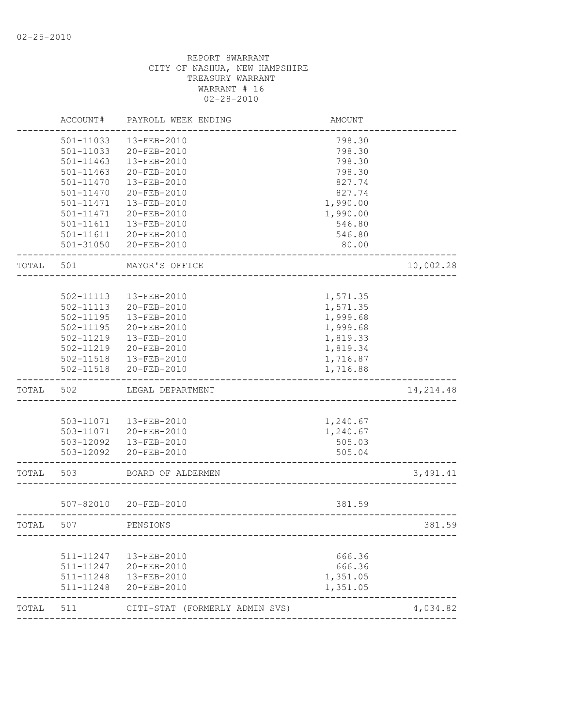| ACCOUNT#  | PAYROLL WEEK ENDING                                                                                                   | <b>AMOUNT</b>                                                                                                                                                                                                                                                                        |                                                                                                                                        |
|-----------|-----------------------------------------------------------------------------------------------------------------------|--------------------------------------------------------------------------------------------------------------------------------------------------------------------------------------------------------------------------------------------------------------------------------------|----------------------------------------------------------------------------------------------------------------------------------------|
| 501-11033 | 13-FEB-2010                                                                                                           | 798.30                                                                                                                                                                                                                                                                               |                                                                                                                                        |
| 501-11033 | 20-FEB-2010                                                                                                           | 798.30                                                                                                                                                                                                                                                                               |                                                                                                                                        |
| 501-11463 | 13-FEB-2010                                                                                                           | 798.30                                                                                                                                                                                                                                                                               |                                                                                                                                        |
| 501-11463 | 20-FEB-2010                                                                                                           | 798.30                                                                                                                                                                                                                                                                               |                                                                                                                                        |
| 501-11470 | 13-FEB-2010                                                                                                           | 827.74                                                                                                                                                                                                                                                                               |                                                                                                                                        |
| 501-11470 | 20-FEB-2010                                                                                                           | 827.74                                                                                                                                                                                                                                                                               |                                                                                                                                        |
| 501-11471 | 13-FEB-2010                                                                                                           | 1,990.00                                                                                                                                                                                                                                                                             |                                                                                                                                        |
| 501-11471 | 20-FEB-2010                                                                                                           | 1,990.00                                                                                                                                                                                                                                                                             |                                                                                                                                        |
| 501-11611 | 13-FEB-2010                                                                                                           | 546.80                                                                                                                                                                                                                                                                               |                                                                                                                                        |
| 501-11611 |                                                                                                                       | 546.80                                                                                                                                                                                                                                                                               |                                                                                                                                        |
|           | 20-FEB-2010                                                                                                           | 80.00                                                                                                                                                                                                                                                                                |                                                                                                                                        |
| 501       | MAYOR'S OFFICE                                                                                                        |                                                                                                                                                                                                                                                                                      | 10,002.28                                                                                                                              |
|           |                                                                                                                       |                                                                                                                                                                                                                                                                                      |                                                                                                                                        |
|           |                                                                                                                       |                                                                                                                                                                                                                                                                                      |                                                                                                                                        |
|           |                                                                                                                       |                                                                                                                                                                                                                                                                                      |                                                                                                                                        |
|           |                                                                                                                       |                                                                                                                                                                                                                                                                                      |                                                                                                                                        |
|           |                                                                                                                       |                                                                                                                                                                                                                                                                                      |                                                                                                                                        |
|           |                                                                                                                       |                                                                                                                                                                                                                                                                                      |                                                                                                                                        |
|           | 20-FEB-2010                                                                                                           |                                                                                                                                                                                                                                                                                      |                                                                                                                                        |
| 502-11518 | 13-FEB-2010                                                                                                           |                                                                                                                                                                                                                                                                                      |                                                                                                                                        |
| 502-11518 |                                                                                                                       |                                                                                                                                                                                                                                                                                      |                                                                                                                                        |
| 502       | LEGAL DEPARTMENT                                                                                                      |                                                                                                                                                                                                                                                                                      | 14, 214.48                                                                                                                             |
|           |                                                                                                                       |                                                                                                                                                                                                                                                                                      |                                                                                                                                        |
|           |                                                                                                                       | 1,240.67                                                                                                                                                                                                                                                                             |                                                                                                                                        |
|           |                                                                                                                       | 1,240.67                                                                                                                                                                                                                                                                             |                                                                                                                                        |
|           |                                                                                                                       | 505.03                                                                                                                                                                                                                                                                               |                                                                                                                                        |
| 503-12092 |                                                                                                                       | 505.04                                                                                                                                                                                                                                                                               |                                                                                                                                        |
| 503       | BOARD OF ALDERMEN                                                                                                     |                                                                                                                                                                                                                                                                                      | 3,491.41                                                                                                                               |
|           |                                                                                                                       |                                                                                                                                                                                                                                                                                      |                                                                                                                                        |
|           |                                                                                                                       |                                                                                                                                                                                                                                                                                      |                                                                                                                                        |
| 507       | PENSIONS                                                                                                              |                                                                                                                                                                                                                                                                                      | 381.59                                                                                                                                 |
|           |                                                                                                                       |                                                                                                                                                                                                                                                                                      |                                                                                                                                        |
|           |                                                                                                                       |                                                                                                                                                                                                                                                                                      |                                                                                                                                        |
|           |                                                                                                                       |                                                                                                                                                                                                                                                                                      |                                                                                                                                        |
| 511-11248 | 20-FEB-2010                                                                                                           | 1,351.05                                                                                                                                                                                                                                                                             |                                                                                                                                        |
|           |                                                                                                                       |                                                                                                                                                                                                                                                                                      |                                                                                                                                        |
|           | 502-11113<br>502-11113<br>$502 - 11195$<br>502-11195<br>502-11219<br>502-11219<br>511-11247<br>511-11247<br>511-11248 | 20-FEB-2010<br>501-31050<br>13-FEB-2010<br>20-FEB-2010<br>13-FEB-2010<br>20-FEB-2010<br>13-FEB-2010<br>20-FEB-2010<br>503-11071  13-FEB-2010<br>503-11071 20-FEB-2010<br>503-12092  13-FEB-2010<br>20-FEB-2010<br>507-82010 20-FEB-2010<br>13-FEB-2010<br>20-FEB-2010<br>13-FEB-2010 | 1,571.35<br>1,571.35<br>1,999.68<br>1,999.68<br>1,819.33<br>1,819.34<br>1,716.87<br>1,716.88<br>381.59<br>666.36<br>666.36<br>1,351.05 |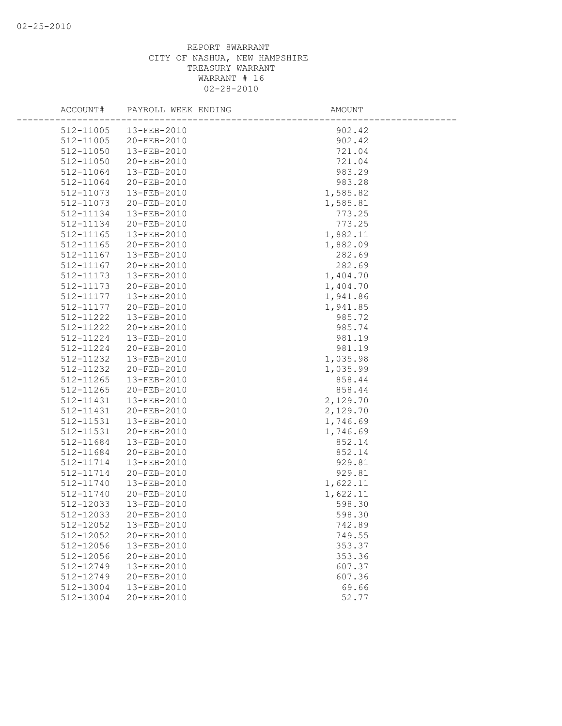| ACCOUNT#               | PAYROLL WEEK ENDING        | AMOUNT             |
|------------------------|----------------------------|--------------------|
| 512-11005              | 13-FEB-2010                | 902.42             |
| 512-11005              | 20-FEB-2010                | 902.42             |
| 512-11050              | 13-FEB-2010                | 721.04             |
| 512-11050              | 20-FEB-2010                | 721.04             |
| 512-11064              | 13-FEB-2010                | 983.29             |
| 512-11064              | 20-FEB-2010                | 983.28             |
| 512-11073              | 13-FEB-2010                | 1,585.82           |
| 512-11073              | 20-FEB-2010                | 1,585.81           |
| 512-11134              | 13-FEB-2010                | 773.25             |
| 512-11134              | 20-FEB-2010                | 773.25             |
| 512-11165              | 13-FEB-2010                | 1,882.11           |
| 512-11165              | 20-FEB-2010                | 1,882.09           |
| 512-11167              | 13-FEB-2010                | 282.69             |
| 512-11167              | 20-FEB-2010                | 282.69             |
| 512-11173              | 13-FEB-2010                | 1,404.70           |
| 512-11173              | 20-FEB-2010                | 1,404.70           |
| 512-11177              | 13-FEB-2010                | 1,941.86           |
| 512-11177              | 20-FEB-2010                | 1,941.85           |
| 512-11222              | 13-FEB-2010                | 985.72             |
| 512-11222              | 20-FEB-2010                | 985.74             |
| 512-11224              | 13-FEB-2010                | 981.19             |
| 512-11224              | 20-FEB-2010                | 981.19             |
| 512-11232              | 13-FEB-2010                | 1,035.98           |
| 512-11232              | 20-FEB-2010                | 1,035.99           |
| 512-11265              | 13-FEB-2010                | 858.44             |
| 512-11265              | 20-FEB-2010                | 858.44             |
| 512-11431              | 13-FEB-2010                | 2,129.70           |
| 512-11431              | 20-FEB-2010                | 2,129.70           |
| 512-11531<br>512-11531 | 13-FEB-2010<br>20-FEB-2010 | 1,746.69           |
| 512-11684              | 13-FEB-2010                | 1,746.69<br>852.14 |
| 512-11684              | 20-FEB-2010                | 852.14             |
| 512-11714              | 13-FEB-2010                | 929.81             |
| 512-11714              | 20-FEB-2010                | 929.81             |
| 512-11740              | 13-FEB-2010                | 1,622.11           |
| 512-11740              | 20-FEB-2010                | 1,622.11           |
| 512-12033              | 13-FEB-2010                | 598.30             |
| 512-12033              | 20-FEB-2010                | 598.30             |
| 512-12052              | 13-FEB-2010                | 742.89             |
| 512-12052              | 20-FEB-2010                | 749.55             |
| 512-12056              | 13-FEB-2010                | 353.37             |
| 512-12056              | 20-FEB-2010                | 353.36             |
| $512 - 12749$          | 13-FEB-2010                | 607.37             |
| 512-12749              | 20-FEB-2010                | 607.36             |
| 512-13004              | 13-FEB-2010                | 69.66              |
| 512-13004              | 20-FEB-2010                | 52.77              |
|                        |                            |                    |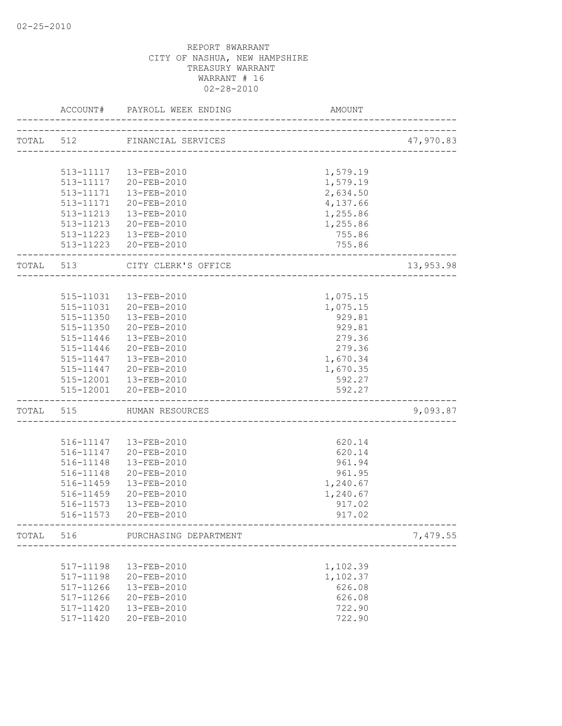|           | ACCOUNT#  | PAYROLL WEEK ENDING                  | AMOUNT                      |           |
|-----------|-----------|--------------------------------------|-----------------------------|-----------|
|           |           | TOTAL 512 FINANCIAL SERVICES         |                             | 47,970.83 |
|           |           |                                      |                             |           |
|           |           | 513-11117  13-FEB-2010               | 1,579.19                    |           |
|           |           |                                      | 1,579.19                    |           |
|           | 513-11171 | 513-11117 20-FEB-2010<br>13-FEB-2010 | 2,634.50                    |           |
|           | 513-11171 | 20-FEB-2010                          | 4,137.66                    |           |
|           |           | 513-11213  13-FEB-2010               | 1,255.86                    |           |
|           |           | 513-11213 20-FEB-2010                | 1,255.86                    |           |
|           |           | 513-11223  13-FEB-2010               | 755.86                      |           |
|           |           |                                      |                             |           |
|           |           | 513-11223 20-FEB-2010                | 755.86                      |           |
| TOTAL 513 |           | CITY CLERK'S OFFICE                  |                             | 13,953.98 |
|           |           |                                      |                             |           |
|           | 515-11031 | 13-FEB-2010                          | 1,075.15                    |           |
|           | 515-11031 | 20-FEB-2010                          | 1,075.15                    |           |
|           | 515-11350 | 13-FEB-2010                          | 929.81                      |           |
|           |           | 515-11350 20-FEB-2010                | 929.81                      |           |
|           |           | 515-11446  13-FEB-2010               | 279.36                      |           |
|           | 515-11446 | 20-FEB-2010                          | 279.36                      |           |
|           |           | 515-11447  13-FEB-2010               | 1,670.34                    |           |
|           | 515-11447 | 20-FEB-2010                          | 1,670.35                    |           |
|           |           | 515-12001  13-FEB-2010               | 592.27                      |           |
|           |           | 515-12001 20-FEB-2010                | 592.27                      |           |
| TOTAL 515 |           | HUMAN RESOURCES                      | ___________________________ | 9,093.87  |
|           |           |                                      |                             |           |
|           |           | 516-11147  13-FEB-2010               | 620.14                      |           |
|           |           | 516-11147 20-FEB-2010                | 620.14                      |           |
|           | 516-11148 | 13-FEB-2010                          | 961.94                      |           |
|           | 516-11148 | 20-FEB-2010                          | 961.95                      |           |
|           | 516-11459 | 13-FEB-2010                          | 1,240.67                    |           |
|           | 516-11459 | 20-FEB-2010                          | 1,240.67                    |           |
|           | 516-11573 | 13-FEB-2010                          | 917.02                      |           |
|           |           | 516-11573 20-FEB-2010                | 917.02                      |           |
| TOTAL     | 516       | PURCHASING DEPARTMENT                |                             | 7,479.55  |
|           |           |                                      | ---------------------       |           |
|           | 517-11198 | 13-FEB-2010                          | 1,102.39                    |           |
|           | 517-11198 | 20-FEB-2010                          | 1,102.37                    |           |
|           | 517-11266 | $13 - FEB - 2010$                    | 626.08                      |           |
|           | 517-11266 | 20-FEB-2010                          | 626.08                      |           |
|           | 517-11420 | 13-FEB-2010                          | 722.90                      |           |
|           | 517-11420 | 20-FEB-2010                          | 722.90                      |           |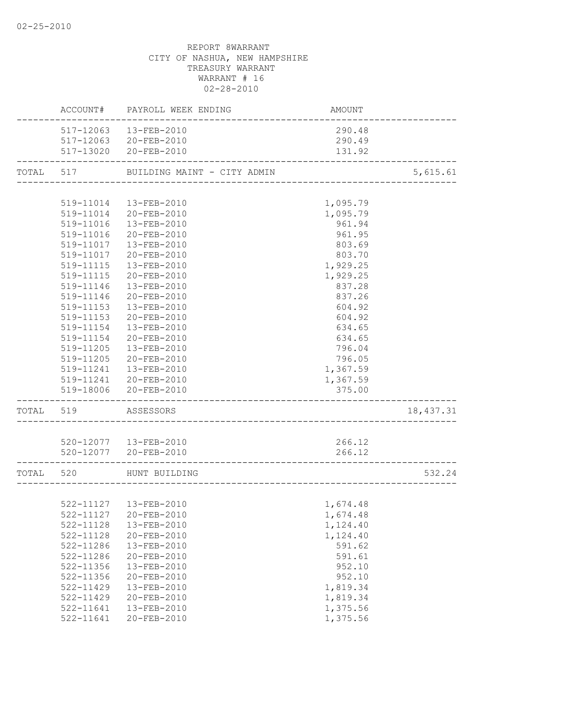|           |                     | ACCOUNT# PAYROLL WEEK ENDING                           | AMOUNT   |            |
|-----------|---------------------|--------------------------------------------------------|----------|------------|
|           |                     | 517-12063  13-FEB-2010                                 | 290.48   |            |
|           |                     | 517-12063 20-FEB-2010                                  | 290.49   |            |
|           |                     | 517-13020 20-FEB-2010<br>___________________________   | 131.92   |            |
| TOTAL 517 |                     | BUILDING MAINT - CITY ADMIN                            |          | 5,615.61   |
|           |                     |                                                        |          |            |
|           |                     | 519-11014  13-FEB-2010                                 | 1,095.79 |            |
|           |                     | 519-11014 20-FEB-2010                                  | 1,095.79 |            |
|           | 519-11016           | 13-FEB-2010                                            | 961.94   |            |
|           |                     | 519-11016 20-FEB-2010                                  | 961.95   |            |
|           |                     | 519-11017  13-FEB-2010                                 | 803.69   |            |
|           |                     | 519-11017 20-FEB-2010                                  | 803.70   |            |
|           |                     | 519-11115  13-FEB-2010                                 | 1,929.25 |            |
|           | 519-11115           | 20-FEB-2010                                            | 1,929.25 |            |
|           | 519-11146           | 13-FEB-2010                                            | 837.28   |            |
|           | 519-11146           | 20-FEB-2010                                            | 837.26   |            |
|           | 519-11153           | 13-FEB-2010                                            | 604.92   |            |
|           | 519-11153           | 20-FEB-2010                                            | 604.92   |            |
|           | 519-11154           | 13-FEB-2010                                            | 634.65   |            |
|           | 519-11154           | 20-FEB-2010                                            | 634.65   |            |
|           | 519-11205           | 13-FEB-2010                                            | 796.04   |            |
|           |                     | 519-11205 20-FEB-2010                                  | 796.05   |            |
|           |                     | 519-11241  13-FEB-2010                                 | 1,367.59 |            |
|           |                     | 519-11241 20-FEB-2010                                  | 1,367.59 |            |
|           |                     | 519-18006 20-FEB-2010                                  | 375.00   |            |
|           | TOTAL 519 ASSESSORS |                                                        |          | 18, 437.31 |
|           |                     |                                                        |          |            |
|           |                     | 520-12077  13-FEB-2010                                 | 266.12   |            |
|           |                     | 520-12077 20-FEB-2010<br>----------------------------- | 266.12   |            |
|           |                     | TOTAL 520 HUNT BUILDING                                |          |            |
|           |                     |                                                        |          |            |
|           |                     | 522-11127  13-FEB-2010                                 | 1,674.48 |            |
|           |                     | 522-11127 20-FEB-2010                                  | 1,674.48 |            |
|           | 522-11128           | 13-FEB-2010                                            | 1,124.40 |            |
|           | 522-11128           | 20-FEB-2010                                            | 1,124.40 |            |
|           | 522-11286           | 13-FEB-2010                                            | 591.62   |            |
|           | 522-11286           | 20-FEB-2010                                            | 591.61   |            |
|           | 522-11356           | 13-FEB-2010                                            | 952.10   |            |
|           | 522-11356           | 20-FEB-2010                                            | 952.10   |            |
|           | 522-11429           | 13-FEB-2010                                            | 1,819.34 |            |
|           | 522-11429           | 20-FEB-2010                                            | 1,819.34 |            |
|           | 522-11641           | 13-FEB-2010                                            | 1,375.56 |            |
|           | 522-11641           | 20-FEB-2010                                            | 1,375.56 |            |
|           |                     |                                                        |          |            |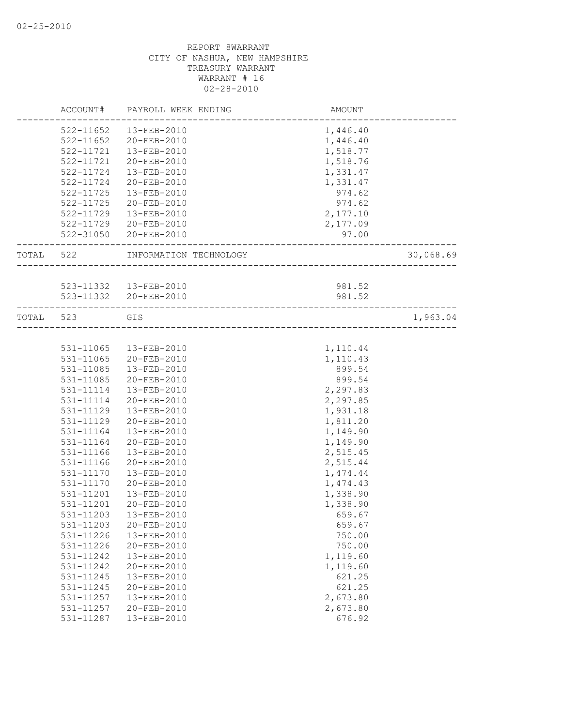|           | ACCOUNT#      | PAYROLL WEEK ENDING    | AMOUNT                            |           |
|-----------|---------------|------------------------|-----------------------------------|-----------|
|           | 522-11652     | 13-FEB-2010            | 1,446.40                          |           |
|           | $522 - 11652$ | 20-FEB-2010            | 1,446.40                          |           |
|           | 522-11721     | 13-FEB-2010            | 1,518.77                          |           |
|           | 522-11721     | 20-FEB-2010            | 1,518.76                          |           |
|           | 522-11724     | 13-FEB-2010            | 1,331.47                          |           |
|           | 522-11724     | 20-FEB-2010            | 1,331.47                          |           |
|           | 522-11725     | 13-FEB-2010            | 974.62                            |           |
|           | 522-11725     | 20-FEB-2010            | 974.62                            |           |
|           | 522-11729     | 13-FEB-2010            | 2,177.10                          |           |
|           |               | 522-11729 20-FEB-2010  | 2,177.09                          |           |
|           |               | 522-31050 20-FEB-2010  | 97.00                             |           |
| TOTAL 522 |               | INFORMATION TECHNOLOGY |                                   | 30,068.69 |
|           |               |                        | <u>. 2000 - 2000 - 2000 - 200</u> |           |
|           |               | 523-11332  13-FEB-2010 | 981.52                            |           |
|           |               | 523-11332 20-FEB-2010  | 981.52                            |           |
| TOTAL 523 |               | GIS                    |                                   | 1,963.04  |
|           |               |                        |                                   |           |
|           | 531-11065     | 13-FEB-2010            | 1,110.44                          |           |
|           | 531-11065     | 20-FEB-2010            | 1,110.43                          |           |
|           | 531-11085     | 13-FEB-2010            | 899.54                            |           |
|           | 531-11085     | 20-FEB-2010            | 899.54                            |           |
|           | 531-11114     | 13-FEB-2010            | 2,297.83                          |           |
|           | 531-11114     | 20-FEB-2010            | 2,297.85                          |           |
|           | 531-11129     | 13-FEB-2010            | 1,931.18                          |           |
|           | 531-11129     | 20-FEB-2010            | 1,811.20                          |           |
|           | 531-11164     | 13-FEB-2010            | 1,149.90                          |           |
|           | 531-11164     | 20-FEB-2010            | 1,149.90                          |           |
|           | 531-11166     | 13-FEB-2010            | 2,515.45                          |           |
|           | 531-11166     | $20 - FEB - 2010$      | 2,515.44                          |           |
|           | 531-11170     | 13-FEB-2010            | 1,474.44                          |           |
|           | 531-11170     | 20-FEB-2010            | 1,474.43                          |           |
|           | 531-11201     | 13-FEB-2010            | 1,338.90                          |           |
|           | 531-11201     | 20-FEB-2010            | 1,338.90                          |           |
|           | 531-11203     | 13-FEB-2010            | 659.67                            |           |
|           | 531-11203     | 20-FEB-2010            | 659.67                            |           |
|           | 531-11226     | 13-FEB-2010            | 750.00                            |           |
|           | 531-11226     | $20 - FEB - 2010$      | 750.00                            |           |
|           | 531-11242     | 13-FEB-2010            | 1,119.60                          |           |
|           | 531-11242     | $20 - FEB - 2010$      | 1,119.60                          |           |
|           | 531-11245     | 13-FEB-2010            | 621.25                            |           |
|           | 531-11245     | $20 - FEB - 2010$      | 621.25                            |           |
|           | 531-11257     | 13-FEB-2010            | 2,673.80                          |           |
|           | 531-11257     | 20-FEB-2010            | 2,673.80                          |           |
|           | 531-11287     | 13-FEB-2010            | 676.92                            |           |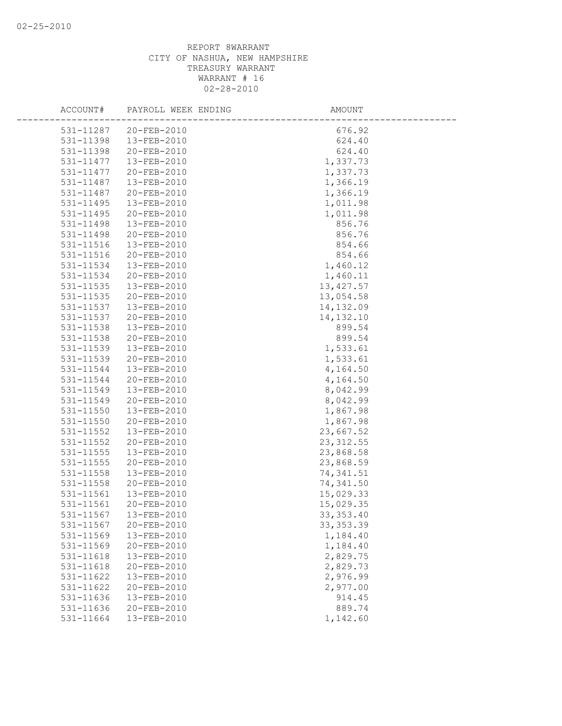| ACCOUNT#  | PAYROLL WEEK ENDING | AMOUNT     |
|-----------|---------------------|------------|
| 531-11287 | 20-FEB-2010         | 676.92     |
| 531-11398 | 13-FEB-2010         | 624.40     |
| 531-11398 | 20-FEB-2010         | 624.40     |
| 531-11477 | 13-FEB-2010         | 1,337.73   |
| 531-11477 | 20-FEB-2010         | 1,337.73   |
| 531-11487 | 13-FEB-2010         | 1,366.19   |
| 531-11487 | 20-FEB-2010         | 1,366.19   |
| 531-11495 | 13-FEB-2010         | 1,011.98   |
| 531-11495 | 20-FEB-2010         | 1,011.98   |
| 531-11498 | 13-FEB-2010         | 856.76     |
| 531-11498 | 20-FEB-2010         | 856.76     |
| 531-11516 | 13-FEB-2010         | 854.66     |
| 531-11516 | 20-FEB-2010         | 854.66     |
| 531-11534 | 13-FEB-2010         | 1,460.12   |
| 531-11534 | 20-FEB-2010         | 1,460.11   |
| 531-11535 | 13-FEB-2010         | 13, 427.57 |
| 531-11535 | 20-FEB-2010         | 13,054.58  |
| 531-11537 | 13-FEB-2010         | 14, 132.09 |
| 531-11537 | 20-FEB-2010         | 14, 132.10 |
| 531-11538 | 13-FEB-2010         | 899.54     |
| 531-11538 | 20-FEB-2010         | 899.54     |
| 531-11539 | 13-FEB-2010         | 1,533.61   |
| 531-11539 | 20-FEB-2010         | 1,533.61   |
| 531-11544 | 13-FEB-2010         | 4,164.50   |
| 531-11544 | 20-FEB-2010         | 4,164.50   |
| 531-11549 | 13-FEB-2010         | 8,042.99   |
| 531-11549 | 20-FEB-2010         | 8,042.99   |
| 531-11550 | 13-FEB-2010         | 1,867.98   |
| 531-11550 | 20-FEB-2010         | 1,867.98   |
| 531-11552 | 13-FEB-2010         | 23,667.52  |
| 531-11552 | 20-FEB-2010         | 23, 312.55 |
| 531-11555 | 13-FEB-2010         | 23,868.58  |
| 531-11555 | 20-FEB-2010         | 23,868.59  |
| 531-11558 | 13-FEB-2010         | 74,341.51  |
| 531-11558 | 20-FEB-2010         | 74,341.50  |
| 531-11561 | 13-FEB-2010         | 15,029.33  |
| 531-11561 | 20-FEB-2010         | 15,029.35  |
| 531-11567 | 13-FEB-2010         | 33, 353.40 |
| 531-11567 | 20-FEB-2010         | 33, 353.39 |
| 531-11569 | 13-FEB-2010         | 1,184.40   |
| 531-11569 | 20-FEB-2010         | 1,184.40   |
| 531-11618 | 13-FEB-2010         | 2,829.75   |
| 531-11618 | 20-FEB-2010         | 2,829.73   |
| 531-11622 | 13-FEB-2010         | 2,976.99   |
| 531-11622 | 20-FEB-2010         | 2,977.00   |
| 531-11636 | 13-FEB-2010         | 914.45     |
| 531-11636 | 20-FEB-2010         | 889.74     |
| 531-11664 | 13-FEB-2010         | 1,142.60   |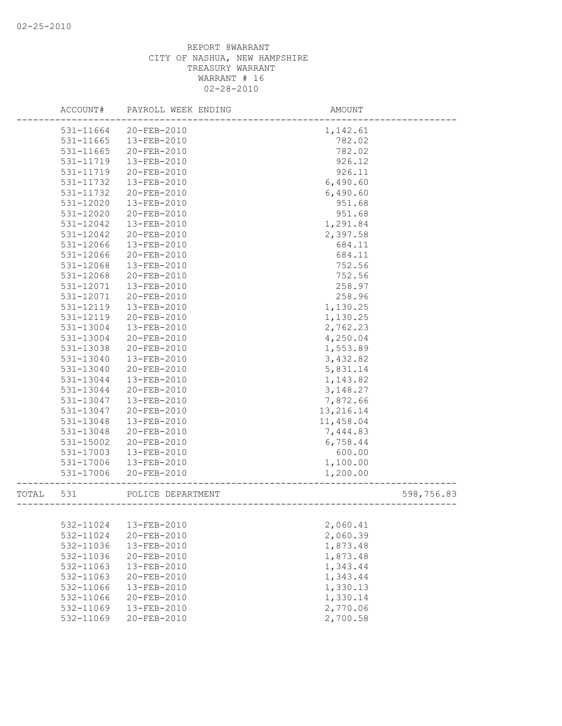|       | ACCOUNT#      | PAYROLL WEEK ENDING | AMOUNT    |            |
|-------|---------------|---------------------|-----------|------------|
|       | 531-11664     | 20-FEB-2010         | 1,142.61  |            |
|       | 531-11665     | 13-FEB-2010         | 782.02    |            |
|       | 531-11665     | 20-FEB-2010         | 782.02    |            |
|       | 531-11719     | 13-FEB-2010         | 926.12    |            |
|       | 531-11719     | 20-FEB-2010         | 926.11    |            |
|       | 531-11732     | 13-FEB-2010         | 6,490.60  |            |
|       | 531-11732     | 20-FEB-2010         | 6,490.60  |            |
|       | $531 - 12020$ | 13-FEB-2010         | 951.68    |            |
|       | 531-12020     | 20-FEB-2010         | 951.68    |            |
|       | 531-12042     | 13-FEB-2010         | 1,291.84  |            |
|       | 531-12042     | 20-FEB-2010         | 2,397.58  |            |
|       | 531-12066     | 13-FEB-2010         | 684.11    |            |
|       | 531-12066     | 20-FEB-2010         | 684.11    |            |
|       | 531-12068     | 13-FEB-2010         | 752.56    |            |
|       | 531-12068     | 20-FEB-2010         | 752.56    |            |
|       | 531-12071     | 13-FEB-2010         | 258.97    |            |
|       | 531-12071     | 20-FEB-2010         | 258.96    |            |
|       | 531-12119     | 13-FEB-2010         | 1,130.25  |            |
|       | 531-12119     | 20-FEB-2010         | 1,130.25  |            |
|       | 531-13004     | 13-FEB-2010         | 2,762.23  |            |
|       | 531-13004     | 20-FEB-2010         | 4,250.04  |            |
|       | 531-13038     | 20-FEB-2010         | 1,553.89  |            |
|       | 531-13040     | 13-FEB-2010         | 3,432.82  |            |
|       | 531-13040     | 20-FEB-2010         | 5,831.14  |            |
|       | 531-13044     | 13-FEB-2010         | 1,143.82  |            |
|       | 531-13044     | 20-FEB-2010         | 3, 148.27 |            |
|       | 531-13047     | 13-FEB-2010         | 7,872.66  |            |
|       | 531-13047     | 20-FEB-2010         | 13,216.14 |            |
|       | 531-13048     | 13-FEB-2010         | 11,458.04 |            |
|       | 531-13048     | 20-FEB-2010         | 7,444.83  |            |
|       | 531-15002     | 20-FEB-2010         | 6,758.44  |            |
|       | 531-17003     | 13-FEB-2010         | 600.00    |            |
|       | 531-17006     | 13-FEB-2010         | 1,100.00  |            |
|       | 531-17006     | 20-FEB-2010         | 1,200.00  |            |
| TOTAL | 531           | POLICE DEPARTMENT   |           | 598,756.83 |
|       |               |                     |           |            |
|       | 532-11024     | 13-FEB-2010         | 2,060.41  |            |
|       | 532-11024     | 20-FEB-2010         | 2,060.39  |            |
|       | 532-11036     | 13-FEB-2010         | 1,873.48  |            |
|       | 532-11036     | 20-FEB-2010         | 1,873.48  |            |
|       | 532-11063     | 13-FEB-2010         | 1,343.44  |            |
|       | 532-11063     | 20-FEB-2010         | 1,343.44  |            |
|       | 532-11066     | 13-FEB-2010         | 1,330.13  |            |
|       | 532-11066     | 20-FEB-2010         | 1,330.14  |            |
|       | 532-11069     | 13-FEB-2010         | 2,770.06  |            |
|       | 532-11069     | 20-FEB-2010         | 2,700.58  |            |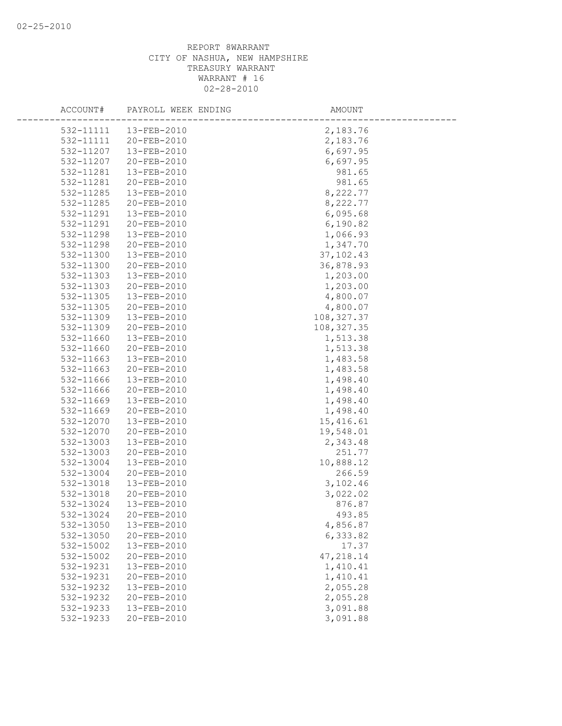| ACCOUNT#               | PAYROLL WEEK ENDING        | AMOUNT               |
|------------------------|----------------------------|----------------------|
| 532-11111              | 13-FEB-2010                | 2,183.76             |
| 532-11111              | 20-FEB-2010                | 2,183.76             |
| 532-11207              | 13-FEB-2010                | 6,697.95             |
| 532-11207              | 20-FEB-2010                | 6,697.95             |
| 532-11281              | 13-FEB-2010                | 981.65               |
| 532-11281              | 20-FEB-2010                | 981.65               |
| 532-11285              | 13-FEB-2010                | 8,222.77             |
| 532-11285              | 20-FEB-2010                | 8,222.77             |
| 532-11291              | 13-FEB-2010                | 6,095.68             |
| 532-11291              | 20-FEB-2010                | 6,190.82             |
| 532-11298              | 13-FEB-2010                | 1,066.93             |
| 532-11298              | 20-FEB-2010                | 1,347.70             |
| 532-11300              | 13-FEB-2010                | 37, 102.43           |
| 532-11300              | 20-FEB-2010                | 36,878.93            |
| 532-11303              | 13-FEB-2010                | 1,203.00             |
| 532-11303              | 20-FEB-2010                | 1,203.00             |
| 532-11305              | 13-FEB-2010                | 4,800.07             |
| 532-11305              | 20-FEB-2010                | 4,800.07             |
| 532-11309              | 13-FEB-2010                | 108, 327.37          |
| 532-11309              | 20-FEB-2010                | 108, 327.35          |
| 532-11660              | 13-FEB-2010                | 1,513.38             |
| 532-11660              | 20-FEB-2010                | 1,513.38             |
| 532-11663              | 13-FEB-2010                | 1,483.58             |
| 532-11663              | 20-FEB-2010                | 1,483.58             |
| 532-11666              | 13-FEB-2010                | 1,498.40             |
| 532-11666              | 20-FEB-2010                | 1,498.40             |
| 532-11669              | 13-FEB-2010                | 1,498.40             |
| 532-11669              | 20-FEB-2010                | 1,498.40             |
| 532-12070              | 13-FEB-2010                | 15,416.61            |
| 532-12070              | 20-FEB-2010                | 19,548.01            |
| 532-13003              | 13-FEB-2010                | 2,343.48             |
| 532-13003              | 20-FEB-2010                | 251.77               |
| 532-13004              | 13-FEB-2010                | 10,888.12            |
| 532-13004              | 20-FEB-2010                | 266.59               |
| 532-13018              | 13-FEB-2010                | 3,102.46             |
| 532-13018              | 20-FEB-2010                | 3,022.02             |
| 532-13024              | 13-FEB-2010                | 876.87               |
| 532-13024              | 20-FEB-2010                | 493.85               |
| 532-13050<br>532-13050 | 13-FEB-2010<br>20-FEB-2010 | 4,856.87<br>6,333.82 |
| 532-15002              | 13-FEB-2010                | 17.37                |
| 532-15002              | 20-FEB-2010                | 47,218.14            |
| 532-19231              | 13-FEB-2010                | 1,410.41             |
| 532-19231              | 20-FEB-2010                | 1,410.41             |
| 532-19232              | 13-FEB-2010                | 2,055.28             |
| 532-19232              | 20-FEB-2010                | 2,055.28             |
| 532-19233              | 13-FEB-2010                | 3,091.88             |
| 532-19233              | 20-FEB-2010                | 3,091.88             |
|                        |                            |                      |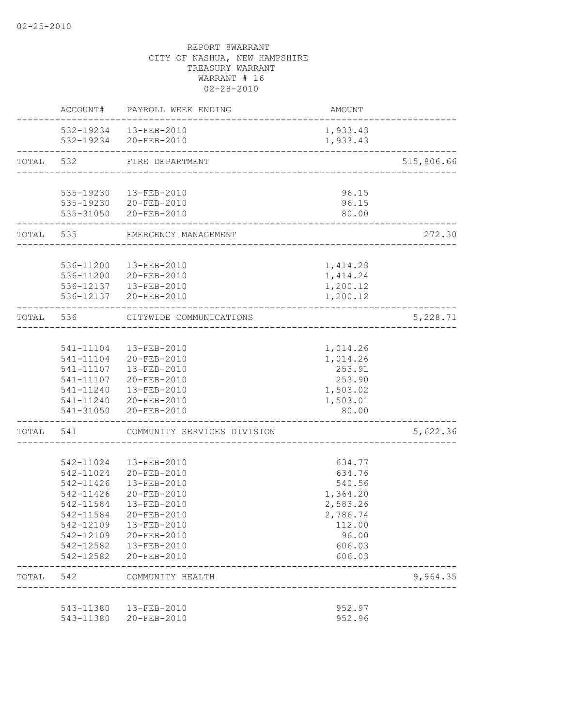|           |                             | ACCOUNT# PAYROLL WEEK ENDING                              | AMOUNT                               |            |
|-----------|-----------------------------|-----------------------------------------------------------|--------------------------------------|------------|
|           |                             | 532-19234  13-FEB-2010                                    | 1,933.43                             |            |
|           |                             | 532-19234 20-FEB-2010                                     | 1,933.43                             |            |
| TOTAL     | 532                         | FIRE DEPARTMENT<br>-------------------------------------- |                                      | 515,806.66 |
|           |                             |                                                           |                                      |            |
|           |                             | 535-19230  13-FEB-2010                                    | 96.15                                |            |
|           |                             | 535-19230 20-FEB-2010                                     | 96.15                                |            |
|           | . _ _ _ _ _ _ _ _ _ _ _ _ _ | 535-31050 20-FEB-2010<br>_____________________            | 80.00                                |            |
|           |                             | TOTAL 535 EMERGENCY MANAGEMENT                            |                                      | 272.30     |
|           |                             | 536-11200  13-FEB-2010                                    | 1,414.23                             |            |
|           |                             | 536-11200 20-FEB-2010                                     | 1,414.24                             |            |
|           |                             | 536-12137  13-FEB-2010                                    | 1,200.12                             |            |
|           |                             | 536-12137 20-FEB-2010                                     | 1,200.12                             |            |
|           | TOTAL 536                   | CITYWIDE COMMUNICATIONS                                   | ____________________________________ | 5,228.71   |
|           |                             |                                                           |                                      |            |
|           |                             | 541-11104  13-FEB-2010                                    | 1,014.26                             |            |
|           |                             | 541-11104 20-FEB-2010                                     | 1,014.26                             |            |
|           |                             | 541-11107  13-FEB-2010                                    | 253.91                               |            |
|           |                             | 541-11107 20-FEB-2010                                     | 253.90                               |            |
|           |                             | 541-11240  13-FEB-2010                                    | 1,503.02                             |            |
|           |                             | 541-11240 20-FEB-2010<br>541-31050 20-FEB-2010            | 1,503.01<br>80.00                    |            |
| TOTAL 541 |                             | COMMUNITY SERVICES DIVISION                               |                                      | 5,622.36   |
|           |                             |                                                           |                                      |            |
|           |                             | 542-11024  13-FEB-2010                                    | 634.77                               |            |
|           | 542-11024                   | 20-FEB-2010                                               | 634.76                               |            |
|           | 542-11426                   | 13-FEB-2010                                               | 540.56                               |            |
|           | 542-11426                   | 20-FEB-2010                                               | 1,364.20                             |            |
|           | 542-11584                   | 13-FEB-2010                                               | 2,583.26                             |            |
|           |                             | 542-11584 20-FEB-2010                                     | 2,786.74                             |            |
|           | 542-12109                   | 13-FEB-2010                                               | 112.00                               |            |
|           | 542-12109                   | 20-FEB-2010                                               | 96.00                                |            |
|           | 542-12582                   | 542-12582  13-FEB-2010<br>20-FEB-2010                     | 606.03<br>606.03                     |            |
| TOTAL 542 |                             | COMMUNITY HEALTH                                          |                                      | 9,964.35   |
|           |                             |                                                           |                                      |            |
|           | 543-11380                   | 13-FEB-2010                                               | 952.97                               |            |
|           | 543-11380                   | 20-FEB-2010                                               | 952.96                               |            |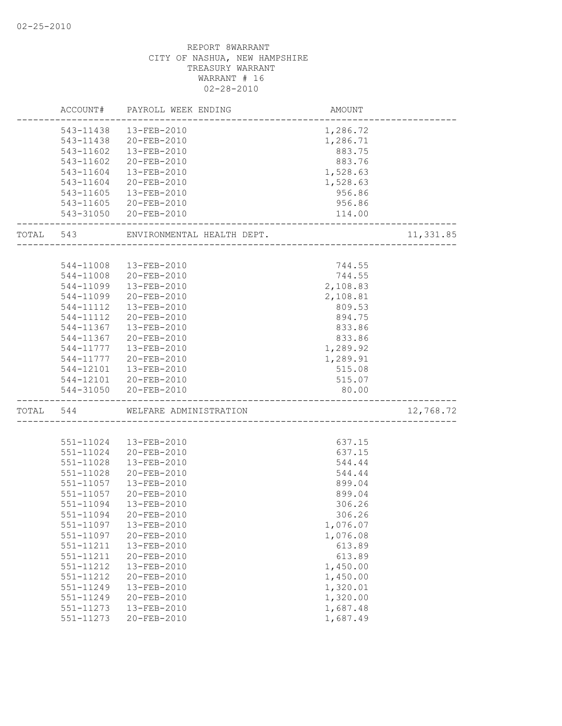|           |               | ACCOUNT# PAYROLL WEEK ENDING | AMOUNT            |           |
|-----------|---------------|------------------------------|-------------------|-----------|
|           |               | 543-11438  13-FEB-2010       | 1,286.72          |           |
|           |               | 543-11438 20-FEB-2010        | 1,286.71          |           |
|           | 543-11602     | 13-FEB-2010                  | 883.75            |           |
|           | 543-11602     | 20-FEB-2010                  | 883.76            |           |
|           | 543-11604     | 13-FEB-2010                  | 1,528.63          |           |
|           | 543-11604     | 20-FEB-2010                  | 1,528.63          |           |
|           | 543-11605     | 13-FEB-2010                  | 956.86            |           |
|           |               | 543-11605 20-FEB-2010        | 956.86            |           |
|           |               | 543-31050 20-FEB-2010        | 114.00            |           |
| TOTAL 543 |               | ENVIRONMENTAL HEALTH DEPT.   | ----------------- | 11,331.85 |
|           |               |                              |                   |           |
|           | 544-11008     | 13-FEB-2010                  | 744.55            |           |
|           | 544-11008     | 20-FEB-2010                  | 744.55            |           |
|           | 544-11099     | 13-FEB-2010                  | 2,108.83          |           |
|           | 544-11099     | 20-FEB-2010                  | 2,108.81          |           |
|           | 544-11112     | 13-FEB-2010                  | 809.53            |           |
|           | 544-11112     | 20-FEB-2010                  | 894.75            |           |
|           | 544-11367     | 13-FEB-2010                  | 833.86            |           |
|           | 544-11367     | 20-FEB-2010                  | 833.86            |           |
|           | 544-11777     | 13-FEB-2010                  | 1,289.92          |           |
|           | 544-11777     | 20-FEB-2010                  | 1,289.91          |           |
|           | 544-12101     | 13-FEB-2010                  | 515.08            |           |
|           |               | 544-12101 20-FEB-2010        | 515.07            |           |
|           |               | 544-31050 20-FEB-2010        | 80.00             |           |
| TOTAL 544 |               | WELFARE ADMINISTRATION       |                   | 12,768.72 |
|           |               |                              |                   |           |
|           | 551-11024     | 13-FEB-2010                  | 637.15            |           |
|           | 551-11024     | 20-FEB-2010                  | 637.15            |           |
|           | 551-11028     | $13 - FEB - 2010$            | 544.44            |           |
|           | 551-11028     | 20-FEB-2010                  | 544.44            |           |
|           | $551 - 11057$ | 13-FEB-2010                  | 899.04            |           |
|           | 551-11057     | 20-FEB-2010                  | 899.04            |           |
|           | 551-11094     | 13-FEB-2010                  | 306.26            |           |
|           | 551-11094     | 20-FEB-2010                  | 306.26            |           |
|           | 551-11097     | 13-FEB-2010                  | 1,076.07          |           |
|           | 551-11097     | 20-FEB-2010                  | 1,076.08          |           |
|           | 551-11211     | 13-FEB-2010                  | 613.89            |           |
|           | 551-11211     | $20 - FEB - 2010$            | 613.89            |           |
|           | 551-11212     | 13-FEB-2010                  | 1,450.00          |           |
|           | 551-11212     | 20-FEB-2010                  | 1,450.00          |           |
|           | 551-11249     | 13-FEB-2010                  | 1,320.01          |           |
|           | 551-11249     | 20-FEB-2010                  | 1,320.00          |           |
|           | 551-11273     | 13-FEB-2010                  | 1,687.48          |           |
|           | 551-11273     | 20-FEB-2010                  | 1,687.49          |           |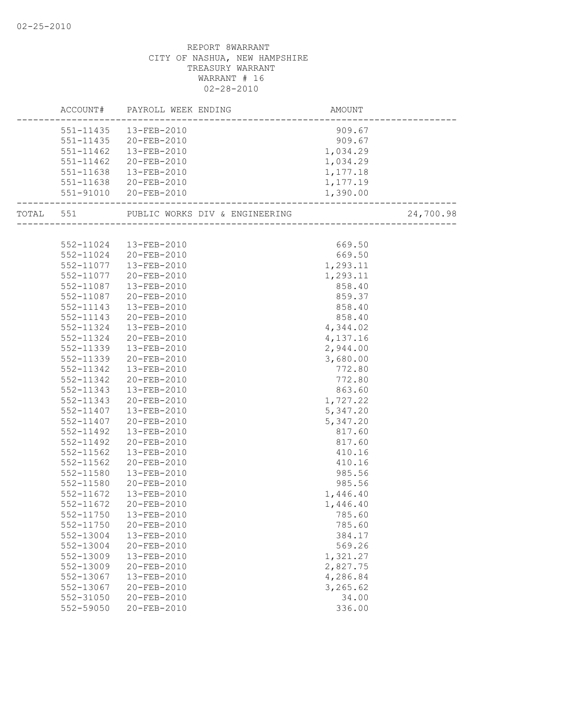|               | AMOUNT<br>-------------------------<br>ACCOUNT# PAYROLL WEEK ENDING |                      |           |
|---------------|---------------------------------------------------------------------|----------------------|-----------|
|               | 551-11435  13-FEB-2010                                              | 909.67               |           |
|               | 551-11435 20-FEB-2010                                               | $909.67$<br>1,034.29 |           |
|               | 551-11462  13-FEB-2010                                              |                      |           |
| 551-11462     | 20-FEB-2010                                                         | 1,034.29             |           |
| 551-11638     | 13-FEB-2010                                                         | 1,177.18             |           |
|               | 551-11638 20-FEB-2010                                               | 1,177.19             |           |
|               | 551-91010 20-FEB-2010                                               | 1,390.00             |           |
|               | TOTAL 551 PUBLIC WORKS DIV & ENGINEERING (2011)                     |                      | 24,700.98 |
|               |                                                                     |                      |           |
|               | 552-11024  13-FEB-2010                                              | 669.50               |           |
|               | 552-11024 20-FEB-2010                                               | 669.50               |           |
| 552-11077     | 13-FEB-2010                                                         | 1,293.11             |           |
| 552-11077     | 20-FEB-2010                                                         | 1,293.11             |           |
| 552-11087     | 13-FEB-2010                                                         | 858.40               |           |
| 552-11087     | 20-FEB-2010                                                         | 859.37               |           |
| $552 - 11143$ | 13-FEB-2010                                                         | 858.40               |           |
| 552-11143     | 20-FEB-2010                                                         | $858.40$<br>4,344.02 |           |
| 552-11324     | 13-FEB-2010                                                         |                      |           |
| 552-11324     | 20-FEB-2010                                                         | 4,137.16             |           |
| 552-11339     | 13-FEB-2010                                                         | 2,944.00             |           |
| 552-11339     | 20-FEB-2010                                                         | 3,680.00             |           |
| 552-11342     | 13-FEB-2010                                                         | 772.80               |           |
| 552-11342     | 20-FEB-2010                                                         | 772.80               |           |
| 552-11343     | 13-FEB-2010                                                         | 863.60               |           |
| 552-11343     | 20-FEB-2010                                                         | 1,727.22             |           |
| 552-11407     | 13-FEB-2010                                                         | 5,347.20             |           |
| 552-11407     | 20-FEB-2010                                                         | 5,347.20             |           |
| 552-11492     | 13-FEB-2010                                                         | 817.60               |           |
| 552-11492     | 20-FEB-2010                                                         | 817.60               |           |
| 552-11562     | 13-FEB-2010                                                         | 410.16               |           |
| 552-11562     | 20-FEB-2010                                                         | 410.16               |           |
| 552-11580     | 13-FEB-2010                                                         | 985.56               |           |
| 552-11580     | 20-FEB-2010                                                         | 985.56               |           |
| 552-11672     | 13-FEB-2010                                                         | 1,446.40             |           |
| 552-11672     | 20-FEB-2010                                                         | 1,446.40             |           |
|               | 552-11750  13-FEB-2010                                              | 785.60               |           |
| 552-11750     | 20-FEB-2010                                                         | 785.60               |           |
| 552-13004     | 13-FEB-2010                                                         | 384.17               |           |
| 552-13004     | 20-FEB-2010                                                         | 569.26               |           |
| 552-13009     | 13-FEB-2010                                                         | 1,321.27             |           |
| 552-13009     | 20-FEB-2010                                                         | 2,827.75             |           |
| 552-13067     | 13-FEB-2010                                                         | 4,286.84             |           |
| 552-13067     | $20 - FEB - 2010$                                                   | 3,265.62             |           |
| 552-31050     | 20-FEB-2010                                                         | 34.00                |           |
| 552-59050     | 20-FEB-2010                                                         | 336.00               |           |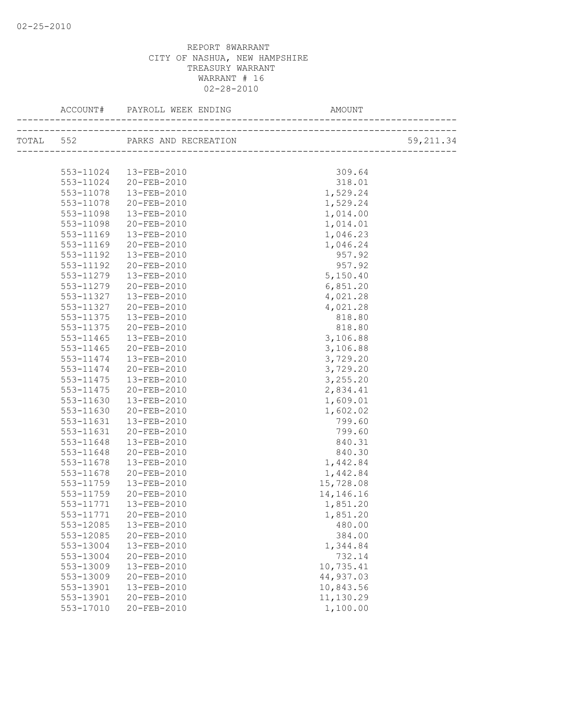|           | TOTAL 552 PARKS AND RECREATION |           | 59, 211.34 |
|-----------|--------------------------------|-----------|------------|
|           |                                |           |            |
|           | 553-11024  13-FEB-2010         | 309.64    |            |
|           | 553-11024 20-FEB-2010          | 318.01    |            |
| 553-11078 | 13-FEB-2010                    | 1,529.24  |            |
| 553-11078 | 20-FEB-2010                    | 1,529.24  |            |
| 553-11098 | 13-FEB-2010                    | 1,014.00  |            |
| 553-11098 | 20-FEB-2010                    | 1,014.01  |            |
| 553-11169 | 13-FEB-2010                    | 1,046.23  |            |
| 553-11169 | 20-FEB-2010                    | 1,046.24  |            |
| 553-11192 | 13-FEB-2010                    | 957.92    |            |
| 553-11192 | 20-FEB-2010                    | 957.92    |            |
| 553-11279 | 13-FEB-2010                    | 5,150.40  |            |
| 553-11279 | 20-FEB-2010                    | 6,851.20  |            |
| 553-11327 | 13-FEB-2010                    | 4,021.28  |            |
| 553-11327 | 20-FEB-2010                    | 4,021.28  |            |
| 553-11375 | 13-FEB-2010                    | 818.80    |            |
| 553-11375 | 20-FEB-2010                    | 818.80    |            |
| 553-11465 | 13-FEB-2010                    | 3,106.88  |            |
| 553-11465 | 20-FEB-2010                    | 3,106.88  |            |
| 553-11474 | 13-FEB-2010                    | 3,729.20  |            |
| 553-11474 | 20-FEB-2010                    | 3,729.20  |            |
| 553-11475 | 13-FEB-2010                    | 3,255.20  |            |
| 553-11475 | 20-FEB-2010                    | 2,834.41  |            |
| 553-11630 | 13-FEB-2010                    | 1,609.01  |            |
| 553-11630 | 20-FEB-2010                    | 1,602.02  |            |
| 553-11631 | 13-FEB-2010                    | 799.60    |            |
| 553-11631 | 20-FEB-2010                    | 799.60    |            |
| 553-11648 | 13-FEB-2010                    | 840.31    |            |
| 553-11648 | 20-FEB-2010                    | 840.30    |            |
| 553-11678 | 13-FEB-2010                    | 1,442.84  |            |
| 553-11678 | 20-FEB-2010                    | 1,442.84  |            |
| 553-11759 | 13-FEB-2010                    | 15,728.08 |            |
| 553-11759 | 20-FEB-2010                    | 14,146.16 |            |
|           | 553-11771  13-FEB-2010         | 1,851.20  |            |
|           | 553-11771 20-FEB-2010          | 1,851.20  |            |
| 553-12085 | 13-FEB-2010                    | 480.00    |            |
| 553-12085 | 20-FEB-2010                    | 384.00    |            |
| 553-13004 | 13-FEB-2010                    | 1,344.84  |            |
| 553-13004 | 20-FEB-2010                    | 732.14    |            |
| 553-13009 | 13-FEB-2010                    | 10,735.41 |            |
| 553-13009 | 20-FEB-2010                    | 44,937.03 |            |
| 553-13901 | 13-FEB-2010                    | 10,843.56 |            |
| 553-13901 | 20-FEB-2010                    | 11,130.29 |            |
| 553-17010 | 20-FEB-2010                    | 1,100.00  |            |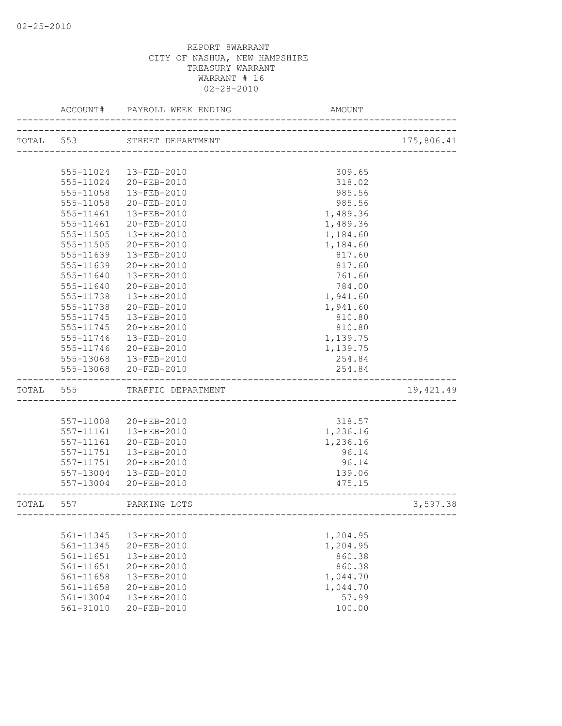|           | ACCOUNT#  | PAYROLL WEEK ENDING    | AMOUNT                  |            |
|-----------|-----------|------------------------|-------------------------|------------|
| TOTAL 553 |           | STREET DEPARTMENT      |                         | 175,806.41 |
|           |           |                        | _______________________ |            |
|           |           | 555-11024  13-FEB-2010 | 309.65                  |            |
|           | 555-11024 | 20-FEB-2010            | 318.02                  |            |
|           | 555-11058 | 13-FEB-2010            | 985.56                  |            |
|           | 555-11058 | $20 - FEB - 2010$      | 985.56                  |            |
|           | 555-11461 | 13-FEB-2010            | 1,489.36                |            |
|           | 555-11461 | 20-FEB-2010            | 1,489.36                |            |
|           | 555-11505 | 13-FEB-2010            | 1,184.60                |            |
|           | 555-11505 | 20-FEB-2010            | 1,184.60                |            |
|           | 555-11639 | $13 - FEB - 2010$      | 817.60                  |            |
|           | 555-11639 | 20-FEB-2010            | 817.60                  |            |
|           | 555-11640 | 13-FEB-2010            | 761.60                  |            |
|           | 555-11640 | 20-FEB-2010            | 784.00                  |            |
|           | 555-11738 | 13-FEB-2010            | 1,941.60                |            |
|           | 555-11738 | 20-FEB-2010            | 1,941.60                |            |
|           | 555-11745 | 13-FEB-2010            | 810.80                  |            |
|           | 555-11745 | 20-FEB-2010            | 810.80                  |            |
|           | 555-11746 | $13 - FEB - 2010$      | 1,139.75                |            |
|           | 555-11746 | 20-FEB-2010            | 1,139.75                |            |
|           | 555-13068 | 13-FEB-2010            | 254.84                  |            |
|           | 555-13068 | 20-FEB-2010            | 254.84                  |            |
|           |           |                        |                         |            |
| TOTAL     | 555       | TRAFFIC DEPARTMENT     |                         | 19,421.49  |
|           |           |                        |                         |            |
|           | 557-11008 | 20-FEB-2010            | 318.57                  |            |
|           | 557-11161 | 13-FEB-2010            | 1,236.16                |            |
|           | 557-11161 | 20-FEB-2010            | 1,236.16                |            |
|           | 557-11751 | 13-FEB-2010            | 96.14                   |            |
|           | 557-11751 | 20-FEB-2010            | 96.14                   |            |
|           | 557-13004 | 13-FEB-2010            | 139.06                  |            |
|           | 557-13004 | 20-FEB-2010            | 475.15                  |            |
| TOTAL     | 557       | PARKING LOTS           |                         | 3,597.38   |
|           |           |                        |                         |            |
|           | 561-11345 | 13-FEB-2010            | 1,204.95                |            |
|           | 561-11345 | 20-FEB-2010            | 1,204.95                |            |
|           | 561-11651 | 13-FEB-2010            | 860.38                  |            |
|           | 561-11651 | 20-FEB-2010            | 860.38                  |            |
|           | 561-11658 | 13-FEB-2010            | 1,044.70                |            |
|           | 561-11658 | 20-FEB-2010            | 1,044.70                |            |
|           | 561-13004 | 13-FEB-2010            | 57.99                   |            |
|           | 561-91010 | 20-FEB-2010            | 100.00                  |            |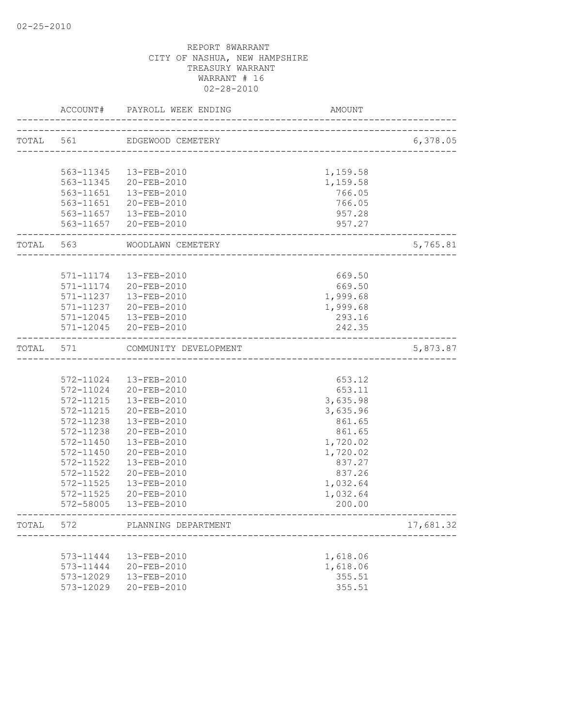|           | ACCOUNT#  | PAYROLL WEEK ENDING     | AMOUNT                            |           |
|-----------|-----------|-------------------------|-----------------------------------|-----------|
| TOTAL 561 |           | EDGEWOOD CEMETERY       | --------------------------------- | 6,378.05  |
|           |           |                         |                                   |           |
|           |           | 563-11345  13-FEB-2010  | 1,159.58                          |           |
|           | 563-11345 | 20-FEB-2010             | 1,159.58                          |           |
|           | 563-11651 | 13-FEB-2010             | 766.05                            |           |
|           |           | 563-11651 20-FEB-2010   | 766.05                            |           |
|           |           | 563-11657  13-FEB-2010  | 957.28                            |           |
|           |           | 563-11657 20-FEB-2010   | 957.27                            |           |
| TOTAL 563 |           | WOODLAWN CEMETERY       |                                   | 5,765.81  |
|           |           |                         |                                   |           |
|           |           | 571-11174   13-FEB-2010 | 669.50                            |           |
|           | 571-11174 | 20-FEB-2010             | 669.50                            |           |
|           | 571-11237 | 13-FEB-2010             | 1,999.68                          |           |
|           | 571-11237 | 20-FEB-2010             | 1,999.68                          |           |
|           |           | 571-12045  13-FEB-2010  | 293.16                            |           |
|           |           | 571-12045 20-FEB-2010   | 242.35                            |           |
| TOTAL 571 |           | COMMUNITY DEVELOPMENT   | ___________________________       | 5,873.87  |
|           |           |                         |                                   |           |
|           | 572-11024 | 13-FEB-2010             | 653.12                            |           |
|           | 572-11024 | 20-FEB-2010             | 653.11                            |           |
|           | 572-11215 | 13-FEB-2010             | 3,635.98                          |           |
|           | 572-11215 | 20-FEB-2010             | 3,635.96                          |           |
|           | 572-11238 | 13-FEB-2010             | 861.65                            |           |
|           | 572-11238 | 20-FEB-2010             | 861.65                            |           |
|           | 572-11450 | 13-FEB-2010             | 1,720.02                          |           |
|           | 572-11450 | 20-FEB-2010             | 1,720.02                          |           |
|           | 572-11522 | 13-FEB-2010             | 837.27                            |           |
|           | 572-11522 | 20-FEB-2010             | 837.26                            |           |
|           | 572-11525 | 13-FEB-2010             | 1,032.64                          |           |
|           | 572-11525 | 20-FEB-2010             | 1,032.64                          |           |
|           |           | 572-58005  13-FEB-2010  | 200.00                            |           |
| TOTAL     | 572       | PLANNING DEPARTMENT     |                                   | 17,681.32 |
|           |           |                         |                                   |           |
|           | 573-11444 | 13-FEB-2010             | 1,618.06                          |           |
|           | 573-11444 | 20-FEB-2010             | 1,618.06                          |           |
|           | 573-12029 | 13-FEB-2010             | 355.51                            |           |
|           | 573-12029 | 20-FEB-2010             | 355.51                            |           |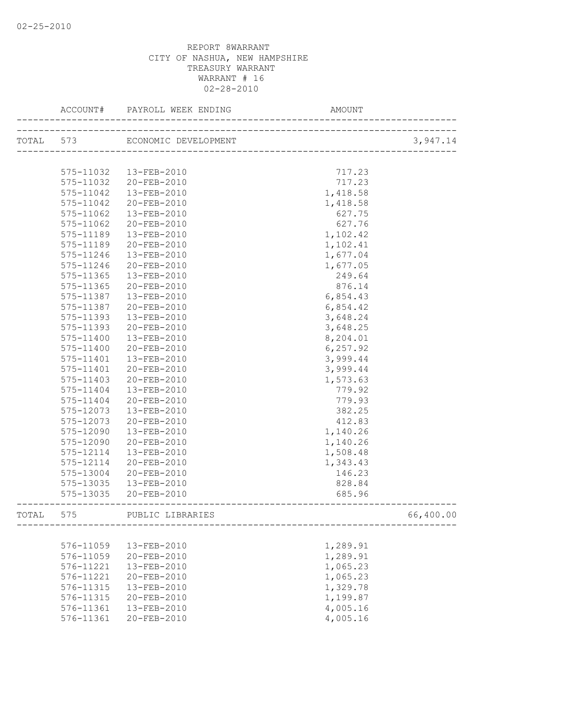|           | ACCOUNT#  |                                |          |           |
|-----------|-----------|--------------------------------|----------|-----------|
|           |           | TOTAL 573 ECONOMIC DEVELOPMENT |          | 3,947.14  |
|           |           |                                |          |           |
|           | 575-11032 | 13-FEB-2010                    | 717.23   |           |
|           | 575-11032 | 20-FEB-2010                    | 717.23   |           |
|           | 575-11042 | 13-FEB-2010                    | 1,418.58 |           |
|           | 575-11042 | 20-FEB-2010                    | 1,418.58 |           |
|           | 575-11062 | $13 - FEB - 2010$              | 627.75   |           |
|           | 575-11062 | 20-FEB-2010                    | 627.76   |           |
|           | 575-11189 | 13-FEB-2010                    | 1,102.42 |           |
|           | 575-11189 | 20-FEB-2010                    | 1,102.41 |           |
|           | 575-11246 | 13-FEB-2010                    | 1,677.04 |           |
|           | 575-11246 | 20-FEB-2010                    | 1,677.05 |           |
|           | 575-11365 | 13-FEB-2010                    | 249.64   |           |
|           | 575-11365 | 20-FEB-2010                    | 876.14   |           |
|           | 575-11387 | $13 - FEB - 2010$              | 6,854.43 |           |
|           | 575-11387 | 20-FEB-2010                    | 6,854.42 |           |
|           | 575-11393 | 13-FEB-2010                    | 3,648.24 |           |
|           | 575-11393 | 20-FEB-2010                    | 3,648.25 |           |
|           | 575-11400 | 13-FEB-2010                    | 8,204.01 |           |
|           | 575-11400 | 20-FEB-2010                    | 6,257.92 |           |
|           | 575-11401 | 13-FEB-2010                    | 3,999.44 |           |
|           | 575-11401 | 20-FEB-2010                    | 3,999.44 |           |
|           | 575-11403 | 20-FEB-2010                    | 1,573.63 |           |
|           | 575-11404 | 13-FEB-2010                    | 779.92   |           |
|           | 575-11404 | 20-FEB-2010                    | 779.93   |           |
|           | 575-12073 | 13-FEB-2010                    | 382.25   |           |
|           | 575-12073 | 20-FEB-2010                    | 412.83   |           |
|           | 575-12090 | 13-FEB-2010                    | 1,140.26 |           |
|           | 575-12090 | 20-FEB-2010                    | 1,140.26 |           |
|           | 575-12114 | 13-FEB-2010                    | 1,508.48 |           |
|           | 575-12114 | 20-FEB-2010                    | 1,343.43 |           |
|           | 575-13004 | 20-FEB-2010                    | 146.23   |           |
|           | 575-13035 | 13-FEB-2010                    | 828.84   |           |
|           | 575-13035 | 20-FEB-2010                    | 685.96   |           |
|           |           |                                |          |           |
| TOTAL 575 |           | PUBLIC LIBRARIES               |          | 66,400.00 |
|           |           |                                |          |           |
|           | 576-11059 | 13-FEB-2010                    | 1,289.91 |           |
|           | 576-11059 | 20-FEB-2010                    | 1,289.91 |           |
|           | 576-11221 | 13-FEB-2010                    | 1,065.23 |           |
|           | 576-11221 | 20-FEB-2010                    | 1,065.23 |           |
|           | 576-11315 | 13-FEB-2010                    | 1,329.78 |           |
|           | 576-11315 | 20-FEB-2010                    | 1,199.87 |           |
|           | 576-11361 | 13-FEB-2010                    | 4,005.16 |           |
|           | 576-11361 | 20-FEB-2010                    | 4,005.16 |           |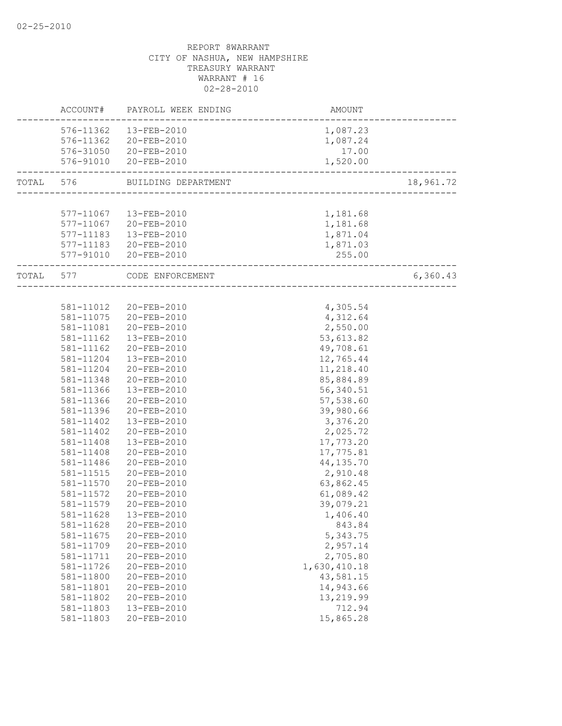|           |           | ACCOUNT# PAYROLL WEEK ENDING | AMOUNT                 |           |
|-----------|-----------|------------------------------|------------------------|-----------|
|           |           | 576-11362  13-FEB-2010       | 1,087.23               |           |
|           |           | 576-11362 20-FEB-2010        | 1,087.24               |           |
|           |           | 576-31050 20-FEB-2010        | 17.00                  |           |
|           |           | 576-91010 20-FEB-2010        | 1,520.00               |           |
| TOTAL 576 |           | BUILDING DEPARTMENT          |                        | 18,961.72 |
|           |           |                              |                        |           |
|           |           | 577-11067  13-FEB-2010       | 1,181.68               |           |
|           |           | 577-11067 20-FEB-2010        | 1,181.68               |           |
|           |           | 577-11183  13-FEB-2010       | 1,871.04               |           |
|           |           | 577-11183 20-FEB-2010        | 1,871.03               |           |
|           |           | 577-91010 20-FEB-2010        | 255.00                 |           |
|           | TOTAL 577 | CODE ENFORCEMENT             | ______________________ | 6,360.43  |
|           |           |                              |                        |           |
|           |           | 581-11012 20-FEB-2010        | 4,305.54               |           |
|           |           | 581-11075 20-FEB-2010        | 4,312.64               |           |
|           |           | 581-11081 20-FEB-2010        | 2,550.00               |           |
|           | 581-11162 | 13-FEB-2010                  | 53,613.82              |           |
|           | 581-11162 | 20-FEB-2010                  | 49,708.61              |           |
|           | 581-11204 | 13-FEB-2010                  | 12,765.44              |           |
|           | 581-11204 | 20-FEB-2010                  | 11,218.40              |           |
|           | 581-11348 | 20-FEB-2010                  | 85,884.89              |           |
|           | 581-11366 | 13-FEB-2010                  | 56,340.51              |           |
|           | 581-11366 | 20-FEB-2010                  | 57,538.60              |           |
|           | 581-11396 | 20-FEB-2010                  | 39,980.66              |           |
|           | 581-11402 | 13-FEB-2010                  | 3,376.20               |           |
|           | 581-11402 | 20-FEB-2010                  | 2,025.72               |           |
|           | 581-11408 | 13-FEB-2010                  | 17,773.20              |           |
|           | 581-11408 | 20-FEB-2010                  | 17,775.81              |           |
|           | 581-11486 | 20-FEB-2010                  | 44, 135.70             |           |
|           | 581-11515 | $20 - FEB - 2010$            | 2,910.48               |           |
|           | 581-11570 | 20-FEB-2010                  | 63,862.45              |           |
|           | 581-11572 | 20-FEB-2010                  | 61,089.42              |           |
|           | 581-11579 | 20-FEB-2010                  | 39,079.21              |           |
|           | 581-11628 | 13-FEB-2010                  | 1,406.40               |           |
|           | 581-11628 | 20-FEB-2010                  | 843.84                 |           |
|           | 581-11675 | 20-FEB-2010                  | 5,343.75               |           |
|           | 581-11709 | 20-FEB-2010                  | 2,957.14               |           |
|           | 581-11711 | 20-FEB-2010                  | 2,705.80               |           |
|           | 581-11726 | 20-FEB-2010                  | 1,630,410.18           |           |
|           | 581-11800 | 20-FEB-2010                  | 43,581.15              |           |
|           | 581-11801 | 20-FEB-2010                  | 14,943.66              |           |
|           | 581-11802 | 20-FEB-2010                  | 13,219.99              |           |
|           | 581-11803 | 13-FEB-2010                  | 712.94                 |           |
|           | 581-11803 | 20-FEB-2010                  | 15,865.28              |           |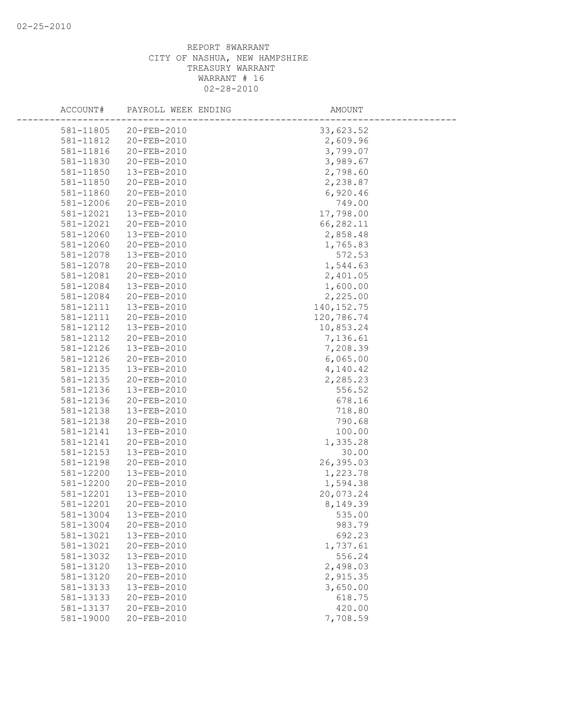| ACCOUNT#               | PAYROLL WEEK ENDING        | AMOUNT             |  |
|------------------------|----------------------------|--------------------|--|
| 581-11805              | 20-FEB-2010                | 33,623.52          |  |
| 581-11812              | 20-FEB-2010                | 2,609.96           |  |
| 581-11816              | 20-FEB-2010                | 3,799.07           |  |
| 581-11830              | 20-FEB-2010                | 3,989.67           |  |
| 581-11850              | 13-FEB-2010                | 2,798.60           |  |
| 581-11850              | 20-FEB-2010                | 2,238.87           |  |
| 581-11860              | 20-FEB-2010                | 6,920.46           |  |
| 581-12006              | 20-FEB-2010                | 749.00             |  |
| 581-12021              | 13-FEB-2010                | 17,798.00          |  |
| 581-12021              | 20-FEB-2010                | 66,282.11          |  |
| 581-12060              | 13-FEB-2010                | 2,858.48           |  |
| 581-12060              | 20-FEB-2010                | 1,765.83           |  |
| 581-12078              | 13-FEB-2010                | 572.53             |  |
| 581-12078              | 20-FEB-2010                | 1,544.63           |  |
| 581-12081              | 20-FEB-2010                | 2,401.05           |  |
| 581-12084              | 13-FEB-2010                | 1,600.00           |  |
| 581-12084              | 20-FEB-2010                | 2,225.00           |  |
| 581-12111              | 13-FEB-2010                | 140, 152.75        |  |
| 581-12111              | 20-FEB-2010                | 120,786.74         |  |
| 581-12112              | 13-FEB-2010                | 10,853.24          |  |
| 581-12112              | 20-FEB-2010                | 7,136.61           |  |
| 581-12126              | 13-FEB-2010                | 7,208.39           |  |
| 581-12126              | 20-FEB-2010                | 6,065.00           |  |
| 581-12135              | 13-FEB-2010                | 4,140.42           |  |
| 581-12135              | 20-FEB-2010                | 2,285.23           |  |
| 581-12136              | 13-FEB-2010                | 556.52             |  |
| 581-12136              | 20-FEB-2010                | 678.16             |  |
| 581-12138              | 13-FEB-2010                | 718.80             |  |
| 581-12138              | 20-FEB-2010                | 790.68             |  |
| 581-12141              | 13-FEB-2010                | 100.00             |  |
| 581-12141              | 20-FEB-2010                | 1,335.28           |  |
| 581-12153              | 13-FEB-2010                | 30.00              |  |
| 581-12198              | 20-FEB-2010                | 26,395.03          |  |
| 581-12200              | 13-FEB-2010                | 1,223.78           |  |
| 581-12200              | 20-FEB-2010                | 1,594.38           |  |
| 581-12201              | 13-FEB-2010                | 20,073.24          |  |
| 581-12201              | 20-FEB-2010                | 8,149.39           |  |
| 581-13004              | 13-FEB-2010                | 535.00             |  |
| 581-13004              | 20-FEB-2010                | 983.79             |  |
| 581-13021<br>581-13021 | 13-FEB-2010<br>20-FEB-2010 | 692.23             |  |
| 581-13032              | 13-FEB-2010                | 1,737.61<br>556.24 |  |
| 581-13120              | 13-FEB-2010                | 2,498.03           |  |
| 581-13120              | 20-FEB-2010                | 2,915.35           |  |
| 581-13133              | 13-FEB-2010                | 3,650.00           |  |
| 581-13133              | 20-FEB-2010                | 618.75             |  |
| 581-13137              | 20-FEB-2010                | 420.00             |  |
| 581-19000              | 20-FEB-2010                | 7,708.59           |  |
|                        |                            |                    |  |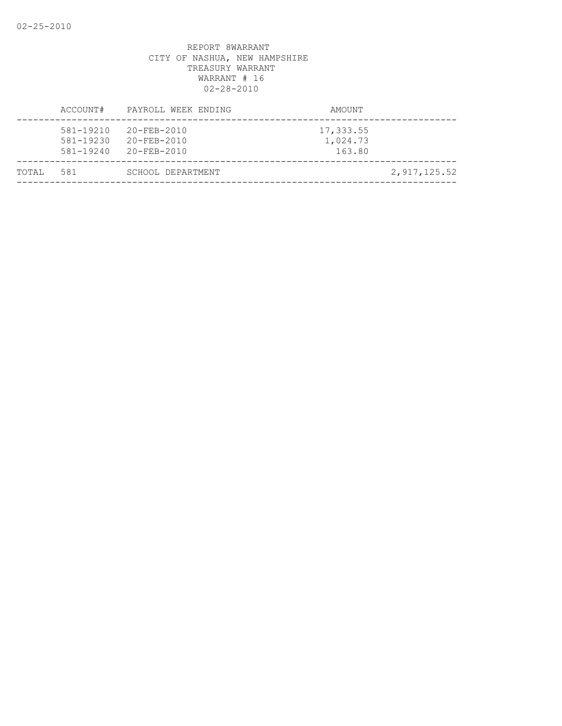| TOTAL | 581                                     | SCHOOL DEPARTMENT                                     |                                 | 2,917,125.52 |
|-------|-----------------------------------------|-------------------------------------------------------|---------------------------------|--------------|
|       | 581-19210<br>581-19230<br>$581 - 19240$ | $20 - FEB - 2010$<br>$20 - FEB - 2010$<br>20-FEB-2010 | 17,333.55<br>1,024.73<br>163.80 |              |
|       | ACCOUNT#                                | PAYROLL WEEK ENDING                                   | AMOUNT                          |              |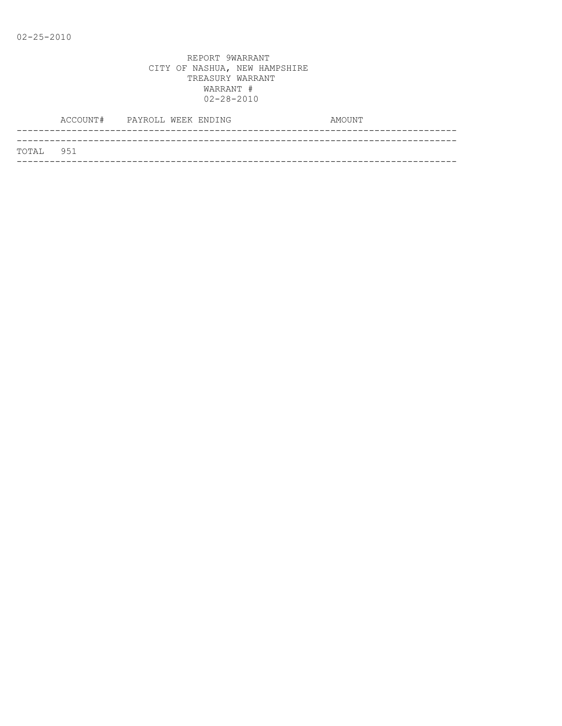|            | ACCOUNT# PAYROLL WEEK ENDING |  |  | AMOUNT |
|------------|------------------------------|--|--|--------|
|            |                              |  |  |        |
| ТОТАІ. 951 |                              |  |  |        |
|            |                              |  |  |        |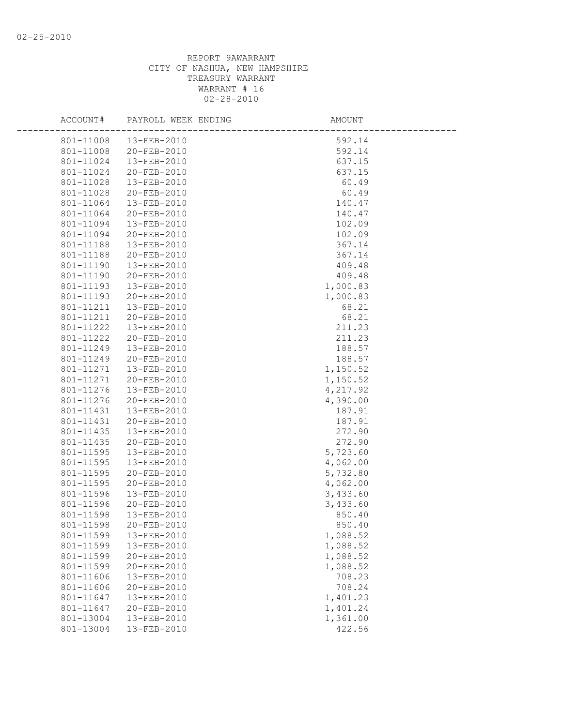| ACCOUNT#               | PAYROLL WEEK ENDING        | AMOUNT             |  |
|------------------------|----------------------------|--------------------|--|
| 801-11008              | 13-FEB-2010                | 592.14             |  |
| 801-11008              | 20-FEB-2010                | 592.14             |  |
| 801-11024              | 13-FEB-2010                | 637.15             |  |
| 801-11024              | 20-FEB-2010                | 637.15             |  |
| 801-11028              | 13-FEB-2010                | 60.49              |  |
| 801-11028              | 20-FEB-2010                | 60.49              |  |
| 801-11064              | 13-FEB-2010                | 140.47             |  |
| 801-11064              | 20-FEB-2010                | 140.47             |  |
| 801-11094              | 13-FEB-2010                | 102.09             |  |
| 801-11094              | 20-FEB-2010                | 102.09             |  |
| 801-11188              | 13-FEB-2010                | 367.14             |  |
| 801-11188              | 20-FEB-2010                | 367.14             |  |
| 801-11190              | 13-FEB-2010                | 409.48             |  |
| 801-11190              | 20-FEB-2010                | 409.48             |  |
| 801-11193              | 13-FEB-2010                | 1,000.83           |  |
| 801-11193              | 20-FEB-2010                | 1,000.83           |  |
| 801-11211              | 13-FEB-2010                | 68.21              |  |
| 801-11211              | 20-FEB-2010                | 68.21              |  |
| 801-11222              | $13 - FEB - 2010$          | 211.23             |  |
| 801-11222              | 20-FEB-2010                | 211.23             |  |
| 801-11249              | 13-FEB-2010                | 188.57             |  |
| 801-11249              | 20-FEB-2010                | 188.57             |  |
| 801-11271              | 13-FEB-2010                | 1,150.52           |  |
| 801-11271              | 20-FEB-2010                | 1,150.52           |  |
| 801-11276              | 13-FEB-2010                | 4,217.92           |  |
| 801-11276              | 20-FEB-2010                | 4,390.00           |  |
| 801-11431              | 13-FEB-2010                | 187.91             |  |
| 801-11431              | 20-FEB-2010                | 187.91             |  |
| 801-11435              | 13-FEB-2010                | 272.90             |  |
| 801-11435              | 20-FEB-2010                | 272.90             |  |
| 801-11595              | 13-FEB-2010                | 5,723.60           |  |
| 801-11595              | 13-FEB-2010                | 4,062.00           |  |
| 801-11595              | 20-FEB-2010                | 5,732.80           |  |
| 801-11595              | 20-FEB-2010                | 4,062.00           |  |
| 801-11596              | 13-FEB-2010                | 3,433.60           |  |
| 801-11596<br>801-11598 | 20-FEB-2010<br>13-FEB-2010 | 3,433.60<br>850.40 |  |
| 801-11598              | 20-FEB-2010                | 850.40             |  |
| 801-11599              | 13-FEB-2010                | 1,088.52           |  |
| 801-11599              | 13-FEB-2010                | 1,088.52           |  |
| 801-11599              | 20-FEB-2010                | 1,088.52           |  |
| 801-11599              | 20-FEB-2010                | 1,088.52           |  |
| 801-11606              | 13-FEB-2010                | 708.23             |  |
| 801-11606              | 20-FEB-2010                | 708.24             |  |
| 801-11647              | 13-FEB-2010                | 1,401.23           |  |
| 801-11647              | 20-FEB-2010                | 1,401.24           |  |
| 801-13004              | 13-FEB-2010                | 1,361.00           |  |
| 801-13004              | 13-FEB-2010                | 422.56             |  |
|                        |                            |                    |  |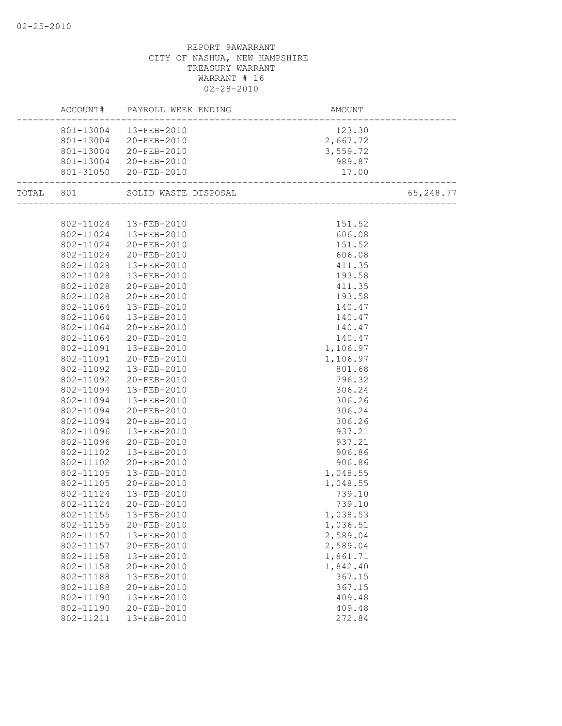|           |           | ACCOUNT# PAYROLL WEEK ENDING | AMOUNT                                   |           |
|-----------|-----------|------------------------------|------------------------------------------|-----------|
|           |           | 801-13004 13-FEB-2010        | 123.30                                   |           |
|           |           | 801-13004 20-FEB-2010        | 2,667.72                                 |           |
|           |           | 801-13004 20-FEB-2010        | 3,559.72                                 |           |
|           |           | 801-13004 20-FEB-2010        | 989.87                                   |           |
|           |           | 801-31050 20-FEB-2010        | 17.00<br>------------------------------- |           |
| TOTAL 801 |           | SOLID WASTE DISPOSAL         | +__<br>_____________________________     | 65,248.77 |
|           |           |                              |                                          |           |
|           |           | 802-11024  13-FEB-2010       | 151.52                                   |           |
|           |           | 802-11024  13-FEB-2010       | 606.08                                   |           |
|           |           | 802-11024 20-FEB-2010        | 151.52                                   |           |
|           | 802-11024 | 20-FEB-2010                  | 606.08                                   |           |
|           | 802-11028 | 13-FEB-2010                  | 411.35                                   |           |
|           | 802-11028 | 13-FEB-2010                  | 193.58                                   |           |
|           | 802-11028 | 20-FEB-2010                  | 411.35                                   |           |
|           | 802-11028 | 20-FEB-2010                  | 193.58                                   |           |
|           | 802-11064 | 13-FEB-2010                  | 140.47                                   |           |
|           | 802-11064 | 13-FEB-2010                  | 140.47                                   |           |
|           | 802-11064 | 20-FEB-2010                  | 140.47                                   |           |
|           | 802-11064 | 20-FEB-2010                  | 140.47                                   |           |
|           | 802-11091 | 13-FEB-2010                  | 1,106.97                                 |           |
|           | 802-11091 | 20-FEB-2010                  | 1,106.97                                 |           |
|           | 802-11092 | 13-FEB-2010                  | 801.68                                   |           |
|           | 802-11092 | 20-FEB-2010                  | 796.32                                   |           |
|           | 802-11094 | 13-FEB-2010                  | 306.24                                   |           |
|           | 802-11094 | 13-FEB-2010                  | 306.26                                   |           |
|           | 802-11094 | 20-FEB-2010                  | 306.24                                   |           |
|           | 802-11094 | 20-FEB-2010                  | 306.26                                   |           |
|           | 802-11096 | 13-FEB-2010                  | 937.21                                   |           |
|           | 802-11096 | 20-FEB-2010                  | 937.21                                   |           |
|           | 802-11102 | 13-FEB-2010                  | 906.86                                   |           |
|           | 802-11102 | 20-FEB-2010                  | 906.86                                   |           |
|           | 802-11105 | 13-FEB-2010                  | 1,048.55                                 |           |
|           | 802-11105 | 20-FEB-2010                  | 1,048.55                                 |           |
|           | 802-11124 | 13-FEB-2010                  | 739.10                                   |           |
|           | 802-11124 | 20-FEB-2010                  | 739.10                                   |           |
|           |           | 802-11155  13-FEB-2010       | 1,038.53                                 |           |
|           | 802-11155 | 20-FEB-2010                  | 1,036.51                                 |           |
|           | 802-11157 | 13-FEB-2010                  | 2,589.04                                 |           |
|           | 802-11157 | 20-FEB-2010                  | 2,589.04                                 |           |
|           | 802-11158 | 13-FEB-2010                  | 1,861.71                                 |           |
|           | 802-11158 | 20-FEB-2010                  | 1,842.40                                 |           |
|           | 802-11188 | 13-FEB-2010                  | 367.15                                   |           |
|           | 802-11188 | 20-FEB-2010                  | 367.15                                   |           |
|           | 802-11190 | 13-FEB-2010                  | 409.48                                   |           |
|           | 802-11190 | 20-FEB-2010                  | 409.48                                   |           |
|           | 802-11211 | 13-FEB-2010                  | 272.84                                   |           |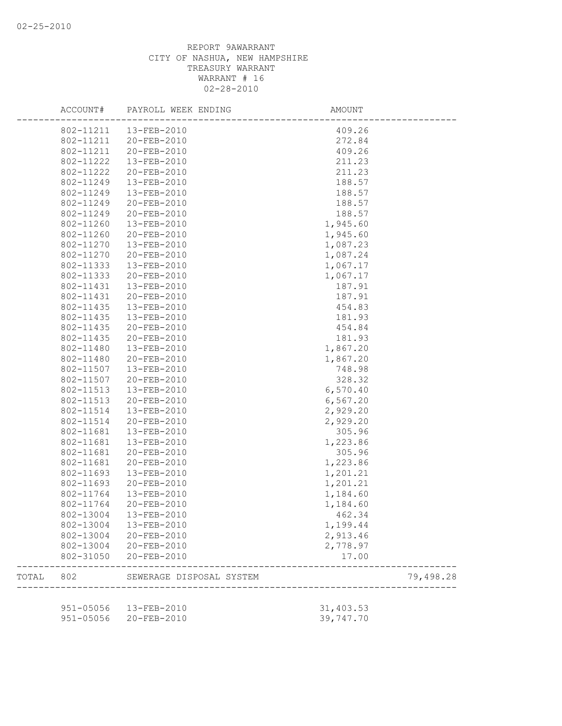|       | ACCOUNT#  | PAYROLL WEEK ENDING      | AMOUNT    |           |
|-------|-----------|--------------------------|-----------|-----------|
|       | 802-11211 | 13-FEB-2010              | 409.26    |           |
|       | 802-11211 | 20-FEB-2010              | 272.84    |           |
|       | 802-11211 | 20-FEB-2010              | 409.26    |           |
|       | 802-11222 | 13-FEB-2010              | 211.23    |           |
|       | 802-11222 | 20-FEB-2010              | 211.23    |           |
|       | 802-11249 | 13-FEB-2010              | 188.57    |           |
|       | 802-11249 | 13-FEB-2010              | 188.57    |           |
|       | 802-11249 | 20-FEB-2010              | 188.57    |           |
|       | 802-11249 | 20-FEB-2010              | 188.57    |           |
|       | 802-11260 | 13-FEB-2010              | 1,945.60  |           |
|       | 802-11260 | 20-FEB-2010              | 1,945.60  |           |
|       | 802-11270 | 13-FEB-2010              | 1,087.23  |           |
|       | 802-11270 | 20-FEB-2010              | 1,087.24  |           |
|       | 802-11333 | 13-FEB-2010              | 1,067.17  |           |
|       | 802-11333 | 20-FEB-2010              | 1,067.17  |           |
|       | 802-11431 | 13-FEB-2010              | 187.91    |           |
|       | 802-11431 | 20-FEB-2010              | 187.91    |           |
|       | 802-11435 | 13-FEB-2010              | 454.83    |           |
|       | 802-11435 | 13-FEB-2010              | 181.93    |           |
|       | 802-11435 | 20-FEB-2010              | 454.84    |           |
|       | 802-11435 | 20-FEB-2010              | 181.93    |           |
|       | 802-11480 | 13-FEB-2010              | 1,867.20  |           |
|       | 802-11480 | 20-FEB-2010              | 1,867.20  |           |
|       | 802-11507 | 13-FEB-2010              | 748.98    |           |
|       | 802-11507 | 20-FEB-2010              | 328.32    |           |
|       | 802-11513 | 13-FEB-2010              | 6,570.40  |           |
|       | 802-11513 | 20-FEB-2010              | 6, 567.20 |           |
|       | 802-11514 | 13-FEB-2010              | 2,929.20  |           |
|       | 802-11514 | 20-FEB-2010              | 2,929.20  |           |
|       | 802-11681 |                          |           |           |
|       |           | 13-FEB-2010              | 305.96    |           |
|       | 802-11681 | 13-FEB-2010              | 1,223.86  |           |
|       | 802-11681 | 20-FEB-2010              | 305.96    |           |
|       | 802-11681 | 20-FEB-2010              | 1,223.86  |           |
|       | 802-11693 | 13-FEB-2010              | 1,201.21  |           |
|       | 802-11693 | 20-FEB-2010              | 1,201.21  |           |
|       | 802-11764 | 13-FEB-2010              | 1,184.60  |           |
|       | 802-11764 | 20-FEB-2010              | 1,184.60  |           |
|       |           | 802-13004 13-FEB-2010    | 462.34    |           |
|       | 802-13004 | 13-FEB-2010              | 1,199.44  |           |
|       | 802-13004 | 20-FEB-2010              | 2,913.46  |           |
|       | 802-13004 | 20-FEB-2010              | 2,778.97  |           |
|       | 802-31050 | 20-FEB-2010              | 17.00     |           |
| TOTAL | 802       | SEWERAGE DISPOSAL SYSTEM |           | 79,498.28 |
|       |           | 951-05056  13-FEB-2010   | 31,403.53 |           |
|       | 951-05056 | 20-FEB-2010              | 39,747.70 |           |
|       |           |                          |           |           |